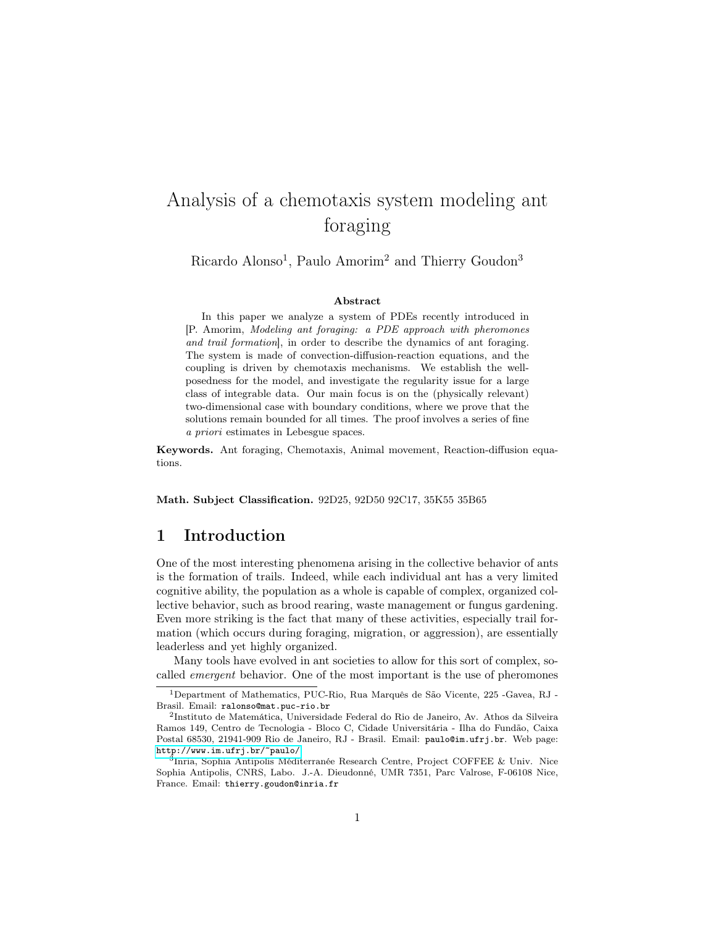# Analysis of a chemotaxis system modeling ant foraging

Ricardo Alonso<sup>1</sup>, Paulo Amorim<sup>2</sup> and Thierry Goudon<sup>3</sup>

#### Abstract

In this paper we analyze a system of PDEs recently introduced in [P. Amorim, Modeling ant foraging: a PDE approach with pheromones and trail formation], in order to describe the dynamics of ant foraging. The system is made of convection-diffusion-reaction equations, and the coupling is driven by chemotaxis mechanisms. We establish the wellposedness for the model, and investigate the regularity issue for a large class of integrable data. Our main focus is on the (physically relevant) two-dimensional case with boundary conditions, where we prove that the solutions remain bounded for all times. The proof involves a series of fine a priori estimates in Lebesgue spaces.

Keywords. Ant foraging, Chemotaxis, Animal movement, Reaction-diffusion equations.

Math. Subject Classification. 92D25, 92D50 92C17, 35K55 35B65

## 1 Introduction

One of the most interesting phenomena arising in the collective behavior of ants is the formation of trails. Indeed, while each individual ant has a very limited cognitive ability, the population as a whole is capable of complex, organized collective behavior, such as brood rearing, waste management or fungus gardening. Even more striking is the fact that many of these activities, especially trail formation (which occurs during foraging, migration, or aggression), are essentially leaderless and yet highly organized.

Many tools have evolved in ant societies to allow for this sort of complex, socalled emergent behavior. One of the most important is the use of pheromones

<sup>1</sup>Department of Mathematics, PUC-Rio, Rua Marquês de São Vicente, 225 -Gavea, RJ - Brasil. Email: ralonso@mat.puc-rio.br

<sup>2</sup> Instituto de Matemática, Universidade Federal do Rio de Janeiro, Av. Athos da Silveira Ramos 149, Centro de Tecnologia - Bloco C, Cidade Universitária - Ilha do Fundão, Caixa Postal 68530, 21941-909 Rio de Janeiro, RJ - Brasil. Email: paulo@im.ufrj.br. Web page: <http://www.im.ufrj.br/~paulo/>

<sup>&</sup>lt;sup>3</sup>Inria, Sophia Antipolis Méditerranée Research Centre, Project COFFEE & Univ. Nice Sophia Antipolis, CNRS, Labo. J.-A. Dieudonné, UMR 7351, Parc Valrose, F-06108 Nice, France. Email: thierry.goudon@inria.fr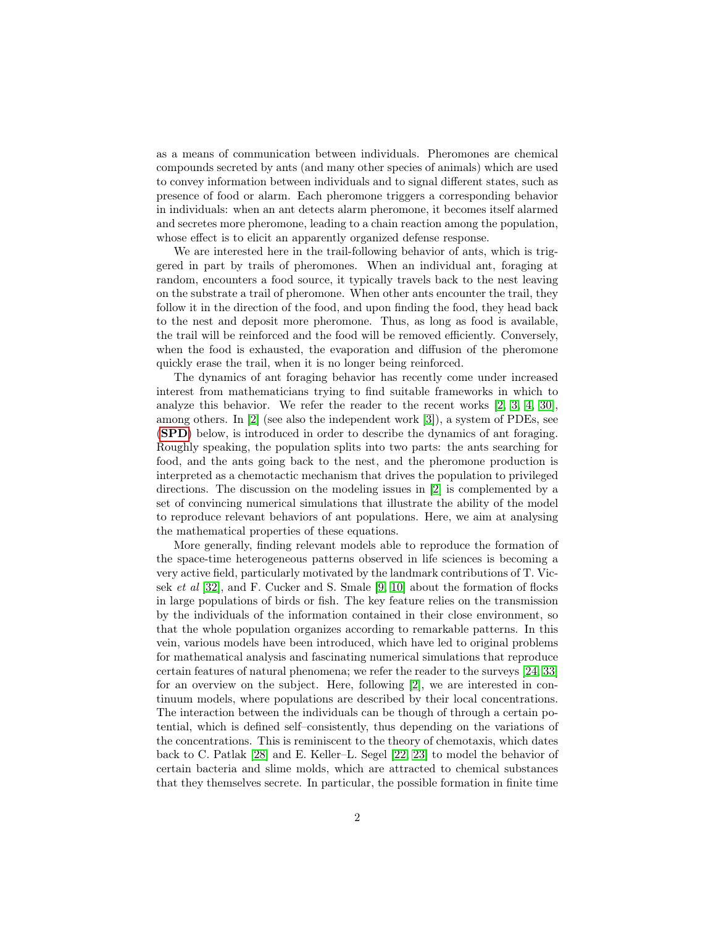as a means of communication between individuals. Pheromones are chemical compounds secreted by ants (and many other species of animals) which are used to convey information between individuals and to signal different states, such as presence of food or alarm. Each pheromone triggers a corresponding behavior in individuals: when an ant detects alarm pheromone, it becomes itself alarmed and secretes more pheromone, leading to a chain reaction among the population, whose effect is to elicit an apparently organized defense response.

We are interested here in the trail-following behavior of ants, which is triggered in part by trails of pheromones. When an individual ant, foraging at random, encounters a food source, it typically travels back to the nest leaving on the substrate a trail of pheromone. When other ants encounter the trail, they follow it in the direction of the food, and upon finding the food, they head back to the nest and deposit more pheromone. Thus, as long as food is available, the trail will be reinforced and the food will be removed efficiently. Conversely, when the food is exhausted, the evaporation and diffusion of the pheromone quickly erase the trail, when it is no longer being reinforced.

The dynamics of ant foraging behavior has recently come under increased interest from mathematicians trying to find suitable frameworks in which to analyze this behavior. We refer the reader to the recent works [\[2,](#page-36-0) [3,](#page-36-1) [4,](#page-36-2) [30\]](#page-38-0), among others. In [\[2\]](#page-36-0) (see also the independent work [\[3\]](#page-36-1)), a system of PDEs, see ([SPD](#page-2-0)) below, is introduced in order to describe the dynamics of ant foraging. Roughly speaking, the population splits into two parts: the ants searching for food, and the ants going back to the nest, and the pheromone production is interpreted as a chemotactic mechanism that drives the population to privileged directions. The discussion on the modeling issues in [\[2\]](#page-36-0) is complemented by a set of convincing numerical simulations that illustrate the ability of the model to reproduce relevant behaviors of ant populations. Here, we aim at analysing the mathematical properties of these equations.

More generally, finding relevant models able to reproduce the formation of the space-time heterogeneous patterns observed in life sciences is becoming a very active field, particularly motivated by the landmark contributions of T. Vicsek et al [\[32\]](#page-38-1), and F. Cucker and S. Smale [\[9,](#page-37-0) [10\]](#page-37-1) about the formation of flocks in large populations of birds or fish. The key feature relies on the transmission by the individuals of the information contained in their close environment, so that the whole population organizes according to remarkable patterns. In this vein, various models have been introduced, which have led to original problems for mathematical analysis and fascinating numerical simulations that reproduce certain features of natural phenomena; we refer the reader to the surveys [\[24,](#page-38-2) [33\]](#page-38-3) for an overview on the subject. Here, following [\[2\]](#page-36-0), we are interested in continuum models, where populations are described by their local concentrations. The interaction between the individuals can be though of through a certain potential, which is defined self–consistently, thus depending on the variations of the concentrations. This is reminiscent to the theory of chemotaxis, which dates back to C. Patlak [\[28\]](#page-38-4) and E. Keller–L. Segel [\[22,](#page-38-5) [23\]](#page-38-6) to model the behavior of certain bacteria and slime molds, which are attracted to chemical substances that they themselves secrete. In particular, the possible formation in finite time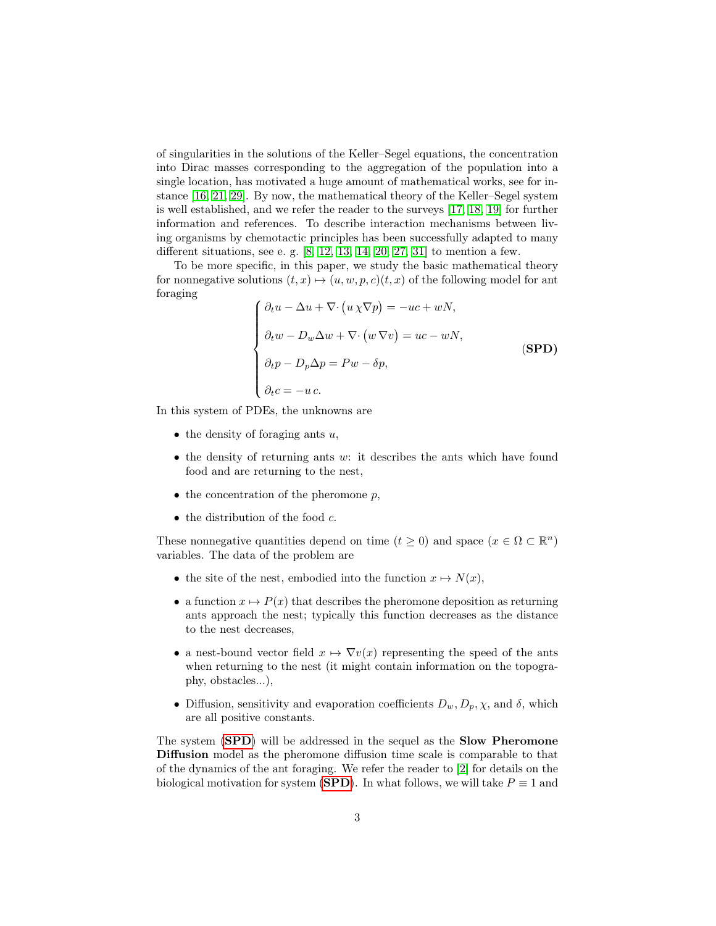of singularities in the solutions of the Keller–Segel equations, the concentration into Dirac masses corresponding to the aggregation of the population into a single location, has motivated a huge amount of mathematical works, see for instance [\[16,](#page-37-2) [21,](#page-38-7) [29\]](#page-38-8). By now, the mathematical theory of the Keller–Segel system is well established, and we refer the reader to the surveys [\[17,](#page-37-3) [18,](#page-37-4) [19\]](#page-37-5) for further information and references. To describe interaction mechanisms between living organisms by chemotactic principles has been successfully adapted to many different situations, see e. g.  $[8, 12, 13, 14, 20, 27, 31]$  $[8, 12, 13, 14, 20, 27, 31]$  $[8, 12, 13, 14, 20, 27, 31]$  $[8, 12, 13, 14, 20, 27, 31]$  $[8, 12, 13, 14, 20, 27, 31]$  $[8, 12, 13, 14, 20, 27, 31]$  $[8, 12, 13, 14, 20, 27, 31]$  to mention a few.

To be more specific, in this paper, we study the basic mathematical theory for nonnegative solutions  $(t, x) \mapsto (u, w, p, c)(t, x)$  of the following model for ant foraging

<span id="page-2-1"></span><span id="page-2-0"></span>
$$
\begin{cases}\n\partial_t u - \Delta u + \nabla \cdot (u \chi \nabla p) = -uc + wN, \\
\partial_t w - D_w \Delta w + \nabla \cdot (w \nabla v) = uc - wN, \\
\partial_t p - D_p \Delta p = Pw - \delta p, \\
\partial_t c = -uc.\n\end{cases}
$$
\n(SPD)

In this system of PDEs, the unknowns are

- $\bullet$  the density of foraging ants u,
- $\bullet$  the density of returning ants w: it describes the ants which have found food and are returning to the nest,
- $\bullet$  the concentration of the pheromone  $p$ ,
- the distribution of the food  $c$ .

These nonnegative quantities depend on time  $(t \geq 0)$  and space  $(x \in \Omega \subset \mathbb{R}^n)$ variables. The data of the problem are

- the site of the nest, embodied into the function  $x \mapsto N(x)$ ,
- a function  $x \mapsto P(x)$  that describes the pheromone deposition as returning ants approach the nest; typically this function decreases as the distance to the nest decreases,
- a nest-bound vector field  $x \mapsto \nabla v(x)$  representing the speed of the ants when returning to the nest (it might contain information on the topography, obstacles...),
- Diffusion, sensitivity and evaporation coefficients  $D_w, D_p, \chi$ , and  $\delta$ , which are all positive constants.

The system ([SPD](#page-2-0)) will be addressed in the sequel as the Slow Pheromone Diffusion model as the pheromone diffusion time scale is comparable to that of the dynamics of the ant foraging. We refer the reader to [\[2\]](#page-36-0) for details on the biological motivation for system ([SPD](#page-2-0)). In what follows, we will take  $P \equiv 1$  and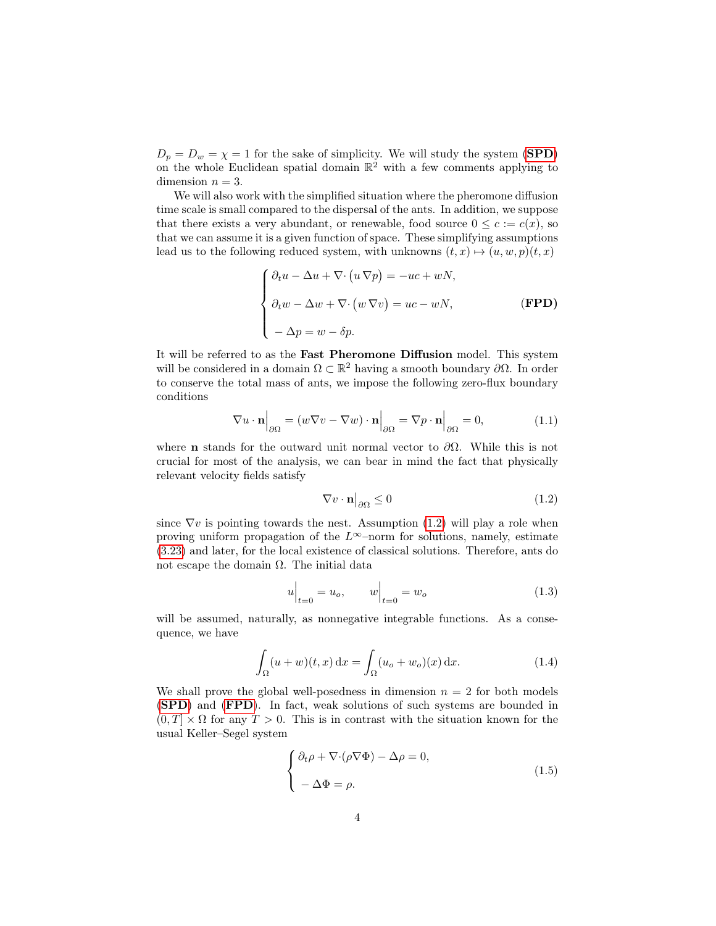$D_p = D_w = \chi = 1$  for the sake of simplicity. We will study the system  ${\bf (SPD)}$  ${\bf (SPD)}$  ${\bf (SPD)}$ on the whole Euclidean spatial domain  $\mathbb{R}^2$  with a few comments applying to dimension  $n = 3$ .

We will also work with the simplified situation where the pheromone diffusion time scale is small compared to the dispersal of the ants. In addition, we suppose that there exists a very abundant, or renewable, food source  $0 \leq c := c(x)$ , so that we can assume it is a given function of space. These simplifying assumptions lead us to the following reduced system, with unknowns  $(t, x) \mapsto (u, w, p)(t, x)$ 

<span id="page-3-1"></span>
$$
\begin{cases}\n\partial_t u - \Delta u + \nabla \cdot (u \nabla p) = -uc + wN, \\
\partial_t w - \Delta w + \nabla \cdot (w \nabla v) = uc - wN, \\
-\Delta p = w - \delta p.\n\end{cases}
$$
\n(FPD)

It will be referred to as the Fast Pheromone Diffusion model. This system will be considered in a domain  $\Omega \subset \mathbb{R}^2$  having a smooth boundary  $\partial \Omega$ . In order to conserve the total mass of ants, we impose the following zero-flux boundary conditions

$$
\nabla u \cdot \mathbf{n} \Big|_{\partial \Omega} = (w \nabla v - \nabla w) \cdot \mathbf{n} \Big|_{\partial \Omega} = \nabla p \cdot \mathbf{n} \Big|_{\partial \Omega} = 0, \tag{1.1}
$$

where **n** stands for the outward unit normal vector to  $\partial\Omega$ . While this is not crucial for most of the analysis, we can bear in mind the fact that physically relevant velocity fields satisfy

<span id="page-3-0"></span>
$$
\nabla v \cdot \mathbf{n} \big|_{\partial \Omega} \le 0 \tag{1.2}
$$

since  $\nabla v$  is pointing towards the nest. Assumption [\(1.2\)](#page-3-0) will play a role when proving uniform propagation of the  $L^{\infty}$ –norm for solutions, namely, estimate [\(3.23\)](#page-15-0) and later, for the local existence of classical solutions. Therefore, ants do not escape the domain  $Ω$ . The initial data

$$
u\Big|_{t=0} = u_o, \qquad w\Big|_{t=0} = w_o \tag{1.3}
$$

will be assumed, naturally, as nonnegative integrable functions. As a consequence, we have

<span id="page-3-3"></span>
$$
\int_{\Omega} (u+w)(t,x) dx = \int_{\Omega} (u_o + w_o)(x) dx.
$$
\n(1.4)

We shall prove the global well-posedness in dimension  $n = 2$  for both models ([SPD](#page-2-0)) and ([FPD](#page-3-1)). In fact, weak solutions of such systems are bounded in  $(0, T] \times \Omega$  for any  $T > 0$ . This is in contrast with the situation known for the usual Keller–Segel system

<span id="page-3-2"></span>
$$
\begin{cases} \partial_t \rho + \nabla \cdot (\rho \nabla \Phi) - \Delta \rho = 0, \\ -\Delta \Phi = \rho. \end{cases}
$$
 (1.5)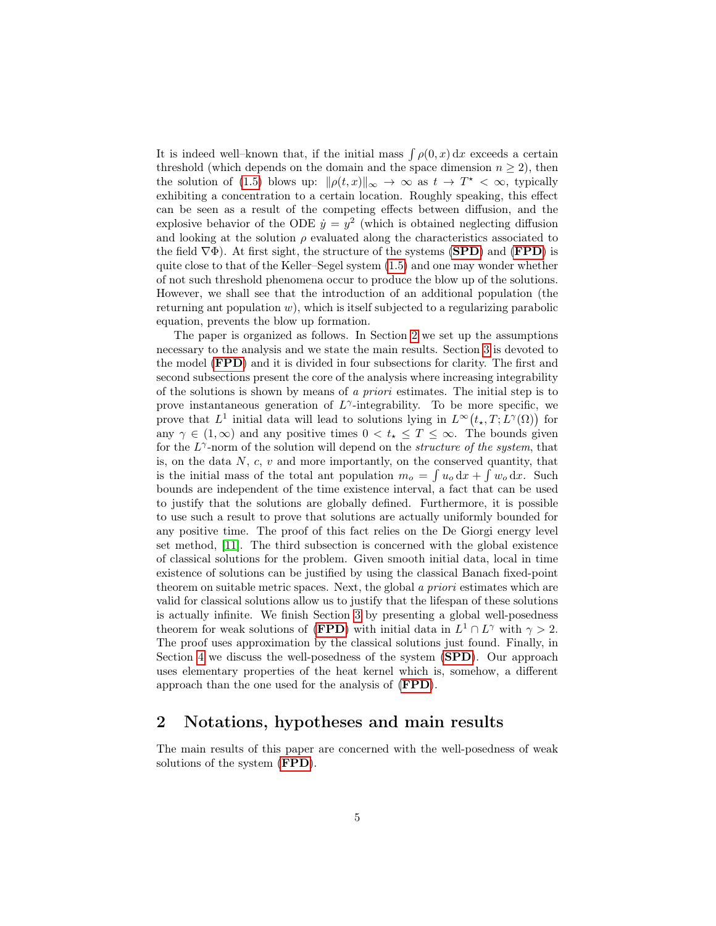It is indeed well-known that, if the initial mass  $\int \rho(0, x) dx$  exceeds a certain threshold (which depends on the domain and the space dimension  $n \geq 2$ ), then the solution of [\(1.5\)](#page-3-2) blows up:  $\|\rho(t,x)\|_{\infty} \to \infty$  as  $t \to T^* < \infty$ , typically exhibiting a concentration to a certain location. Roughly speaking, this effect can be seen as a result of the competing effects between diffusion, and the explosive behavior of the ODE  $\dot{y} = y^2$  (which is obtained neglecting diffusion and looking at the solution  $\rho$  evaluated along the characteristics associated to the field  $\nabla\Phi$ ). At first sight, the structure of the systems ([SPD](#page-2-0)) and ([FPD](#page-3-1)) is quite close to that of the Keller–Segel system [\(1.5\)](#page-3-2) and one may wonder whether of not such threshold phenomena occur to produce the blow up of the solutions. However, we shall see that the introduction of an additional population (the returning ant population  $w$ ), which is itself subjected to a regularizing parabolic equation, prevents the blow up formation.

The paper is organized as follows. In Section [2](#page-4-0) we set up the assumptions necessary to the analysis and we state the main results. Section [3](#page-6-0) is devoted to the model ([FPD](#page-3-1)) and it is divided in four subsections for clarity. The first and second subsections present the core of the analysis where increasing integrability of the solutions is shown by means of a priori estimates. The initial step is to prove instantaneous generation of  $L^{\gamma}$ -integrability. To be more specific, we prove that  $L^1$  initial data will lead to solutions lying in  $L^{\infty}(t_*, T; L^{\gamma}(\Omega))$  for any  $\gamma \in (1,\infty)$  and any positive times  $0 < t_* \leq T \leq \infty$ . The bounds given for the  $L^{\gamma}$ -norm of the solution will depend on the *structure of the system*, that is, on the data  $N, c, v$  and more importantly, on the conserved quantity, that is the initial mass of the total ant population  $m_o = \int u_o dx + \int w_o dx$ . Such bounds are independent of the time existence interval, a fact that can be used to justify that the solutions are globally defined. Furthermore, it is possible to use such a result to prove that solutions are actually uniformly bounded for any positive time. The proof of this fact relies on the De Giorgi energy level set method, [\[11\]](#page-37-11). The third subsection is concerned with the global existence of classical solutions for the problem. Given smooth initial data, local in time existence of solutions can be justified by using the classical Banach fixed-point theorem on suitable metric spaces. Next, the global a priori estimates which are valid for classical solutions allow us to justify that the lifespan of these solutions is actually infinite. We finish Section [3](#page-6-0) by presenting a global well-posedness theorem for weak solutions of (**[FPD](#page-3-1)**) with initial data in  $L^1 \cap L^{\gamma}$  with  $\gamma > 2$ . The proof uses approximation by the classical solutions just found. Finally, in Section [4](#page-23-0) we discuss the well-posedness of the system ([SPD](#page-2-0)). Our approach uses elementary properties of the heat kernel which is, somehow, a different approach than the one used for the analysis of ([FPD](#page-3-1)).

## <span id="page-4-0"></span>2 Notations, hypotheses and main results

The main results of this paper are concerned with the well-posedness of weak solutions of the system ([FPD](#page-3-1)).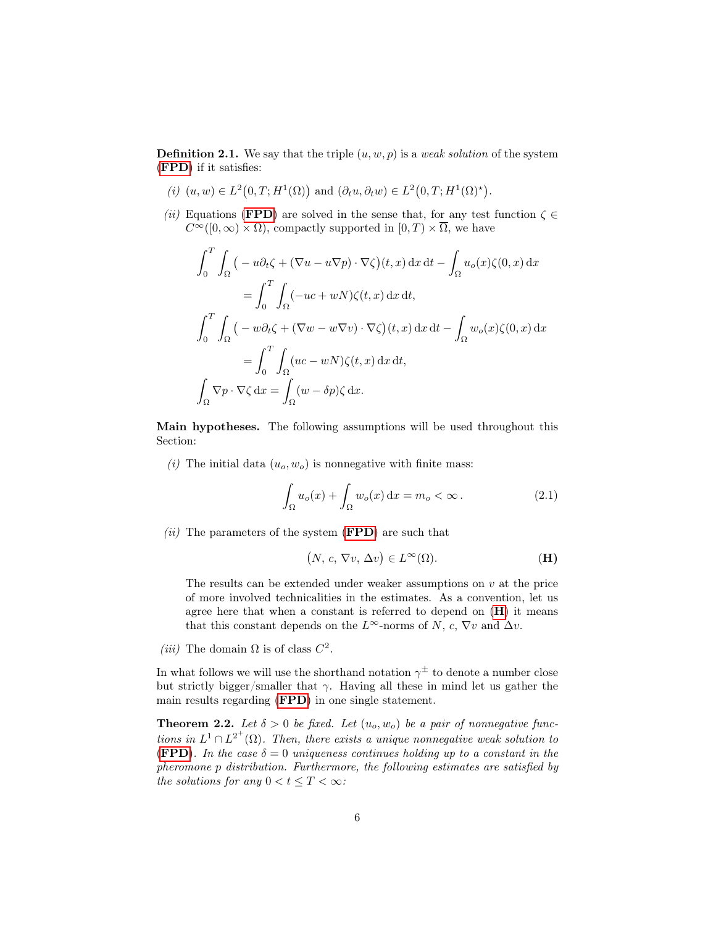<span id="page-5-1"></span>**Definition 2.1.** We say that the triple  $(u, w, p)$  is a *weak solution* of the system ([FPD](#page-3-1)) if it satisfies:

- (i)  $(u, w) \in L^2(0,T; H^1(\Omega))$  and  $(\partial_t u, \partial_t w) \in L^2(0,T; H^1(\Omega)^*)$ .
- (ii) Equations ([FPD](#page-3-1)) are solved in the sense that, for any test function  $\zeta \in$  $C^{\infty}([0,\infty)\times\Omega)$ , compactly supported in  $[0,T)\times\overline{\Omega}$ , we have

$$
\int_0^T \int_{\Omega} \left( -u \partial_t \zeta + (\nabla u - u \nabla p) \cdot \nabla \zeta \right) (t, x) dx dt - \int_{\Omega} u_o(x) \zeta(0, x) dx
$$
  
\n
$$
= \int_0^T \int_{\Omega} (-u c + w N) \zeta(t, x) dx dt,
$$
  
\n
$$
\int_0^T \int_{\Omega} \left( -w \partial_t \zeta + (\nabla w - w \nabla v) \cdot \nabla \zeta \right) (t, x) dx dt - \int_{\Omega} w_o(x) \zeta(0, x) dx
$$
  
\n
$$
= \int_0^T \int_{\Omega} (u c - w N) \zeta(t, x) dx dt,
$$
  
\n
$$
\int_{\Omega} \nabla p \cdot \nabla \zeta dx = \int_{\Omega} (w - \delta p) \zeta dx.
$$

Main hypotheses. The following assumptions will be used throughout this Section:

(i) The initial data  $(u_o, w_o)$  is nonnegative with finite mass:

$$
\int_{\Omega} u_o(x) + \int_{\Omega} w_o(x) dx = m_o < \infty.
$$
 (2.1)

(ii) The parameters of the system  $(FPD)$  $(FPD)$  $(FPD)$  are such that

<span id="page-5-0"></span>
$$
(N, c, \nabla v, \Delta v) \in L^{\infty}(\Omega). \tag{H}
$$

The results can be extended under weaker assumptions on  $v$  at the price of more involved technicalities in the estimates. As a convention, let us agree here that when a constant is referred to depend on  $(H)$  $(H)$  $(H)$  it means that this constant depends on the  $L^{\infty}$ -norms of N, c,  $\nabla v$  and  $\Delta v$ .

(*iii*) The domain  $\Omega$  is of class  $C^2$ .

In what follows we will use the shorthand notation  $\gamma^{\pm}$  to denote a number close but strictly bigger/smaller that  $\gamma$ . Having all these in mind let us gather the main results regarding ([FPD](#page-3-1)) in one single statement.

**Theorem 2.2.** Let  $\delta > 0$  be fixed. Let  $(u_o, w_o)$  be a pair of nonnegative functions in  $L^1 \cap L^{2^+}(\Omega)$ . Then, there exists a unique nonnegative weak solution to **([FPD](#page-3-1))**. In the case  $\delta = 0$  uniqueness continues holding up to a constant in the pheromone p distribution. Furthermore, the following estimates are satisfied by the solutions for any  $0 < t \leq T < \infty$ :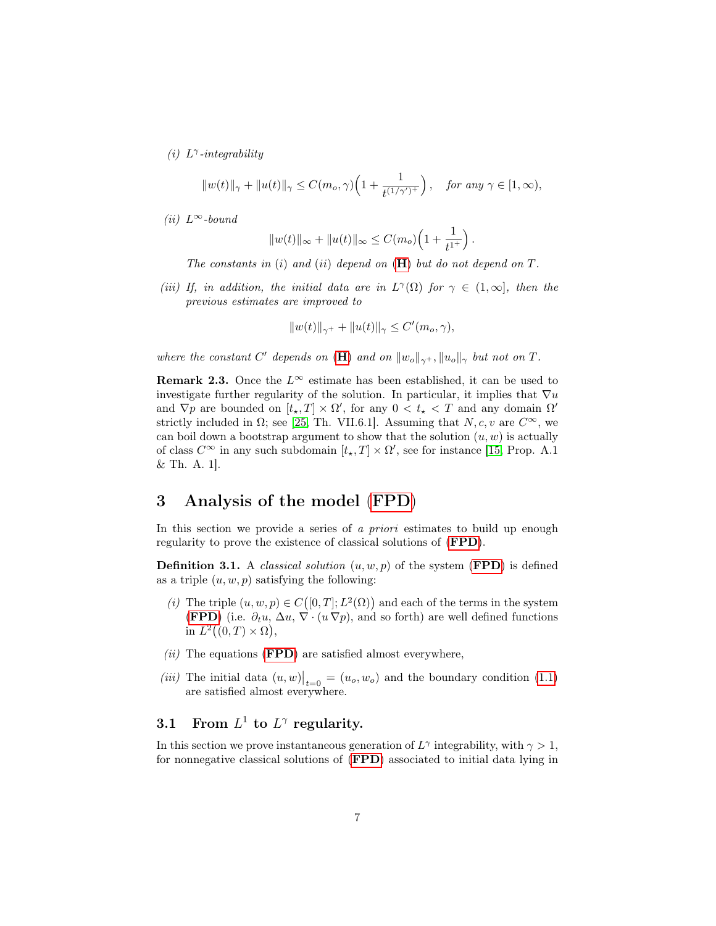(i)  $L^{\gamma}$ -integrability

$$
||w(t)||_{\gamma} + ||u(t)||_{\gamma} \le C(m_o, \gamma) \Big( 1 + \frac{1}{t^{(1/\gamma')^+}} \Big) , \quad \text{for any } \gamma \in [1, \infty),
$$

(ii)  $L^{\infty}$ -bound

$$
||w(t)||_{\infty} + ||u(t)||_{\infty} \leq C(m_o) \Big( 1 + \frac{1}{t^{1+}} \Big).
$$

The constants in  $(i)$  and  $(ii)$  depend on  $(H)$  $(H)$  $(H)$  but do not depend on  $T$ .

(iii) If, in addition, the initial data are in  $L^{\gamma}(\Omega)$  for  $\gamma \in (1,\infty]$ , then the previous estimates are improved to

$$
||w(t)||_{\gamma^{+}} + ||u(t)||_{\gamma} \leq C'(m_o, \gamma),
$$

where the constant C' depends on  $(\mathbf{H})$  $(\mathbf{H})$  $(\mathbf{H})$  and on  $||w_o||_{\gamma^+}$ ,  $||u_o||_{\gamma}$  but not on T.

**Remark 2.3.** Once the  $L^{\infty}$  estimate has been established, it can be used to investigate further regularity of the solution. In particular, it implies that  $\nabla u$ and  $\nabla p$  are bounded on  $[t_\star, T] \times \Omega'$ , for any  $0 < t_\star < T$  and any domain  $\Omega'$ strictly included in  $\Omega$ ; see [\[25,](#page-38-11) Th. VII.6.1]. Assuming that  $N, c, v$  are  $C^{\infty}$ , we can boil down a bootstrap argument to show that the solution  $(u, w)$  is actually of class  $C^{\infty}$  in any such subdomain  $[t_{\star}, T] \times \Omega'$ , see for instance [\[15,](#page-37-12) Prop. A.1] & Th. A. 1].

## <span id="page-6-0"></span>3 Analysis of the model ([FPD](#page-3-1))

In this section we provide a series of a *priori* estimates to build up enough regularity to prove the existence of classical solutions of ([FPD](#page-3-1)).

**Definition 3.1.** A *classical solution*  $(u, w, p)$  of the system (**[FPD](#page-3-1)**) is defined as a triple  $(u, w, p)$  satisfying the following:

- (i) The triple  $(u, w, p) \in C([0, T]; L^2(\Omega))$  and each of the terms in the system ([FPD](#page-3-1)) (i.e.  $\partial_t u$ ,  $\Delta u$ ,  $\nabla \cdot (u \nabla p)$ , and so forth) are well defined functions in  $L^2((0,T)\times\Omega)$ ,
- (ii) The equations ( $\bf{FPD}$  $\bf{FPD}$  $\bf{FPD}$ ) are satisfied almost everywhere,
- (*iii*) The initial data  $(u, w)|_{t=0} = (u_o, w_o)$  and the boundary condition [\(1.1\)](#page-2-1) are satisfied almost everywhere.

#### 3.1 From  $L^1$  to  $L^{\gamma}$  regularity.

In this section we prove instantaneous generation of  $L^{\gamma}$  integrability, with  $\gamma > 1$ , for nonnegative classical solutions of ([FPD](#page-3-1)) associated to initial data lying in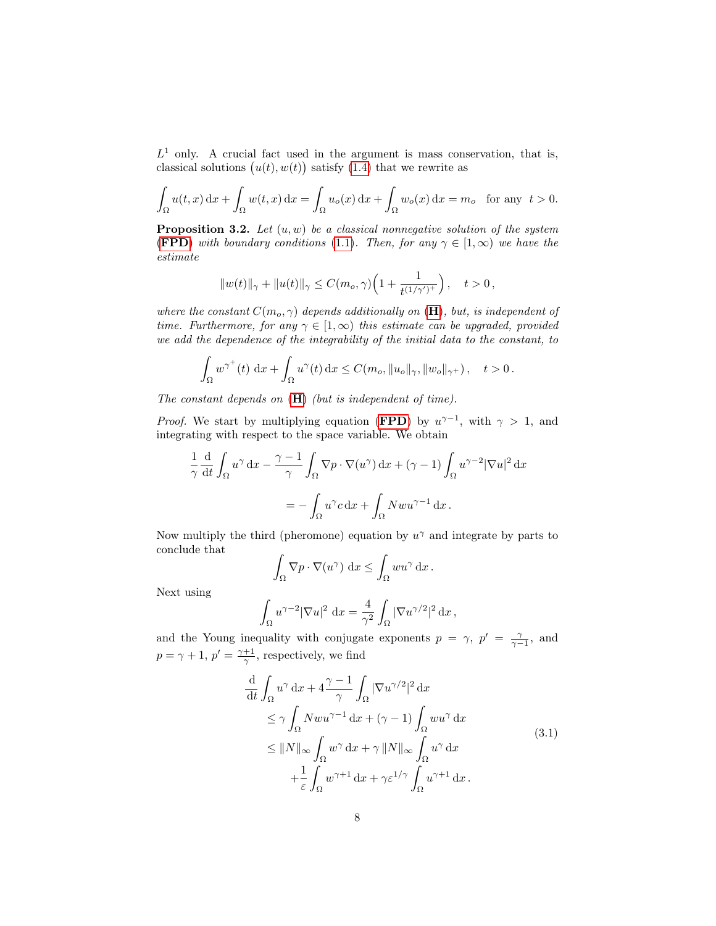$L<sup>1</sup>$  only. A crucial fact used in the argument is mass conservation, that is, classical solutions  $(u(t), w(t))$  satisfy  $(1.4)$  that we rewrite as

$$
\int_{\Omega} u(t, x) dx + \int_{\Omega} w(t, x) dx = \int_{\Omega} u_o(x) dx + \int_{\Omega} w_o(x) dx = m_o \text{ for any } t > 0.
$$

<span id="page-7-1"></span>**Proposition 3.2.** Let  $(u, w)$  be a classical nonnegative solution of the system **([FPD](#page-3-1))** with boundary conditions [\(1.1\)](#page-2-1). Then, for any  $\gamma \in [1,\infty)$  we have the estimate

$$
||w(t)||_{\gamma} + ||u(t)||_{\gamma} \leq C(m_o, \gamma) \Big( 1 + \frac{1}{t^{(1/\gamma')^{+}}} \Big), \quad t > 0,
$$

where the constant  $C(m_o, \gamma)$  depends additionally on  $(\mathbf{H})$  $(\mathbf{H})$  $(\mathbf{H})$ , but, is independent of time. Furthermore, for any  $\gamma \in [1,\infty)$  this estimate can be upgraded, provided we add the dependence of the integrability of the initial data to the constant, to

$$
\int_{\Omega} w^{\gamma^+}(t) dx + \int_{\Omega} u^{\gamma}(t) dx \le C(m_o, \|u_o\|_{\gamma}, \|w_o\|_{\gamma^+}), \quad t > 0.
$$

The constant depends on ([H](#page-5-0)) (but is independent of time).

*Proof.* We start by multiplying equation (**[FPD](#page-3-1)**) by  $u^{\gamma-1}$ , with  $\gamma > 1$ , and integrating with respect to the space variable. We obtain

$$
\frac{1}{\gamma} \frac{d}{dt} \int_{\Omega} u^{\gamma} dx - \frac{\gamma - 1}{\gamma} \int_{\Omega} \nabla p \cdot \nabla (u^{\gamma}) dx + (\gamma - 1) \int_{\Omega} u^{\gamma - 2} |\nabla u|^2 dx
$$

$$
= - \int_{\Omega} u^{\gamma} c dx + \int_{\Omega} N w u^{\gamma - 1} dx.
$$

Now multiply the third (pheromone) equation by  $u^{\gamma}$  and integrate by parts to conclude that

$$
\int_{\Omega} \nabla p \cdot \nabla (u^{\gamma}) \, dx \le \int_{\Omega} w u^{\gamma} \, dx.
$$

Next using

$$
\int_{\Omega} u^{\gamma - 2} |\nabla u|^2 \, \mathrm{d}x = \frac{4}{\gamma^2} \int_{\Omega} |\nabla u^{\gamma/2}|^2 \, \mathrm{d}x \,,
$$

and the Young inequality with conjugate exponents  $p = \gamma$ ,  $p' = \frac{\gamma}{\gamma - 1}$ , and  $p = \gamma + 1$ ,  $p' = \frac{\gamma + 1}{\gamma}$ , respectively, we find

<span id="page-7-0"></span>
$$
\frac{d}{dt} \int_{\Omega} u^{\gamma} dx + 4 \frac{\gamma - 1}{\gamma} \int_{\Omega} |\nabla u^{\gamma/2}|^2 dx
$$
\n
$$
\leq \gamma \int_{\Omega} N w u^{\gamma - 1} dx + (\gamma - 1) \int_{\Omega} w u^{\gamma} dx
$$
\n
$$
\leq ||N||_{\infty} \int_{\Omega} w^{\gamma} dx + \gamma ||N||_{\infty} \int_{\Omega} u^{\gamma} dx
$$
\n
$$
+ \frac{1}{\varepsilon} \int_{\Omega} w^{\gamma + 1} dx + \gamma \varepsilon^{1/\gamma} \int_{\Omega} u^{\gamma + 1} dx.
$$
\n(3.1)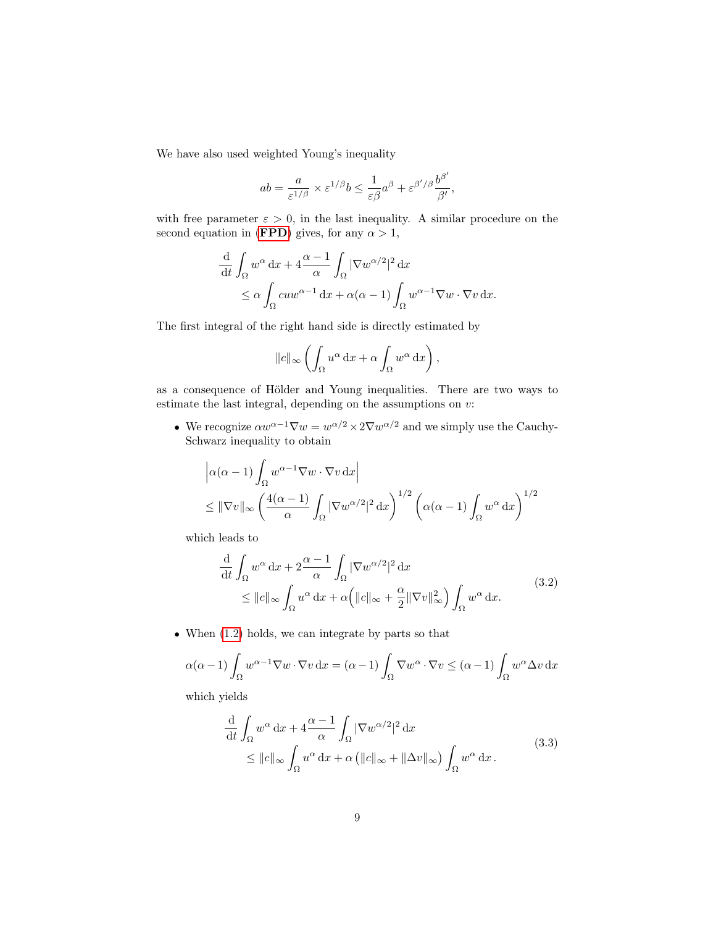We have also used weighted Young's inequality

$$
ab=\frac{a}{\varepsilon^{1/\beta}}\times \varepsilon^{1/\beta}b\leq \frac{1}{\varepsilon\beta}a^\beta+\varepsilon^{\beta'/\beta}\frac{b^{\beta'}}{\beta'},
$$

with free parameter  $\varepsilon > 0$ , in the last inequality. A similar procedure on the second equation in (**[FPD](#page-3-1)**) gives, for any  $\alpha > 1$ ,

$$
\frac{\mathrm{d}}{\mathrm{d}t} \int_{\Omega} w^{\alpha} \, \mathrm{d}x + 4 \frac{\alpha - 1}{\alpha} \int_{\Omega} |\nabla w^{\alpha/2}|^2 \, \mathrm{d}x \n\leq \alpha \int_{\Omega} cuw^{\alpha - 1} \, \mathrm{d}x + \alpha(\alpha - 1) \int_{\Omega} w^{\alpha - 1} \nabla w \cdot \nabla v \, \mathrm{d}x.
$$

The first integral of the right hand side is directly estimated by

$$
||c||_{\infty} \left( \int_{\Omega} u^{\alpha} \,dx + \alpha \int_{\Omega} w^{\alpha} \,dx \right),\,
$$

as a consequence of Hölder and Young inequalities. There are two ways to estimate the last integral, depending on the assumptions on  $v$ :

• We recognize  $\alpha w^{\alpha-1} \nabla w = w^{\alpha/2} \times 2 \nabla w^{\alpha/2}$  and we simply use the Cauchy-Schwarz inequality to obtain

$$
\begin{aligned} & \left| \alpha(\alpha - 1) \int_{\Omega} w^{\alpha - 1} \nabla w \cdot \nabla v \, \mathrm{d}x \right| \\ &\leq \| \nabla v \|_{\infty} \left( \frac{4(\alpha - 1)}{\alpha} \int_{\Omega} |\nabla w^{\alpha/2}|^2 \, \mathrm{d}x \right)^{1/2} \left( \alpha(\alpha - 1) \int_{\Omega} w^{\alpha} \, \mathrm{d}x \right)^{1/2} \end{aligned}
$$

which leads to

<span id="page-8-0"></span>
$$
\frac{\mathrm{d}}{\mathrm{d}t} \int_{\Omega} w^{\alpha} \, \mathrm{d}x + 2 \frac{\alpha - 1}{\alpha} \int_{\Omega} |\nabla w^{\alpha/2}|^2 \, \mathrm{d}x \leq \|c\|_{\infty} \int_{\Omega} u^{\alpha} \, \mathrm{d}x + \alpha \Big( \|c\|_{\infty} + \frac{\alpha}{2} \|\nabla v\|_{\infty}^2 \Big) \int_{\Omega} w^{\alpha} \, \mathrm{d}x.
$$
\n(3.2)

• When [\(1.2\)](#page-3-0) holds, we can integrate by parts so that

$$
\alpha(\alpha - 1) \int_{\Omega} w^{\alpha - 1} \nabla w \cdot \nabla v \, dx = (\alpha - 1) \int_{\Omega} \nabla w^{\alpha} \cdot \nabla v \le (\alpha - 1) \int_{\Omega} w^{\alpha} \Delta v \, dx
$$

which yields

<span id="page-8-1"></span>
$$
\frac{d}{dt} \int_{\Omega} w^{\alpha} dx + 4 \frac{\alpha - 1}{\alpha} \int_{\Omega} |\nabla w^{\alpha/2}|^2 dx
$$
\n
$$
\leq ||c||_{\infty} \int_{\Omega} u^{\alpha} dx + \alpha (||c||_{\infty} + ||\Delta v||_{\infty}) \int_{\Omega} w^{\alpha} dx.
$$
\n(3.3)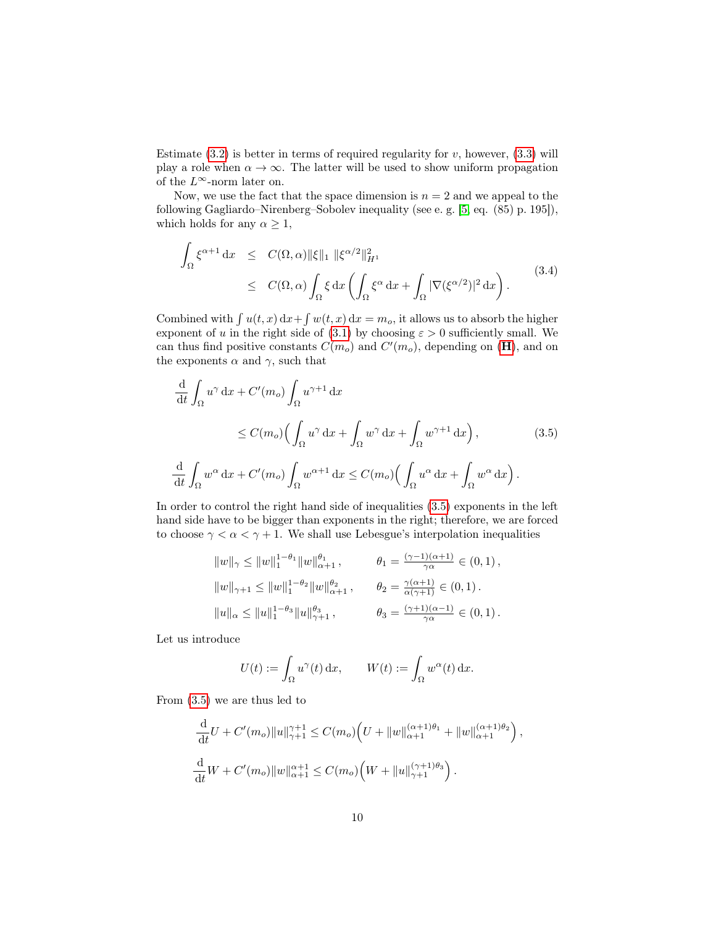Estimate  $(3.2)$  is better in terms of required regularity for v, however,  $(3.3)$  will play a role when  $\alpha \to \infty$ . The latter will be used to show uniform propagation of the  $L^{\infty}$ -norm later on.

Now, we use the fact that the space dimension is  $n = 2$  and we appeal to the following Gagliardo–Nirenberg–Sobolev inequality (see e. g. [\[5,](#page-36-3) eq. (85) p. 195]), which holds for any  $\alpha \geq 1$ ,

<span id="page-9-1"></span>
$$
\int_{\Omega} \xi^{\alpha+1} dx \leq C(\Omega, \alpha) \|\xi\|_{1} \| \xi^{\alpha/2} \|_{H^{1}}^{2}
$$
\n
$$
\leq C(\Omega, \alpha) \int_{\Omega} \xi dx \left( \int_{\Omega} \xi^{\alpha} dx + \int_{\Omega} |\nabla (\xi^{\alpha/2})|^{2} dx \right). \tag{3.4}
$$

Combined with  $\int u(t, x) dx + \int w(t, x) dx = m_o$ , it allows us to absorb the higher exponent of u in the right side of [\(3.1\)](#page-7-0) by choosing  $\varepsilon > 0$  sufficiently small. We can thus find positive constants  $C(m_o)$  and  $C'(m_o)$ , depending on  $(H)$  $(H)$  $(H)$ , and on the exponents  $\alpha$  and  $\gamma$ , such that

$$
\frac{d}{dt} \int_{\Omega} u^{\gamma} dx + C'(m_o) \int_{\Omega} u^{\gamma+1} dx
$$
\n
$$
\leq C(m_o) \Big( \int_{\Omega} u^{\gamma} dx + \int_{\Omega} w^{\gamma} dx + \int_{\Omega} w^{\gamma+1} dx \Big), \tag{3.5}
$$
\n
$$
\frac{d}{dt} \int_{\Omega} w^{\alpha} dx + C'(m_o) \int_{\Omega} w^{\alpha+1} dx \leq C(m_o) \Big( \int_{\Omega} u^{\alpha} dx + \int_{\Omega} w^{\alpha} dx \Big).
$$

In order to control the right hand side of inequalities [\(3.5\)](#page-9-0) exponents in the left hand side have to be bigger than exponents in the right; therefore, we are forced to choose  $\gamma < \alpha < \gamma + 1$ . We shall use Lebesgue's interpolation inequalities

<span id="page-9-0"></span>
$$
||w||_{\gamma} \le ||w||_1^{1-\theta_1} ||w||_{\alpha+1}^{\theta_1}, \qquad \theta_1 = \frac{(\gamma - 1)(\alpha + 1)}{\gamma \alpha} \in (0, 1),
$$
  

$$
||w||_{\gamma+1} \le ||w||_1^{1-\theta_2} ||w||_{\alpha+1}^{\theta_2}, \qquad \theta_2 = \frac{\gamma(\alpha + 1)}{\alpha(\gamma + 1)} \in (0, 1).
$$
  

$$
||u||_{\alpha} \le ||u||_1^{1-\theta_3} ||u||_{\gamma+1}^{\theta_3}, \qquad \theta_3 = \frac{(\gamma + 1)(\alpha - 1)}{\gamma \alpha} \in (0, 1).
$$

Let us introduce

$$
U(t) := \int_{\Omega} u^{\gamma}(t) dx, \qquad W(t) := \int_{\Omega} w^{\alpha}(t) dx.
$$

From [\(3.5\)](#page-9-0) we are thus led to

$$
\frac{\mathrm{d}}{\mathrm{d}t}U + C'(m_o) \|u\|_{\gamma+1}^{\gamma+1} \le C(m_o) \Big( U + \|w\|_{\alpha+1}^{(\alpha+1)\theta_1} + \|w\|_{\alpha+1}^{(\alpha+1)\theta_2} \Big),
$$
\n
$$
\frac{\mathrm{d}}{\mathrm{d}t}W + C'(m_o) \|w\|_{\alpha+1}^{\alpha+1} \le C(m_o) \Big( W + \|u\|_{\gamma+1}^{(\gamma+1)\theta_3} \Big).
$$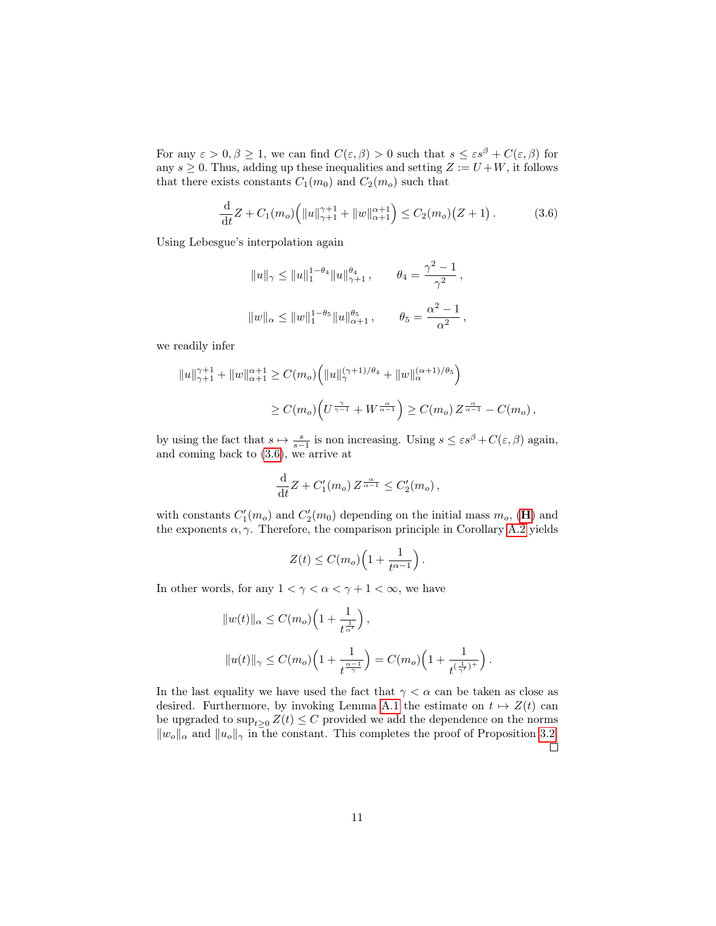For any  $\varepsilon > 0, \beta \ge 1$ , we can find  $C(\varepsilon, \beta) > 0$  such that  $s \le \varepsilon s^{\beta} + C(\varepsilon, \beta)$  for any  $s \geq 0$ . Thus, adding up these inequalities and setting  $Z := U + W$ , it follows that there exists constants  $C_1(m_0)$  and  $C_2(m_o)$  such that

<span id="page-10-0"></span>
$$
\frac{\mathrm{d}}{\mathrm{d}t}Z + C_1(m_o) \left( \|u\|_{\gamma+1}^{\gamma+1} + \|w\|_{\alpha+1}^{\alpha+1} \right) \le C_2(m_o) \left( Z + 1 \right). \tag{3.6}
$$

Using Lebesgue's interpolation again

$$
||u||_{\gamma} \le ||u||_1^{1-\theta_4} ||u||_{\gamma+1}^{\theta_4}, \qquad \theta_4 = \frac{\gamma^2 - 1}{\gamma^2},
$$
  

$$
||w||_{\alpha} \le ||w||_1^{1-\theta_5} ||u||_{\alpha+1}^{\theta_5}, \qquad \theta_5 = \frac{\alpha^2 - 1}{\alpha^2},
$$

we readily infer

 $\overline{\phantom{a}}$ 

$$
|u||_{\gamma+1}^{\gamma+1} + ||w||_{\alpha+1}^{\alpha+1} \ge C(m_o) \Big( ||u||_{\gamma}^{(\gamma+1)/\theta_4} + ||w||_{\alpha}^{(\alpha+1)/\theta_5} \Big)
$$
  

$$
\ge C(m_o) \Big( U^{\frac{\gamma}{\gamma-1}} + W^{\frac{\alpha}{\alpha-1}} \Big) \ge C(m_o) Z^{\frac{\alpha}{\alpha-1}} - C(m_o),
$$

by using the fact that  $s \mapsto \frac{s}{s-1}$  is non increasing. Using  $s \leq \varepsilon s^{\beta} + C(\varepsilon, \beta)$  again, and coming back to [\(3.6\)](#page-10-0), we arrive at

$$
\frac{\mathrm{d}}{\mathrm{d}t}Z + C_1'(m_o) Z^{\frac{\alpha}{\alpha - 1}} \le C_2'(m_o),
$$

with constants  $C'_1(m_o)$  and  $C'_2(m_0)$  depending on the initial mass  $m_o$ , (**[H](#page-5-0)**) and the exponents  $\alpha, \gamma$ . Therefore, the comparison principle in Corollary [A.2](#page-35-0) yields

$$
Z(t) \le C(m_o) \left( 1 + \frac{1}{t^{\alpha - 1}} \right).
$$

In other words, for any  $1 < \gamma < \alpha < \gamma + 1 < \infty$ , we have

$$
||w(t)||_{\alpha} \leq C(m_o) \left(1 + \frac{1}{t^{\frac{1}{\alpha'}}}\right),
$$
  

$$
||u(t)||_{\gamma} \leq C(m_o) \left(1 + \frac{1}{t^{\frac{\alpha - 1}{\gamma}}} \right) = C(m_o) \left(1 + \frac{1}{t^{(\frac{1}{\gamma'})^+}}\right).
$$

In the last equality we have used the fact that  $\gamma < \alpha$  can be taken as close as desired. Furthermore, by invoking Lemma [A.1](#page-34-0) the estimate on  $t \mapsto Z(t)$  can be upgraded to  $\sup_{t>0} Z(t) \leq C$  provided we add the dependence on the norms  $\|w_o\|_{\alpha}$  and  $\|u_o\|_{\gamma}$  in the constant. This completes the proof of Proposition [3.2.](#page-7-1)  $\Box$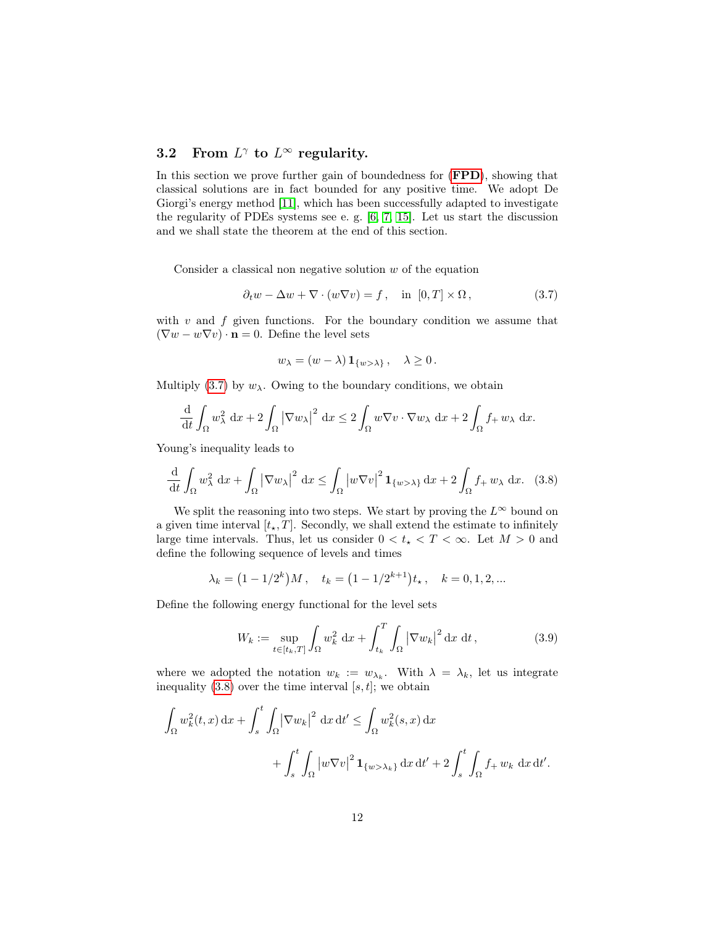#### 3.2 From  $L^{\gamma}$  to  $L^{\infty}$  regularity.

In this section we prove further gain of boundedness for ([FPD](#page-3-1)), showing that classical solutions are in fact bounded for any positive time. We adopt De Giorgi's energy method [\[11\]](#page-37-11), which has been successfully adapted to investigate the regularity of PDEs systems see e. g. [\[6,](#page-36-4) [7,](#page-36-5) [15\]](#page-37-12). Let us start the discussion and we shall state the theorem at the end of this section.

Consider a classical non negative solution  $w$  of the equation

<span id="page-11-0"></span>
$$
\partial_t w - \Delta w + \nabla \cdot (w \nabla v) = f, \quad \text{in } [0, T] \times \Omega,
$$
\n(3.7)

with  $v$  and  $f$  given functions. For the boundary condition we assume that  $(\nabla w - w\nabla v) \cdot \mathbf{n} = 0$ . Define the level sets

$$
w_{\lambda} = (w - \lambda) \mathbf{1}_{\{w > \lambda\}}, \quad \lambda \ge 0.
$$

Multiply [\(3.7\)](#page-11-0) by  $w_{\lambda}$ . Owing to the boundary conditions, we obtain

$$
\frac{\mathrm{d}}{\mathrm{d}t} \int_{\Omega} w_{\lambda}^2 \, \mathrm{d}x + 2 \int_{\Omega} |\nabla w_{\lambda}|^2 \, \mathrm{d}x \le 2 \int_{\Omega} w \nabla v \cdot \nabla w_{\lambda} \, \mathrm{d}x + 2 \int_{\Omega} f_+ \, w_{\lambda} \, \mathrm{d}x.
$$

Young's inequality leads to

<span id="page-11-1"></span>
$$
\frac{\mathrm{d}}{\mathrm{d}t} \int_{\Omega} w_{\lambda}^{2} \mathrm{d}x + \int_{\Omega} \left| \nabla w_{\lambda} \right|^{2} \mathrm{d}x \le \int_{\Omega} \left| w \nabla v \right|^{2} \mathbf{1}_{\{w > \lambda\}} \mathrm{d}x + 2 \int_{\Omega} f_{+} w_{\lambda} \mathrm{d}x. \tag{3.8}
$$

We split the reasoning into two steps. We start by proving the  $L^{\infty}$  bound on a given time interval  $[t_{\star}, T]$ . Secondly, we shall extend the estimate to infinitely large time intervals. Thus, let us consider  $0 < t_{\star} < T < \infty$ . Let  $M > 0$  and define the following sequence of levels and times

$$
\lambda_k = (1 - 1/2^k)M
$$
,  $t_k = (1 - 1/2^{k+1})t_\star$ ,  $k = 0, 1, 2, ...$ 

Define the following energy functional for the level sets

<span id="page-11-2"></span>
$$
W_k := \sup_{t \in [t_k, T]} \int_{\Omega} w_k^2 \, \mathrm{d}x + \int_{t_k}^T \int_{\Omega} |\nabla w_k|^2 \, \mathrm{d}x \, \mathrm{d}t, \tag{3.9}
$$

where we adopted the notation  $w_k := w_{\lambda_k}$ . With  $\lambda = \lambda_k$ , let us integrate inequality  $(3.8)$  over the time interval  $[s, t]$ ; we obtain

$$
\int_{\Omega} w_k^2(t, x) dx + \int_s^t \int_{\Omega} |\nabla w_k|^2 dx dt' \le \int_{\Omega} w_k^2(s, x) dx
$$
  
+ 
$$
\int_s^t \int_{\Omega} |w \nabla v|^2 \mathbf{1}_{\{w > \lambda_k\}} dx dt' + 2 \int_s^t \int_{\Omega} f_+ w_k dx dt'.
$$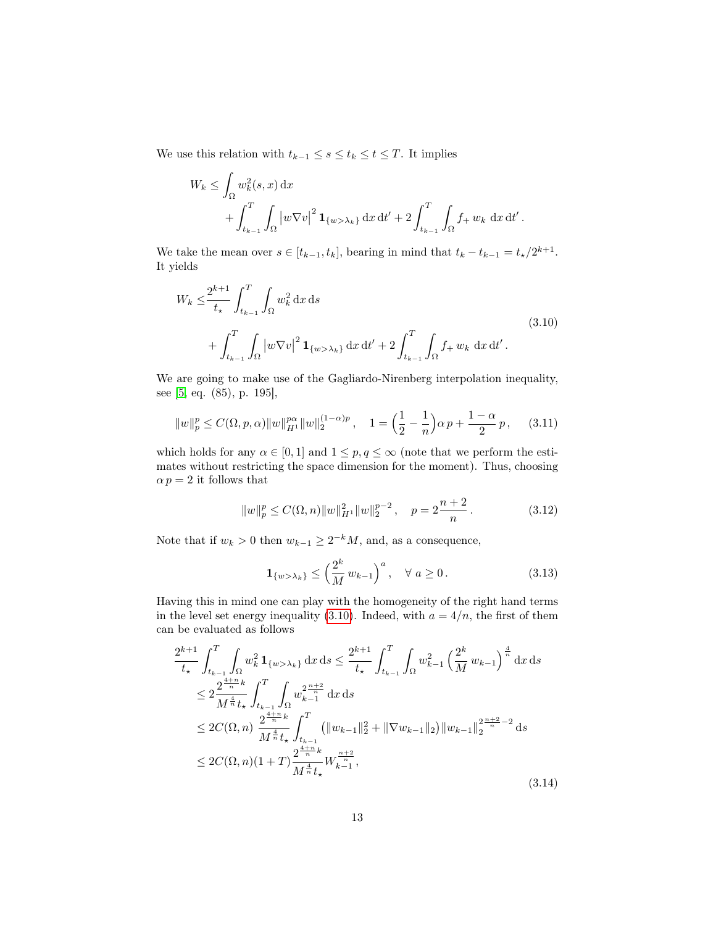We use this relation with  $t_{k-1} \leq s \leq t_k \leq t \leq T$ . It implies

$$
W_k \leq \int_{\Omega} w_k^2(s, x) dx
$$
  
+ 
$$
\int_{t_{k-1}}^T \int_{\Omega} \left| w \nabla v \right|^2 \mathbf{1}_{\{w > \lambda_k\}} dx dt' + 2 \int_{t_{k-1}}^T \int_{\Omega} f_+ w_k dx dt'
$$

<span id="page-12-0"></span>.

We take the mean over  $s \in [t_{k-1}, t_k]$ , bearing in mind that  $t_k - t_{k-1} = t_{\star}/2^{k+1}$ . It yields

$$
W_k \le \frac{2^{k+1}}{t_\star} \int_{t_{k-1}}^T \int_{\Omega} w_k^2 \, dx \, ds
$$
  
+ 
$$
\int_{t_{k-1}}^T \int_{\Omega} |w \nabla v|^2 \, \mathbf{1}_{\{w > \lambda_k\}} \, dx \, dt' + 2 \int_{t_{k-1}}^T \int_{\Omega} f_+ \, w_k \, dx \, dt' .
$$
 (3.10)

We are going to make use of the Gagliardo-Nirenberg interpolation inequality, see [\[5,](#page-36-3) eq. (85), p. 195],

<span id="page-12-3"></span>
$$
||w||_p^p \le C(\Omega, p, \alpha) ||w||_{H^1}^{p\alpha} ||w||_2^{(1-\alpha)p}, \quad 1 = \left(\frac{1}{2} - \frac{1}{n}\right) \alpha p + \frac{1-\alpha}{2} p,\tag{3.11}
$$

which holds for any  $\alpha \in [0,1]$  and  $1 \leq p, q \leq \infty$  (note that we perform the estimates without restricting the space dimension for the moment). Thus, choosing  $\alpha p = 2$  it follows that

<span id="page-12-1"></span>
$$
||w||_p^p \le C(\Omega, n) ||w||_{H^1}^2 ||w||_2^{p-2}, \quad p = 2\frac{n+2}{n}.
$$
 (3.12)

Note that if  $w_k > 0$  then  $w_{k-1} \geq 2^{-k}M$ , and, as a consequence,

<span id="page-12-2"></span>
$$
\mathbf{1}_{\{w>\lambda_k\}} \le \left(\frac{2^k}{M} w_{k-1}\right)^a, \quad \forall \ a \ge 0. \tag{3.13}
$$

Having this in mind one can play with the homogeneity of the right hand terms in the level set energy inequality [\(3.10\)](#page-12-0). Indeed, with  $a = 4/n$ , the first of them can be evaluated as follows

<span id="page-12-4"></span>
$$
\frac{2^{k+1}}{t_{\star}} \int_{t_{k-1}}^{T} \int_{\Omega} w_k^2 \mathbf{1}_{\{w > \lambda_k\}} \, dx \, ds \le \frac{2^{k+1}}{t_{\star}} \int_{t_{k-1}}^{T} \int_{\Omega} w_{k-1}^2 \left(\frac{2^k}{M} w_{k-1}\right)^{\frac{4}{n}} \, dx \, ds \n\le 2 \frac{2^{\frac{4+n}{n}} k}{M^{\frac{4}{n}} t_{\star}} \int_{t_{k-1}}^{T} \int_{\Omega} w_{k-1}^{2^{\frac{n+2}{n}}} \, dx \, ds \n\le 2C(\Omega, n) \frac{2^{\frac{4+n}{n}} k}{M^{\frac{4}{n}} t_{\star}} \int_{t_{k-1}}^{T} \left( \|w_{k-1}\|_{2}^2 + \|\nabla w_{k-1}\|_{2} \right) \|w_{k-1}\|_{2}^{2^{\frac{n+2}{n}-2}} \, ds \n\le 2C(\Omega, n) (1+T) \frac{2^{\frac{4+n}{n}} k}{M^{\frac{4}{n}} t_{\star}} W_{k-1}^{\frac{n+2}{n}} ,
$$
\n(3.14)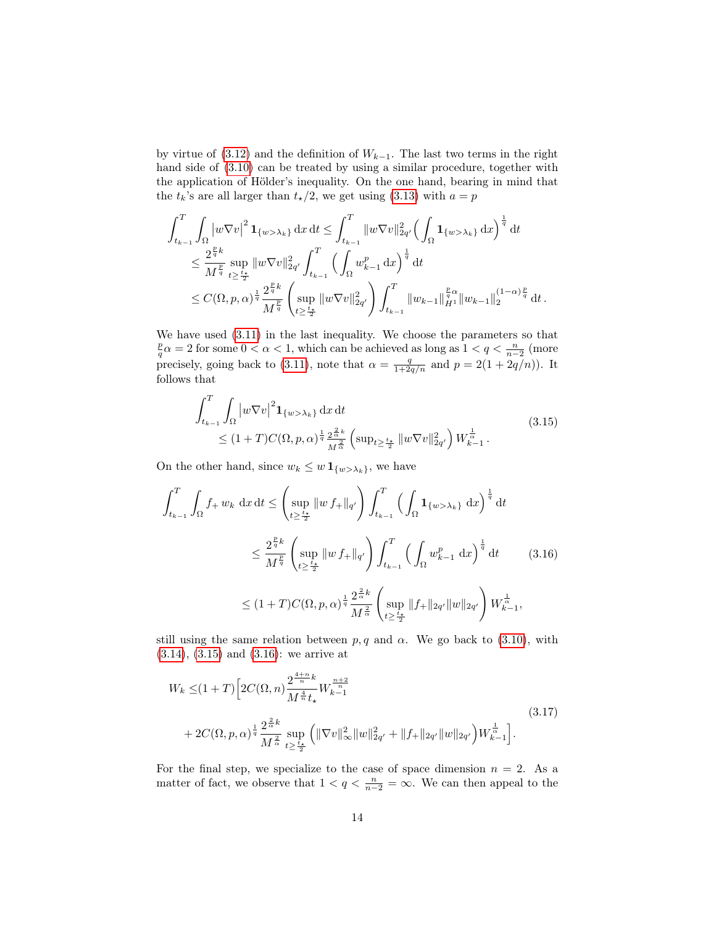by virtue of [\(3.12\)](#page-12-1) and the definition of  $W_{k-1}$ . The last two terms in the right hand side of [\(3.10\)](#page-12-0) can be treated by using a similar procedure, together with the application of Hölder's inequality. On the one hand, bearing in mind that the  $t_k$ 's are all larger than  $t_{\star}/2$ , we get using [\(3.13\)](#page-12-2) with  $a = p$ 

$$
\begin{split} & \int_{t_{k-1}}^T \int_{\Omega} \left| w \nabla v \right|^2 \mathbf{1}_{\{w > \lambda_k\}} \, \mathrm{d}x \, \mathrm{d}t \leq \int_{t_{k-1}}^T \| w \nabla v \|^2_{2q'} \Big( \int_{\Omega} \mathbf{1}_{\{w > \lambda_k\}} \, \mathrm{d}x \Big)^{\frac{1}{q}} \, \mathrm{d}t \\ & \leq \frac{2^{\frac{p}{q}k}}{M^{\frac{p}{q}}} \sup_{t \geq \frac{t_{2}}{2}} \| w \nabla v \|^2_{2q'} \int_{t_{k-1}}^T \Big( \int_{\Omega} w_{k-1}^p \, \mathrm{d}x \Big)^{\frac{1}{q}} \, \mathrm{d}t \\ & \leq C(\Omega, p, \alpha)^{\frac{1}{q}} \frac{2^{\frac{p}{q}k}}{M^{\frac{p}{q}}} \left( \sup_{t \geq \frac{t_{2}}{2}} \| w \nabla v \|^2_{2q'} \right) \int_{t_{k-1}}^T \| w_{k-1} \|_{H^1}^{\frac{p}{q}} \| w_{k-1} \|_{2}^{(1-\alpha)\frac{p}{q}} \, \mathrm{d}t \,. \end{split}
$$

We have used [\(3.11\)](#page-12-3) in the last inequality. We choose the parameters so that  $\frac{p}{q} \alpha = 2$  for some  $0 < \alpha < 1$ , which can be achieved as long as  $1 < q < \frac{n}{n-2}$  (more precisely, going back to [\(3.11\)](#page-12-3), note that  $\alpha = \frac{q}{1+2q/n}$  and  $p = 2(1+2q/n)$ . It follows that

<span id="page-13-1"></span><span id="page-13-0"></span>
$$
\int_{t_{k-1}}^{T} \int_{\Omega} \left| w \nabla v \right|^2 \mathbf{1}_{\{w > \lambda_k\}} \, \mathrm{d}x \, \mathrm{d}t \n\leq (1+T) C(\Omega, p, \alpha)^{\frac{1}{q}} \frac{2^{\frac{2}{\alpha}k}}{M^{\frac{2}{\alpha}}} \left( \sup_{t \geq \frac{t_{\ast}}{2}} \| w \nabla v \|_{2q'}^2 \right) W_{k-1}^{\frac{1}{\alpha}}.
$$
\n(3.15)

On the other hand, since  $w_k \leq w \mathbf{1}_{\{w > \lambda_k\}}$ , we have

$$
\int_{t_{k-1}}^{T} \int_{\Omega} f_{+} w_{k} \, dx \, dt \leq \left( \sup_{t \geq \frac{t_{*}}{2}} \|w f_{+}\|_{q'} \right) \int_{t_{k-1}}^{T} \left( \int_{\Omega} \mathbf{1}_{\{w > \lambda_{k}\}} \, dx \right)^{\frac{1}{q}} dt
$$
\n
$$
\leq \frac{2^{\frac{p}{q}k}}{M^{\frac{p}{q}}} \left( \sup_{t \geq \frac{t_{*}}{2}} \|w f_{+}\|_{q'} \right) \int_{t_{k-1}}^{T} \left( \int_{\Omega} w_{k-1}^{p} \, dx \right)^{\frac{1}{q}} dt \qquad (3.16)
$$
\n
$$
\leq (1+T)C(\Omega, p, \alpha)^{\frac{1}{q}} \frac{2^{\frac{2}{\alpha}k}}{M^{\frac{2}{\alpha}}} \left( \sup_{t \geq \frac{t_{*}}{2}} \|f_{+}\|_{2q'} \|w\|_{2q'} \right) W_{k-1}^{\frac{1}{\alpha}},
$$

still using the same relation between  $p, q$  and  $\alpha$ . We go back to [\(3.10\)](#page-12-0), with [\(3.14\)](#page-12-4), [\(3.15\)](#page-13-0) and [\(3.16\)](#page-13-1): we arrive at

<span id="page-13-2"></span>
$$
W_k \leq (1+T) \Big[ 2C(\Omega, n) \frac{2^{\frac{4+n}{n}k}}{M^{\frac{4}{n}} t_\star} W_{k-1}^{\frac{n+2}{n}} + 2C(\Omega, p, \alpha)^{\frac{1}{q}} \frac{2^{\frac{2}{\alpha}k}}{M^{\frac{2}{\alpha}}} \sup_{t \geq \frac{t_\star}{2}} \Big( \| \nabla v \|_{\infty}^2 \| w \|_{2q'}^2 + \| f_+ \|_{2q'} \| w \|_{2q'} \Big) W_{k-1}^{\frac{1}{\alpha}} \Big].
$$
\n(3.17)

For the final step, we specialize to the case of space dimension  $n = 2$ . As a matter of fact, we observe that  $1 < q < \frac{n}{n-2} = \infty$ . We can then appeal to the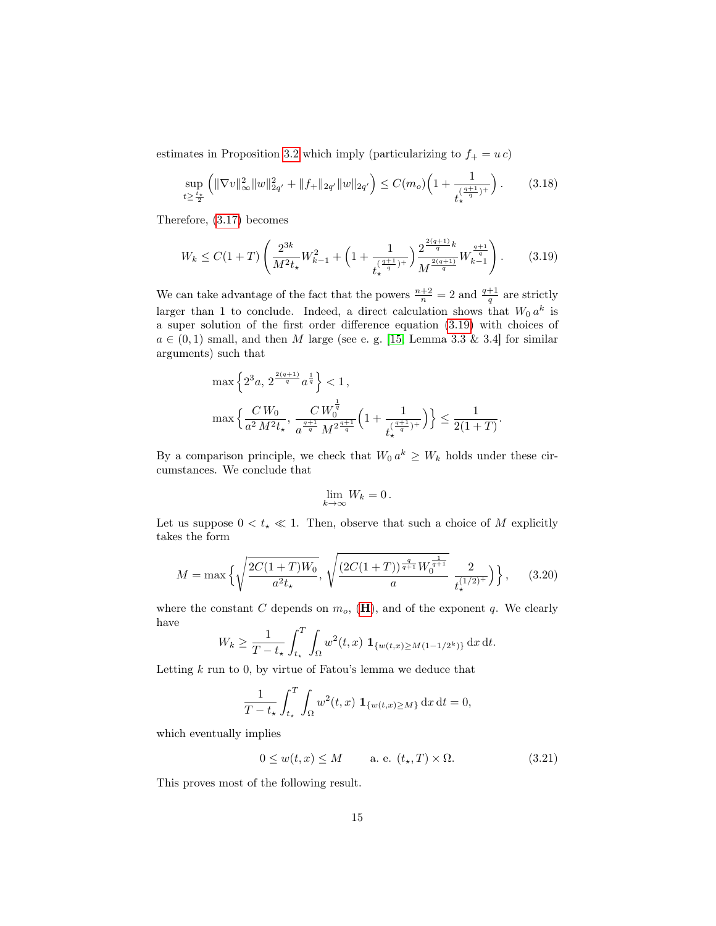estimates in Proposition [3.2](#page-7-1) which imply (particularizing to  $f_+ = u c$ )

<span id="page-14-3"></span>
$$
\sup_{t \ge \frac{t_*}{2}} \left( \|\nabla v\|_{\infty}^2 \|w\|_{2q'}^2 + \|f_+\|_{2q'} \|w\|_{2q'} \right) \le C(m_o) \left( 1 + \frac{1}{t_*^{\left(\frac{q+1}{q}\right)+}} \right). \tag{3.18}
$$

Therefore, [\(3.17\)](#page-13-2) becomes

<span id="page-14-0"></span>
$$
W_k \le C(1+T) \left( \frac{2^{3k}}{M^2 t_\star} W_{k-1}^2 + \left( 1 + \frac{1}{t_\star^{\left( \frac{q+1}{q} \right) +}} \right) \frac{2^{\frac{2(q+1)}{q}k}}{M^{\frac{2(q+1)}{q}}} W_{k-1}^{\frac{q+1}{q}} \right). \tag{3.19}
$$

We can take advantage of the fact that the powers  $\frac{n+2}{n} = 2$  and  $\frac{q+1}{q}$  are strictly larger than 1 to conclude. Indeed, a direct calculation shows that  $W_0 a^k$  is a super solution of the first order difference equation [\(3.19\)](#page-14-0) with choices of  $a \in (0,1)$  small, and then M large (see e.g. [\[15,](#page-37-12) Lemma 3.3 & 3.4] for similar arguments) such that

$$
\begin{aligned} &\max\left\{2^3a,\,2^{\frac{2(q+1)}{q}}a^{\frac{1}{q}}\right\}<1\,,\\ &\max\Big\{\frac{C\,W_0}{a^2\,M^2t_\star},\,\frac{C\,W_0^{\frac{1}{q}}}{a^{\frac{q+1}{q}}\,M^{2\frac{q+1}{q}}}\Big(1+\frac{1}{t_\star^{\left(\frac{q+1}{q}\right)+}}\Big)\Big\}\le\frac{1}{2(1+T)}. \end{aligned}
$$

By a comparison principle, we check that  $W_0 a^k \geq W_k$  holds under these circumstances. We conclude that

$$
\lim_{k\to\infty}W_k=0.
$$

Let us suppose  $0 < t_{\star} \ll 1$ . Then, observe that such a choice of M explicitly takes the form

<span id="page-14-1"></span>
$$
M = \max\left\{\sqrt{\frac{2C(1+T)W_0}{a^2 t_\star}}, \sqrt{\frac{(2C(1+T))^{\frac{q}{q+1}} W_0^{\frac{1}{q+1}}}{a}} \frac{2}{t_\star^{(1/2)^+}}\right\},\qquad(3.20)
$$

where the constant C depends on  $m_o$ ,  $(\mathbf{H})$  $(\mathbf{H})$  $(\mathbf{H})$ , and of the exponent q. We clearly have

$$
W_k \ge \frac{1}{T - t_*} \int_{t_*}^T \int_{\Omega} w^2(t, x) \mathbf{1}_{\{w(t, x) \ge M(1 - 1/2^k)\}} dx dt.
$$

Letting  $k$  run to 0, by virtue of Fatou's lemma we deduce that

$$
\frac{1}{T-t_{\star}}\int_{t_{\star}}^{T}\int_{\Omega}w^{2}(t,x)\mathbf{1}_{\{w(t,x)\geq M\}}\,\mathrm{d}x\,\mathrm{d}t=0,
$$

which eventually implies

<span id="page-14-2"></span>
$$
0 \le w(t, x) \le M \qquad \text{a. e. } (t_\star, T) \times \Omega. \tag{3.21}
$$

This proves most of the following result.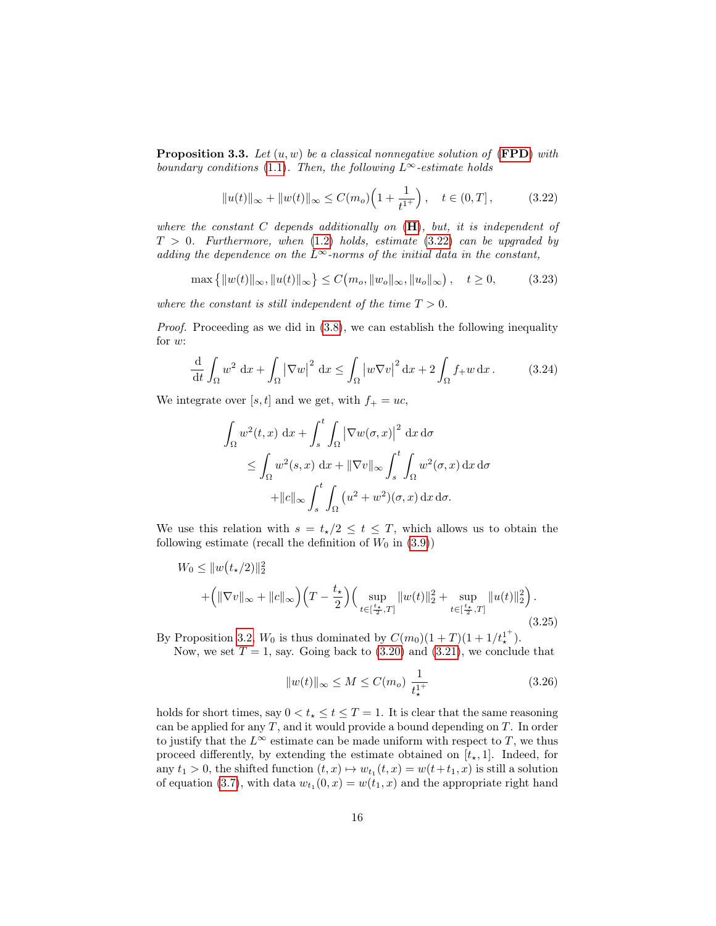<span id="page-15-4"></span>**Proposition 3.3.** Let  $(u, w)$  be a classical nonnegative solution of (**[FPD](#page-3-1)**) with boundary conditions [\(1.1\)](#page-2-1). Then, the following  $L^{\infty}$ -estimate holds

<span id="page-15-1"></span>
$$
||u(t)||_{\infty} + ||w(t)||_{\infty} \le C(m_o) \left( 1 + \frac{1}{t^{1+}} \right), \quad t \in (0, T], \tag{3.22}
$$

where the constant C depends additionally on  $(H)$  $(H)$  $(H)$ , but, it is independent of  $T > 0$ . Furthermore, when  $(1.2)$  holds, estimate  $(3.22)$  can be upgraded by adding the dependence on the  $L^{\infty}$ -norms of the initial data in the constant,

<span id="page-15-0"></span> $\max\{|w(t)\|_{\infty}, \|u(t)\|_{\infty}\} \le C(m_o, \|w_o\|_{\infty}, \|u_o\|_{\infty}), \quad t \ge 0,$  (3.23)

where the constant is still independent of the time  $T > 0$ .

Proof. Proceeding as we did in [\(3.8\)](#page-11-1), we can establish the following inequality for  $w$ :

<span id="page-15-3"></span>
$$
\frac{\mathrm{d}}{\mathrm{d}t} \int_{\Omega} w^2 \, \mathrm{d}x + \int_{\Omega} |\nabla w|^2 \, \mathrm{d}x \le \int_{\Omega} |w \nabla v|^2 \, \mathrm{d}x + 2 \int_{\Omega} f_+ w \, \mathrm{d}x. \tag{3.24}
$$

We integrate over [s, t] and we get, with  $f_+ = uc$ ,

$$
\int_{\Omega} w^2(t, x) dx + \int_s^t \int_{\Omega} |\nabla w(\sigma, x)|^2 dx d\sigma
$$
  
\n
$$
\leq \int_{\Omega} w^2(s, x) dx + ||\nabla v||_{\infty} \int_s^t \int_{\Omega} w^2(\sigma, x) dx d\sigma
$$
  
\n
$$
+ ||c||_{\infty} \int_s^t \int_{\Omega} (u^2 + w^2)(\sigma, x) dx d\sigma.
$$

We use this relation with  $s = t_{\star}/2 \leq t \leq T$ , which allows us to obtain the following estimate (recall the definition of  $W_0$  in  $(3.9)$ )

$$
W_0 \le ||w(t_{\star}/2)||_2^2
$$
  
+  $\left(||\nabla v||_{\infty} + ||c||_{\infty}\right) \left(T - \frac{t_{\star}}{2}\right) \left(\sup_{t \in [\frac{t_{\star}}{2}, T]} ||w(t)||_2^2 + \sup_{t \in [\frac{t_{\star}}{2}, T]} ||u(t)||_2^2\right).$  (3.25)

By Proposition [3.2,](#page-7-1)  $W_0$  is thus dominated by  $C(m_0)(1+T)(1+1/t_\star^{1^+})$ .

Now, we set  $T = 1$ , say. Going back to [\(3.20\)](#page-14-1) and [\(3.21\)](#page-14-2), we conclude that

<span id="page-15-2"></span>
$$
||w(t)||_{\infty} \le M \le C(m_o) \frac{1}{t_{\star}^{1+}} \tag{3.26}
$$

holds for short times, say  $0 < t_{\star} \leq t \leq T = 1$ . It is clear that the same reasoning can be applied for any  $T$ , and it would provide a bound depending on  $T$ . In order to justify that the  $L^{\infty}$  estimate can be made uniform with respect to T, we thus proceed differently, by extending the estimate obtained on  $[t<sub>*</sub>, 1]$ . Indeed, for any  $t_1 > 0$ , the shifted function  $(t, x) \mapsto w_{t_1}(t, x) = w(t+t_1, x)$  is still a solution of equation [\(3.7\)](#page-11-0), with data  $w_{t_1}(0, x) = w(t_1, x)$  and the appropriate right hand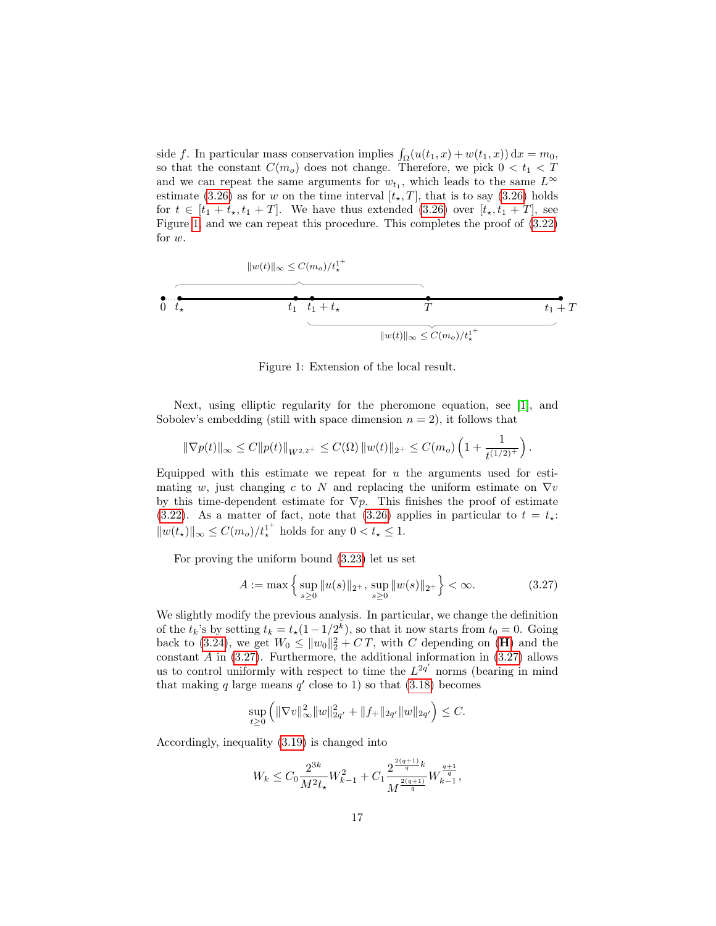side f. In particular mass conservation implies  $\int_{\Omega} (u(t_1, x) + w(t_1, x)) dx = m_0$ , so that the constant  $C(m_o)$  does not change. Therefore, we pick  $0 < t_1 < T$ and we can repeat the same arguments for  $w_{t_1}$ , which leads to the same  $L^{\infty}$ estimate [\(3.26\)](#page-15-2) as for w on the time interval  $[t_{\star}, T]$ , that is to say (3.26) holds for  $t \in [t_1 + t_\star, t_1 + T]$ . We have thus extended [\(3.26\)](#page-15-2) over  $[t_\star, t_1 + T]$ , see Figure [1,](#page-16-0) and we can repeat this procedure. This completes the proof of [\(3.22\)](#page-15-1) for w.

$$
\|w(t)\|_{\infty} \leq C(m_o)/t_{\star}^{1+}
$$
\n
$$
t_1 \quad t_1 + t_{\star} \qquad T \qquad t_1 + T
$$
\n
$$
\|w(t)\|_{\infty} \leq C(m_o)/t_{\star}^{1+}
$$

<span id="page-16-0"></span>Figure 1: Extension of the local result.

Next, using elliptic regularity for the pheromone equation, see [\[1\]](#page-36-6), and Sobolev's embedding (still with space dimension  $n = 2$ ), it follows that

$$
\|\nabla p(t)\|_\infty \leq C \|p(t)\|_{W^{2,2^+}} \leq C(\Omega) \|w(t)\|_{2^+} \leq C(m_o) \left(1+\frac{1}{t^{(1/2)^+}}\right).
$$

Equipped with this estimate we repeat for  $u$  the arguments used for estimating w, just changing c to N and replacing the uniform estimate on  $\nabla v$ by this time-dependent estimate for  $\nabla p$ . This finishes the proof of estimate [\(3.22\)](#page-15-1). As a matter of fact, note that [\(3.26\)](#page-15-2) applies in particular to  $t = t_*$ :  $||w(t_\star)||_{\infty} \leq C(m_o)/t_\star^{1^+}$  holds for any  $0 < t_\star \leq 1$ .

For proving the uniform bound [\(3.23\)](#page-15-0) let us set

<span id="page-16-1"></span>
$$
A := \max\left\{\sup_{s \ge 0} \|u(s)\|_{2^+}, \sup_{s \ge 0} \|w(s)\|_{2^+}\right\} < \infty. \tag{3.27}
$$

We slightly modify the previous analysis. In particular, we change the definition of the  $t_k$ 's by setting  $t_k = t_*(1 - 1/2^k)$ , so that it now starts from  $t_0 = 0$ . Going back to [\(3.24\)](#page-15-3), we get  $W_0 \leq ||w_0||_2^2 + C T$ , with C depending on (**[H](#page-5-0)**) and the constant  $A$  in [\(3.27\)](#page-16-1). Furthermore, the additional information in (3.27) allows us to control uniformly with respect to time the  $L^{2q'}$  norms (bearing in mind that making q large means  $q'$  close to 1) so that  $(3.18)$  becomes

$$
\sup_{t\geq 0}\left(\|\nabla v\|_{\infty}^2\|w\|_{2q'}^2+\|f_+\|_{2q'}\|w\|_{2q'}\right)\leq C.
$$

Accordingly, inequality [\(3.19\)](#page-14-0) is changed into

$$
W_k \le C_0 \frac{2^{3k}}{M^2 t_\star} W_{k-1}^2 + C_1 \frac{2^{\frac{2(q+1)}{q}k}}{M^{\frac{2(q+1)}{q}}} W_{k-1}^{\frac{q+1}{q}},
$$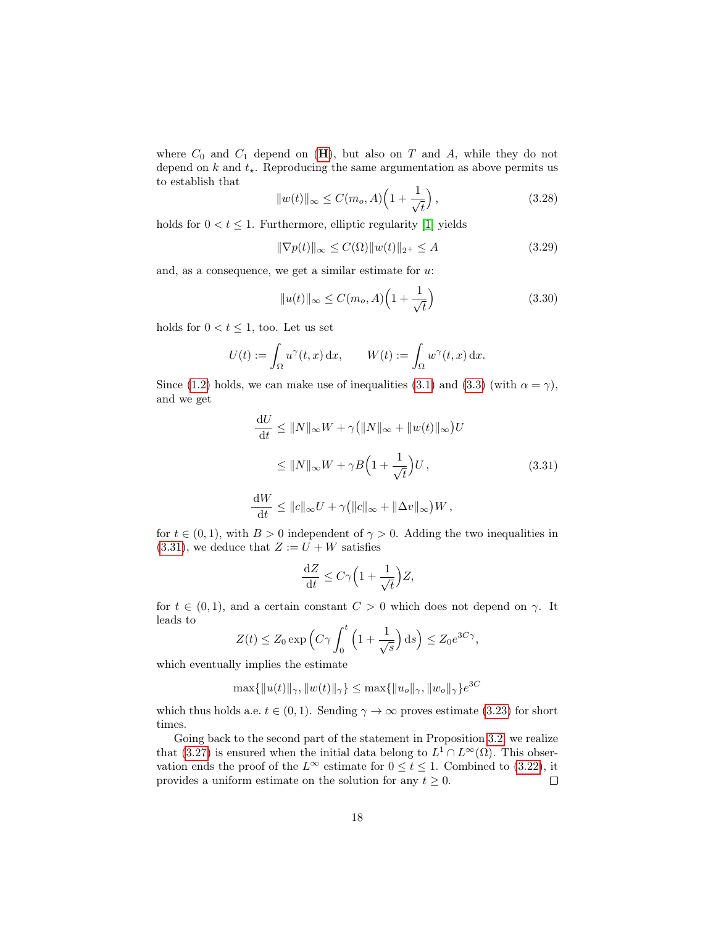where  $C_0$  and  $C_1$  depend on  $(H)$  $(H)$  $(H)$ , but also on T and A, while they do not depend on k and  $t_{\star}$ . Reproducing the same argumentation as above permits us to establish that

<span id="page-17-1"></span>
$$
||w(t)||_{\infty} \le C(m_o, A)\left(1 + \frac{1}{\sqrt{t}}\right),\tag{3.28}
$$

holds for  $0 < t \leq 1$ . Furthermore, elliptic regularity [\[1\]](#page-36-6) yields

<span id="page-17-2"></span>
$$
\|\nabla p(t)\|_{\infty} \le C(\Omega) \|w(t)\|_{2^+} \le A \tag{3.29}
$$

and, as a consequence, we get a similar estimate for u:

<span id="page-17-3"></span>
$$
||u(t)||_{\infty} \le C(m_o, A)\left(1 + \frac{1}{\sqrt{t}}\right)
$$
\n(3.30)

holds for  $0 < t \leq 1$ , too. Let us set

$$
U(t) := \int_{\Omega} u^{\gamma}(t, x) dx, \qquad W(t) := \int_{\Omega} w^{\gamma}(t, x) dx.
$$

Since [\(1.2\)](#page-3-0) holds, we can make use of inequalities [\(3.1\)](#page-7-0) and [\(3.3\)](#page-8-1) (with  $\alpha = \gamma$ ), and we get

$$
\frac{dU}{dt} \le ||N||_{\infty}W + \gamma (||N||_{\infty} + ||w(t)||_{\infty})U
$$
  
\n
$$
\le ||N||_{\infty}W + \gamma B\left(1 + \frac{1}{\sqrt{t}}\right)U,
$$
  
\n
$$
\frac{dW}{dt} \le ||c||_{\infty}U + \gamma (||c||_{\infty} + ||\Delta v||_{\infty})W,
$$
\n(3.31)

for  $t \in (0,1)$ , with  $B > 0$  independent of  $\gamma > 0$ . Adding the two inequalities in  $(3.31)$ , we deduce that  $Z := U + W$  satisfies

<span id="page-17-0"></span>
$$
\frac{\mathrm{d}Z}{\mathrm{d}t} \leq C\gamma \Big(1+\frac{1}{\sqrt{t}}\Big)Z,
$$

for  $t \in (0,1)$ , and a certain constant  $C > 0$  which does not depend on  $\gamma$ . It leads to

$$
Z(t) \le Z_0 \exp\left(C\gamma \int_0^t \left(1 + \frac{1}{\sqrt{s}}\right) \mathrm{d}s\right) \le Z_0 e^{3C\gamma},
$$

which eventually implies the estimate

$$
\max\{\|u(t)\|_{\gamma}, \|w(t)\|_{\gamma}\} \le \max\{\|u_o\|_{\gamma}, \|w_o\|_{\gamma}\}e^{3C}
$$

which thus holds a.e.  $t \in (0, 1)$ . Sending  $\gamma \to \infty$  proves estimate [\(3.23\)](#page-15-0) for short times.

Going back to the second part of the statement in Proposition [3.2,](#page-7-1) we realize that [\(3.27\)](#page-16-1) is ensured when the initial data belong to  $L^1 \cap L^{\infty}(\Omega)$ . This observation ends the proof of the  $L^{\infty}$  estimate for  $0 \le t \le 1$ . Combined to [\(3.22\)](#page-15-1), it provides a uniform estimate on the solution for any  $t \geq 0$ .  $\Box$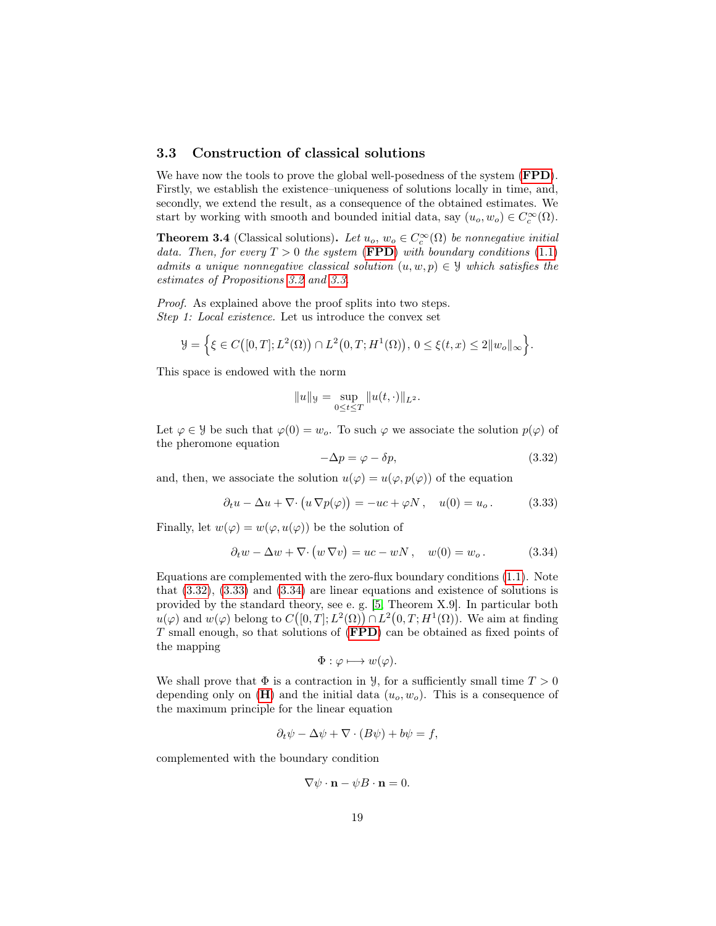#### 3.3 Construction of classical solutions

We have now the tools to prove the global well-posedness of the system (**[FPD](#page-3-1)**). Firstly, we establish the existence–uniqueness of solutions locally in time, and, secondly, we extend the result, as a consequence of the obtained estimates. We start by working with smooth and bounded initial data, say  $(u_o, w_o) \in C_c^{\infty}(\Omega)$ .

<span id="page-18-3"></span>**Theorem 3.4** (Classical solutions). Let  $u_o, w_o \in C_c^{\infty}(\Omega)$  be nonnegative initial data. Then, for every  $T > 0$  the system ([FPD](#page-3-1)) with boundary conditions [\(1.1\)](#page-2-1) admits a unique nonnegative classical solution  $(u, w, p) \in \mathcal{Y}$  which satisfies the estimates of Propositions [3.2](#page-7-1) and [3.3.](#page-15-4)

Proof. As explained above the proof splits into two steps. Step 1: Local existence. Let us introduce the convex set

$$
\mathcal{Y} = \left\{ \xi \in C([0, T]; L^2(\Omega)) \cap L^2(0, T; H^1(\Omega)), 0 \le \xi(t, x) \le 2||w_o||_{\infty} \right\}.
$$

This space is endowed with the norm

$$
||u||_y = \sup_{0 \le t \le T} ||u(t, \cdot)||_{L^2}.
$$

Let  $\varphi \in \mathcal{Y}$  be such that  $\varphi(0) = w_o$ . To such  $\varphi$  we associate the solution  $p(\varphi)$  of the pheromone equation

<span id="page-18-0"></span>
$$
-\Delta p = \varphi - \delta p,\tag{3.32}
$$

and, then, we associate the solution  $u(\varphi) = u(\varphi, p(\varphi))$  of the equation

<span id="page-18-1"></span>
$$
\partial_t u - \Delta u + \nabla \cdot \left( u \, \nabla p(\varphi) \right) = -uc + \varphi N \,, \quad u(0) = u_o \,. \tag{3.33}
$$

Finally, let  $w(\varphi) = w(\varphi, u(\varphi))$  be the solution of

<span id="page-18-2"></span>
$$
\partial_t w - \Delta w + \nabla \cdot \left( w \, \nabla v \right) = uc - wN \,, \quad w(0) = w_o \,. \tag{3.34}
$$

Equations are complemented with the zero-flux boundary conditions [\(1.1\)](#page-2-1). Note that [\(3.32\)](#page-18-0), [\(3.33\)](#page-18-1) and [\(3.34\)](#page-18-2) are linear equations and existence of solutions is provided by the standard theory, see e. g. [\[5,](#page-36-3) Theorem X.9]. In particular both  $u(\varphi)$  and  $w(\varphi)$  belong to  $C([0,T];L^2(\Omega)) \cap L^2(0,T;H^1(\Omega))$ . We aim at finding T small enough, so that solutions of ([FPD](#page-3-1)) can be obtained as fixed points of the mapping

$$
\Phi: \varphi \longmapsto w(\varphi).
$$

We shall prove that  $\Phi$  is a contraction in  $\mathcal{Y}$ , for a sufficiently small time  $T > 0$ depending only on  $(H)$  $(H)$  $(H)$  and the initial data  $(u_0, w_0)$ . This is a consequence of the maximum principle for the linear equation

$$
\partial_t \psi - \Delta \psi + \nabla \cdot (B\psi) + b\psi = f,
$$

complemented with the boundary condition

$$
\nabla \psi \cdot \mathbf{n} - \psi B \cdot \mathbf{n} = 0.
$$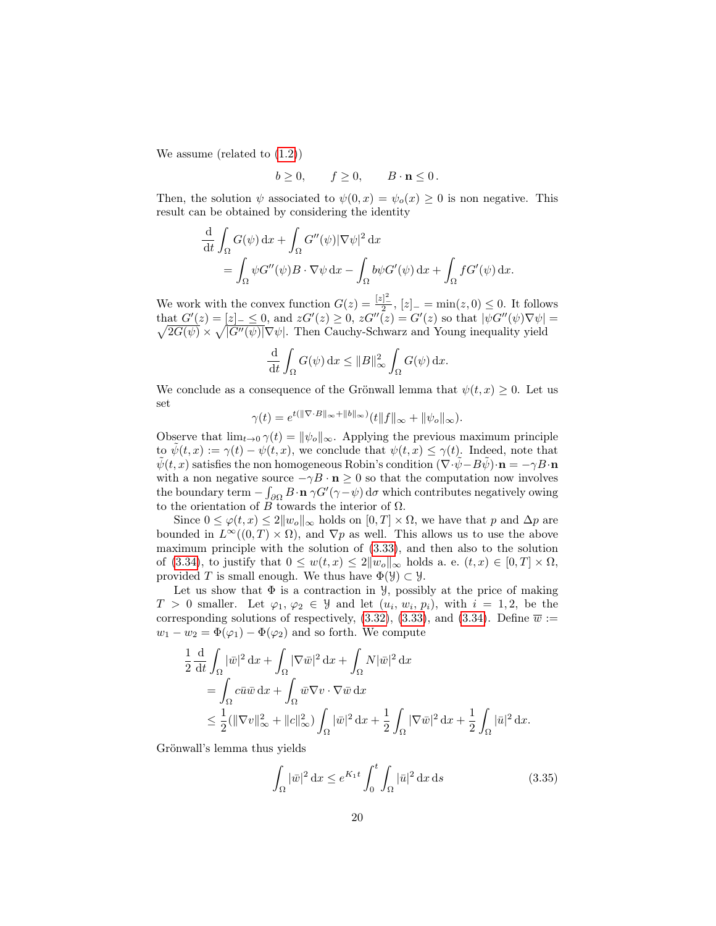We assume (related to [\(1.2\)](#page-3-0))

$$
b \ge 0, \qquad f \ge 0, \qquad B \cdot \mathbf{n} \le 0.
$$

Then, the solution  $\psi$  associated to  $\psi(0, x) = \psi_o(x) \geq 0$  is non negative. This result can be obtained by considering the identity

$$
\frac{\mathrm{d}}{\mathrm{d}t} \int_{\Omega} G(\psi) \, \mathrm{d}x + \int_{\Omega} G''(\psi) |\nabla \psi|^2 \, \mathrm{d}x \n= \int_{\Omega} \psi G''(\psi) B \cdot \nabla \psi \, \mathrm{d}x - \int_{\Omega} b\psi G'(\psi) \, \mathrm{d}x + \int_{\Omega} f G'(\psi) \, \mathrm{d}x.
$$

We work with the convex function  $G(z) = \frac{[z]^2}{2}$ ,  $[z]_-=\min(z,0) \leq 0$ . It follows that  $G'(z) = [z]_-\leq 0$ , and  $zG'(z) \geq 0$ ,  $zG''(z) = G'(z)$  so that  $|\psi G''(\psi) \nabla \psi| =$  $\sqrt{2G(\psi)} \times \sqrt{|G''(\psi)|} \nabla \psi$ . Then Cauchy-Schwarz and Young inequality yield

$$
\frac{\mathrm{d}}{\mathrm{d}t} \int_{\Omega} G(\psi) \, \mathrm{d}x \le \|B\|_{\infty}^2 \int_{\Omega} G(\psi) \, \mathrm{d}x.
$$

We conclude as a consequence of the Grönwall lemma that  $\psi(t, x) \geq 0$ . Let us set

$$
\gamma(t) = e^{t(||\nabla \cdot B||_{\infty} + ||b||_{\infty})} (t||f||_{\infty} + ||\psi_o||_{\infty}).
$$

Observe that  $\lim_{t\to 0} \gamma(t) = ||\psi_o||_{\infty}$ . Applying the previous maximum principle to  $\psi(t, x) := \gamma(t) - \psi(t, x)$ , we conclude that  $\psi(t, x) \leq \gamma(t)$ . Indeed, note that  $\psi(t, x)$  satisfies the non homogeneous Robin's condition  $(\nabla \cdot \psi - B\psi) \cdot \mathbf{n} = -\gamma B \cdot \mathbf{n}$ with a non negative source  $-\gamma B \cdot \mathbf{n} \geq 0$  so that the computation now involves the boundary term  $-\int_{\partial\Omega} B\cdot \mathbf{n} \gamma G'(\gamma-\psi) d\sigma$  which contributes negatively owing to the orientation of B towards the interior of  $\Omega$ .

Since  $0 \le \varphi(t, x) \le 2||w_o||_{\infty}$  holds on  $[0, T] \times \Omega$ , we have that p and  $\Delta p$  are bounded in  $L^{\infty}((0,T) \times \Omega)$ , and  $\nabla p$  as well. This allows us to use the above maximum principle with the solution of [\(3.33\)](#page-18-1), and then also to the solution of [\(3.34\)](#page-18-2), to justify that  $0 \leq w(t,x) \leq 2||w_o||_{\infty}$  holds a. e.  $(t,x) \in [0,T] \times \Omega$ , provided T is small enough. We thus have  $\Phi(\mathcal{Y}) \subset \mathcal{Y}$ .

Let us show that  $\Phi$  is a contraction in  $\mathcal{Y}$ , possibly at the price of making  $T > 0$  smaller. Let  $\varphi_1, \varphi_2 \in \mathcal{Y}$  and let  $(u_i, w_i, p_i)$ , with  $i = 1, 2$ , be the corresponding solutions of respectively,  $(3.32)$ ,  $(3.33)$ , and  $(3.34)$ . Define  $\overline{w}$  :=  $w_1 - w_2 = \Phi(\varphi_1) - \Phi(\varphi_2)$  and so forth. We compute

$$
\frac{1}{2} \frac{d}{dt} \int_{\Omega} |\bar{w}|^2 dx + \int_{\Omega} |\nabla \bar{w}|^2 dx + \int_{\Omega} N |\bar{w}|^2 dx \n= \int_{\Omega} c \bar{u} \bar{w} dx + \int_{\Omega} \bar{w} \nabla v \cdot \nabla \bar{w} dx \n\leq \frac{1}{2} (||\nabla v||_{\infty}^2 + ||c||_{\infty}^2) \int_{\Omega} |\bar{w}|^2 dx + \frac{1}{2} \int_{\Omega} |\nabla \bar{w}|^2 dx + \frac{1}{2} \int_{\Omega} |\bar{u}|^2 dx.
$$

Grönwall's lemma thus yields

<span id="page-19-0"></span>
$$
\int_{\Omega} |\bar{w}|^2 \, \mathrm{d}x \le e^{K_1 t} \int_0^t \int_{\Omega} |\bar{u}|^2 \, \mathrm{d}x \, \mathrm{d}s \tag{3.35}
$$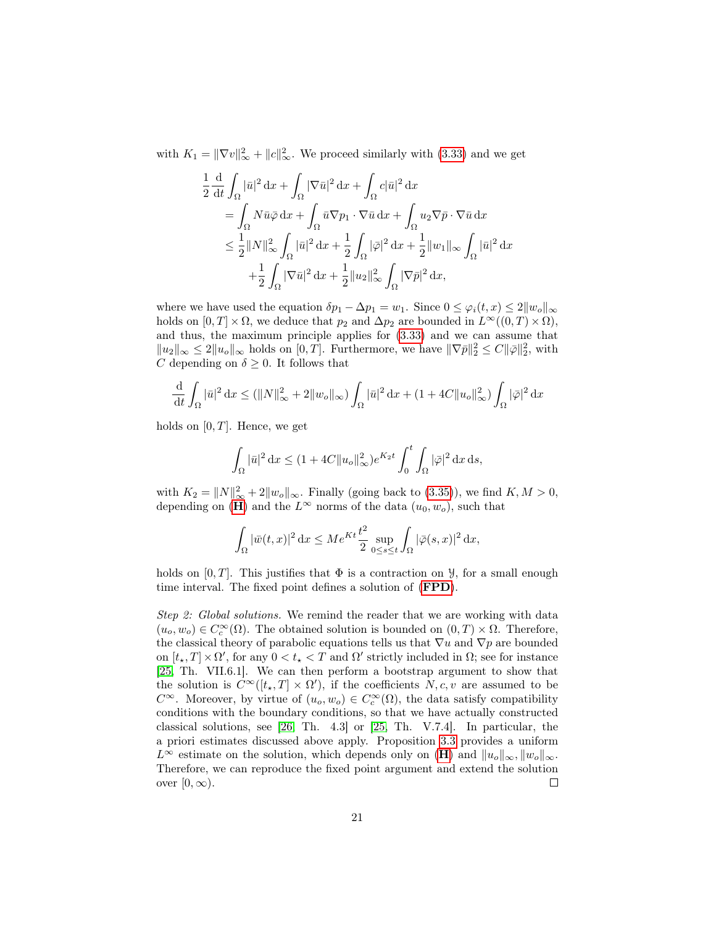with  $K_1 = \|\nabla v\|_{\infty}^2 + \|c\|_{\infty}^2$ . We proceed similarly with [\(3.33\)](#page-18-1) and we get

$$
\frac{1}{2} \frac{d}{dt} \int_{\Omega} |\bar{u}|^2 dx + \int_{\Omega} |\nabla \bar{u}|^2 dx + \int_{\Omega} c |\bar{u}|^2 dx
$$
\n
$$
= \int_{\Omega} N \bar{u} \bar{\varphi} dx + \int_{\Omega} \bar{u} \nabla p_1 \cdot \nabla \bar{u} dx + \int_{\Omega} u_2 \nabla \bar{p} \cdot \nabla \bar{u} dx
$$
\n
$$
\leq \frac{1}{2} ||N||_{\infty}^2 \int_{\Omega} |\bar{u}|^2 dx + \frac{1}{2} \int_{\Omega} |\bar{\varphi}|^2 dx + \frac{1}{2} ||w_1||_{\infty} \int_{\Omega} |\bar{u}|^2 dx
$$
\n
$$
+ \frac{1}{2} \int_{\Omega} |\nabla \bar{u}|^2 dx + \frac{1}{2} ||u_2||_{\infty}^2 \int_{\Omega} |\nabla \bar{p}|^2 dx,
$$

where we have used the equation  $\delta p_1 - \Delta p_1 = w_1$ . Since  $0 \leq \varphi_i(t, x) \leq 2||w_0||_{\infty}$ holds on  $[0, T] \times \Omega$ , we deduce that  $p_2$  and  $\Delta p_2$  are bounded in  $L^{\infty}((0, T) \times \Omega)$ , and thus, the maximum principle applies for [\(3.33\)](#page-18-1) and we can assume that  $||u_2||_{\infty} \leq 2||u_o||_{\infty}$  holds on  $[0, T]$ . Furthermore, we have  $||\nabla \bar{p}||_2^2 \leq C||\bar{\varphi}||_2^2$ , with C depending on  $\delta \geq 0$ . It follows that

$$
\frac{d}{dt} \int_{\Omega} |\bar{u}|^2 dx \le (||N||_{\infty}^2 + 2||w_o||_{\infty}) \int_{\Omega} |\bar{u}|^2 dx + (1 + 4C||u_o||_{\infty}^2) \int_{\Omega} |\bar{\varphi}|^2 dx
$$

holds on  $[0, T]$ . Hence, we get

$$
\int_{\Omega} |\bar{u}|^2 \,dx \le (1 + 4C \|u_o\|_{\infty}^2) e^{K_2 t} \int_0^t \int_{\Omega} |\bar{\varphi}|^2 \,dx \,ds,
$$

with  $K_2 = ||N||_{\infty}^2 + 2||w_o||_{\infty}$ . Finally (going back to [\(3.35\)](#page-19-0)), we find  $K, M > 0$ , depending on  $(H)$  $(H)$  $(H)$  and the  $L^{\infty}$  norms of the data  $(u_0, w_o)$ , such that

$$
\int_{\Omega} |\bar{w}(t,x)|^2 \,dx \leq Me^{Kt} \frac{t^2}{2} \sup_{0 \leq s \leq t} \int_{\Omega} |\bar{\varphi}(s,x)|^2 \,dx,
$$

holds on [0, T]. This justifies that  $\Phi$  is a contraction on  $\mathcal{Y}$ , for a small enough time interval. The fixed point defines a solution of ([FPD](#page-3-1)).

Step 2: Global solutions. We remind the reader that we are working with data  $(u_o, w_o) \in C_c^{\infty}(\Omega)$ . The obtained solution is bounded on  $(0, T) \times \Omega$ . Therefore, the classical theory of parabolic equations tells us that  $\nabla u$  and  $\nabla p$  are bounded on  $[t_\star, T] \times \Omega'$ , for any  $0 < t_\star < T$  and  $\Omega'$  strictly included in  $\Omega$ ; see for instance [\[25,](#page-38-11) Th. VII.6.1]. We can then perform a bootstrap argument to show that the solution is  $C^{\infty}([t_{*}, T] \times \Omega')$ , if the coefficients  $N, c, v$  are assumed to be  $C^{\infty}$ . Moreover, by virtue of  $(u_o, w_o) \in C_c^{\infty}(\Omega)$ , the data satisfy compatibility conditions with the boundary conditions, so that we have actually constructed classical solutions, see [\[26,](#page-38-12) Th. 4.3] or [\[25,](#page-38-11) Th. V.7.4]. In particular, the a priori estimates discussed above apply. Proposition [3.3](#page-15-4) provides a uniform L<sup>∞</sup> estimate on the solution, which depends only on  $(H)$  $(H)$  $(H)$  and  $||u_0||_{\infty}$ ,  $||w_0||_{\infty}$ . Therefore, we can reproduce the fixed point argument and extend the solution over  $[0, \infty)$ .  $\Box$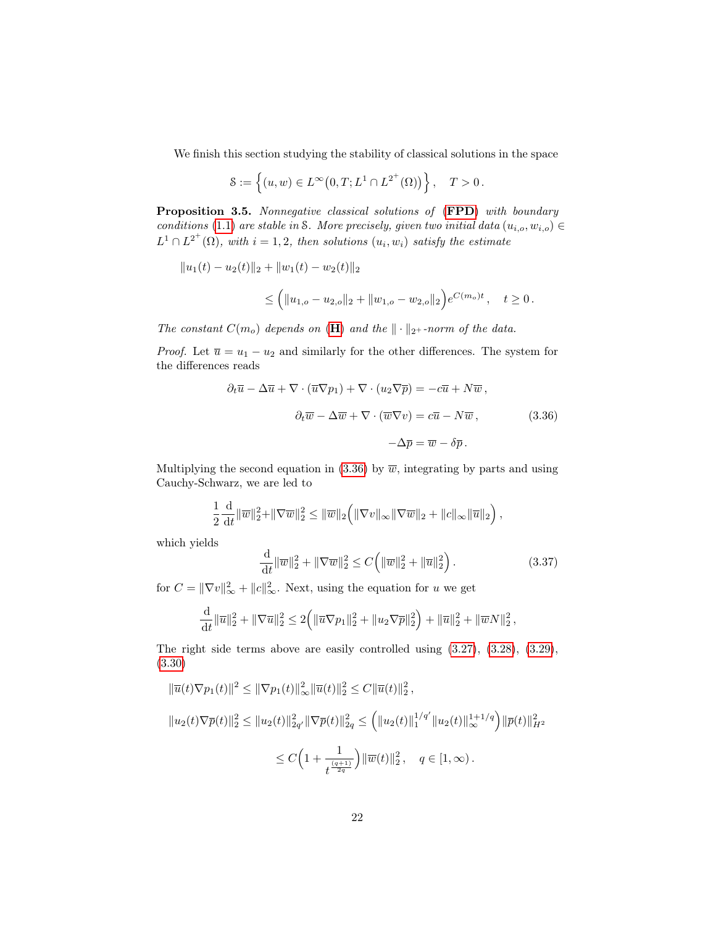We finish this section studying the stability of classical solutions in the space

$$
\mathcal{S} := \left\{ (u, w) \in L^{\infty} (0, T; L^{1} \cap L^{2^{+}} (\Omega)) \right\}, \quad T > 0.
$$

<span id="page-21-2"></span>Proposition 3.5. Nonnegative classical solutions of ([FPD](#page-3-1)) with boundary conditions [\(1.1\)](#page-2-1) are stable in S. More precisely, given two initial data  $(u_{i,o}, w_{i,o}) \in$  $L^1 \cap L^{2^+}(\Omega)$ , with  $i = 1, 2$ , then solutions  $(u_i, w_i)$  satisfy the estimate

$$
||u_1(t) - u_2(t)||_2 + ||w_1(t) - w_2(t)||_2
$$

<span id="page-21-0"></span>
$$
\leq \Big( \|u_{1,o} - u_{2,o}\|_2 + \|w_{1,o} - w_{2,o}\|_2 \Big) e^{C(m_o)t}, \quad t \geq 0.
$$

The constant  $C(m_o)$  depends on  $(\mathbf{H})$  $(\mathbf{H})$  $(\mathbf{H})$  and the  $\|\cdot\|_{2^+}$ -norm of the data.

*Proof.* Let  $\overline{u} = u_1 - u_2$  and similarly for the other differences. The system for the differences reads

$$
\partial_t \overline{u} - \Delta \overline{u} + \nabla \cdot (\overline{u} \nabla p_1) + \nabla \cdot (u_2 \nabla \overline{p}) = -c \overline{u} + N \overline{w},
$$
  

$$
\partial_t \overline{w} - \Delta \overline{w} + \nabla \cdot (\overline{w} \nabla v) = c \overline{u} - N \overline{w},
$$
(3.36)  

$$
-\Delta \overline{p} = \overline{w} - \delta \overline{p}.
$$

Multiplying the second equation in [\(3.36\)](#page-21-0) by  $\overline{w}$ , integrating by parts and using Cauchy-Schwarz, we are led to

$$
\frac{1}{2} \frac{\mathrm{d}}{\mathrm{d}t} \|\overline{w}\|_2^2 + \|\nabla \overline{w}\|_2^2 \le \|\overline{w}\|_2 \Big( \|\nabla v\|_{\infty} \|\nabla \overline{w}\|_2 + \|c\|_{\infty} \|\overline{u}\|_2 \Big),
$$

which yields

<span id="page-21-1"></span>
$$
\frac{\mathrm{d}}{\mathrm{d}t} \|\overline{w}\|_2^2 + \|\nabla \overline{w}\|_2^2 \le C \left( \|\overline{w}\|_2^2 + \|\overline{u}\|_2^2 \right). \tag{3.37}
$$

for  $C = \|\nabla v\|_{\infty}^2 + \|c\|_{\infty}^2$ . Next, using the equation for u we get

$$
\frac{\mathrm{d}}{\mathrm{d}t} \|\overline{u}\|_2^2 + \|\nabla \overline{u}\|_2^2 \le 2\Big(\|\overline{u}\nabla p_1\|_2^2 + \|u_2\nabla \overline{p}\|_2^2\Big) + \|\overline{u}\|_2^2 + \|\overline{w}N\|_2^2,
$$

The right side terms above are easily controlled using [\(3.27\)](#page-16-1), [\(3.28\)](#page-17-1), [\(3.29\)](#page-17-2), [\(3.30\)](#page-17-3)

$$
\begin{aligned} \|\overline{u}(t)\nabla p_1(t)\|^2 &\leq \|\nabla p_1(t)\|_{\infty}^2 \|\overline{u}(t)\|_2^2 \leq C \|\overline{u}(t)\|_2^2 \,, \\ \|u_2(t)\nabla \overline{p}(t)\|_2^2 &\leq \|u_2(t)\|_{2q'}^2 \|\nabla \overline{p}(t)\|_{2q}^2 \leq \left(\|u_2(t)\|_1^{1/q'} \|u_2(t)\|_{\infty}^{1+1/q}\right) \|\overline{p}(t)\|_{H^2}^2 \\ &\leq C \Big(1 + \frac{1}{t^{\frac{(q+1)}{2q}}}\Big) \|\overline{w}(t)\|_2^2 \,, \quad q \in [1, \infty) \,. \end{aligned}
$$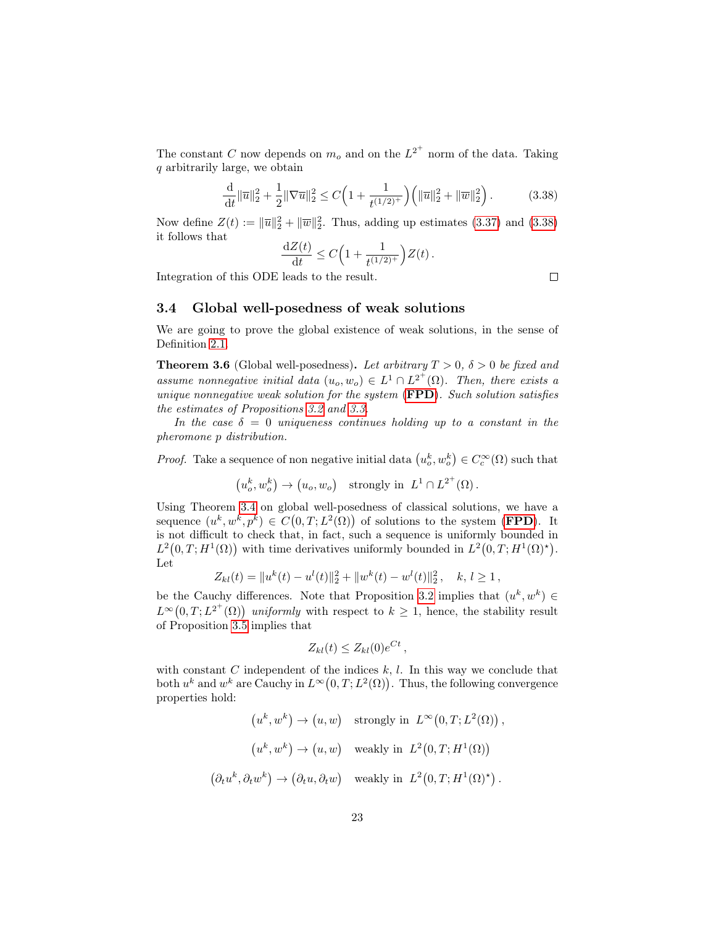The constant C now depends on  $m_o$  and on the  $L^{2^+}$  norm of the data. Taking q arbitrarily large, we obtain

<span id="page-22-0"></span>
$$
\frac{\mathrm{d}}{\mathrm{d}t} \|\overline{u}\|_2^2 + \frac{1}{2} \|\nabla \overline{u}\|_2^2 \le C \left( 1 + \frac{1}{t^{(1/2)^+}} \right) \left( \|\overline{u}\|_2^2 + \|\overline{w}\|_2^2 \right). \tag{3.38}
$$

Now define  $Z(t) := \|\overline{u}\|_2^2 + \|\overline{w}\|_2^2$ . Thus, adding up estimates [\(3.37\)](#page-21-1) and [\(3.38\)](#page-22-0) it follows that

$$
\frac{\mathrm{d}Z(t)}{\mathrm{d}t} \le C\Big(1 + \frac{1}{t^{(1/2)^+}}\Big)Z(t)\,.
$$

Integration of this ODE leads to the result.

3.4 Global well-posedness of weak solutions

We are going to prove the global existence of weak solutions, in the sense of Definition [2.1.](#page-5-1)

**Theorem 3.6** (Global well-posedness). Let arbitrary  $T > 0$ ,  $\delta > 0$  be fixed and assume nonnegative initial data  $(u_o, w_o) \in L^1 \cap L^{2^+}(\Omega)$ . Then, there exists a unique nonnegative weak solution for the system  $(FPD)$  $(FPD)$  $(FPD)$ . Such solution satisfies the estimates of Propositions [3.2](#page-7-1) and [3.3.](#page-15-4)

In the case  $\delta = 0$  uniqueness continues holding up to a constant in the pheromone p distribution.

*Proof.* Take a sequence of non negative initial data  $(u_o^k, w_o^k) \in C_c^{\infty}(\Omega)$  such that

 $(u_o^k, w_o^k) \to (u_o, w_o)$  strongly in  $L^1 \cap L^{2^+}(\Omega)$ .

Using Theorem [3.4](#page-18-3) on global well-posedness of classical solutions, we have a sequence  $(u^k, w^k, p^k) \in C(0,T; L^2(\Omega))$  of solutions to the system ([FPD](#page-3-1)). It is not difficult to check that, in fact, such a sequence is uniformly bounded in  $L^2(0,T;H^1(\Omega))$  with time derivatives uniformly bounded in  $L^2(0,T;H^1(\Omega)^*)$ . Let

$$
Z_{kl}(t) = ||u^k(t) - u^l(t)||_2^2 + ||w^k(t) - w^l(t)||_2^2, \quad k, l \ge 1,
$$

be the Cauchy differences. Note that Proposition [3.2](#page-7-1) implies that  $(u^k, w^k) \in$  $L^{\infty}(0,T;L^{2^+}(\Omega))$  uniformly with respect to  $k\geq 1$ , hence, the stability result of Proposition [3.5](#page-21-2) implies that

$$
Z_{kl}(t) \leq Z_{kl}(0)e^{Ct},
$$

with constant C independent of the indices  $k, l$ . In this way we conclude that both  $u^k$  and  $w^k$  are Cauchy in  $L^\infty(0,T; L^2(\Omega))$ . Thus, the following convergence properties hold:

$$
(u^k, w^k) \to (u, w) \text{ strongly in } L^{\infty}(0, T; L^2(\Omega)),
$$
  

$$
(u^k, w^k) \to (u, w) \text{ weakly in } L^2(0, T; H^1(\Omega))
$$
  

$$
(\partial_t u^k, \partial_t w^k) \to (\partial_t u, \partial_t w) \text{ weakly in } L^2(0, T; H^1(\Omega)^*).
$$

 $\Box$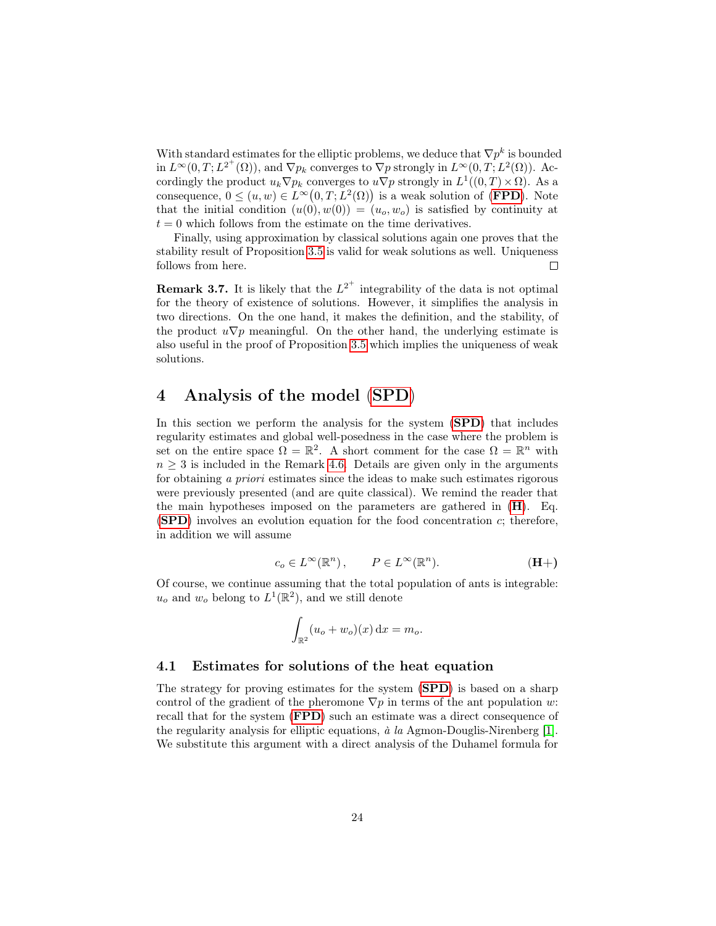With standard estimates for the elliptic problems, we deduce that  $\nabla p^k$  is bounded in  $L^{\infty}(0,T; L^{2^+}(\Omega))$ , and  $\nabla p_k$  converges to  $\nabla p$  strongly in  $L^{\infty}(0,T; L^2(\Omega))$ . Accordingly the product  $u_k \nabla p_k$  converges to  $u \nabla p$  strongly in  $L^1((0,T) \times \Omega)$ . As a consequence,  $0 \leq (u, w) \in L^{\infty}(0, T; L^{2}(\Omega))$  is a weak solution of (**[FPD](#page-3-1)**). Note that the initial condition  $(u(0), w(0)) = (u_0, w_0)$  is satisfied by continuity at  $t = 0$  which follows from the estimate on the time derivatives.

Finally, using approximation by classical solutions again one proves that the stability result of Proposition [3.5](#page-21-2) is valid for weak solutions as well. Uniqueness follows from here.  $\Box$ 

**Remark 3.7.** It is likely that the  $L^{2^+}$  integrability of the data is not optimal for the theory of existence of solutions. However, it simplifies the analysis in two directions. On the one hand, it makes the definition, and the stability, of the product  $u\nabla p$  meaningful. On the other hand, the underlying estimate is also useful in the proof of Proposition [3.5](#page-21-2) which implies the uniqueness of weak solutions.

#### <span id="page-23-0"></span>4 Analysis of the model ([SPD](#page-2-0))

In this section we perform the analysis for the system ([SPD](#page-2-0)) that includes regularity estimates and global well-posedness in the case where the problem is set on the entire space  $\Omega = \mathbb{R}^2$ . A short comment for the case  $\Omega = \mathbb{R}^n$  with  $n \geq 3$  is included in the Remark [4.6.](#page-34-1) Details are given only in the arguments for obtaining a priori estimates since the ideas to make such estimates rigorous were previously presented (and are quite classical). We remind the reader that the main hypotheses imposed on the parameters are gathered in  $(H)$  $(H)$  $(H)$ . Eq.  $(SPD)$  $(SPD)$  $(SPD)$  involves an evolution equation for the food concentration  $c$ ; therefore, in addition we will assume

<span id="page-23-1"></span>
$$
c_o \in L^{\infty}(\mathbb{R}^n), \qquad P \in L^{\infty}(\mathbb{R}^n). \tag{H+}
$$

Of course, we continue assuming that the total population of ants is integrable:  $u_o$  and  $w_o$  belong to  $L^1(\mathbb{R}^2)$ , and we still denote

<span id="page-23-2"></span>
$$
\int_{\mathbb{R}^2} (u_o + w_o)(x) \, \mathrm{d}x = m_o.
$$

#### 4.1 Estimates for solutions of the heat equation

The strategy for proving estimates for the system ([SPD](#page-2-0)) is based on a sharp control of the gradient of the pheromone  $\nabla p$  in terms of the ant population w: recall that for the system ([FPD](#page-3-1)) such an estimate was a direct consequence of the regularity analysis for elliptic equations,  $\dot{a}$  la Agmon-Douglis-Nirenberg [\[1\]](#page-36-6). We substitute this argument with a direct analysis of the Duhamel formula for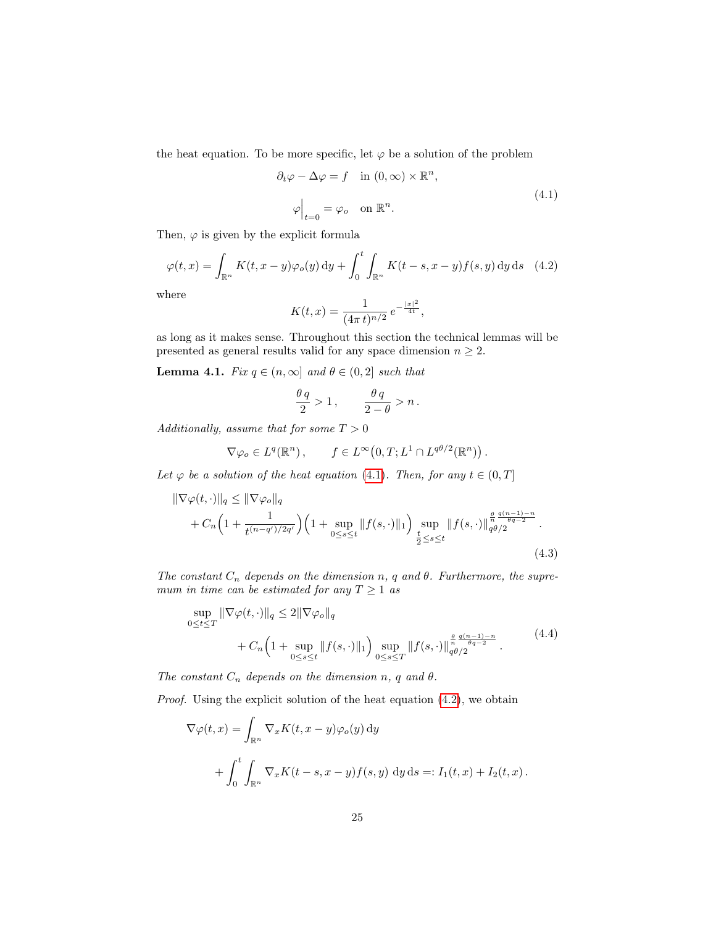the heat equation. To be more specific, let  $\varphi$  be a solution of the problem

$$
\partial_t \varphi - \Delta \varphi = f \quad \text{in } (0, \infty) \times \mathbb{R}^n,
$$
  

$$
\varphi \Big|_{t=0} = \varphi_o \quad \text{on } \mathbb{R}^n.
$$
 (4.1)

Then,  $\varphi$  is given by the explicit formula

<span id="page-24-0"></span>
$$
\varphi(t,x) = \int_{\mathbb{R}^n} K(t,x-y)\varphi_o(y) \,dy + \int_0^t \int_{\mathbb{R}^n} K(t-s,x-y)f(s,y) \,dy \,ds \quad (4.2)
$$

where

$$
K(t,x) = \frac{1}{(4\pi t)^{n/2}} e^{-\frac{|x|^2}{4t}},
$$

as long as it makes sense. Throughout this section the technical lemmas will be presented as general results valid for any space dimension  $n \geq 2$ .

<span id="page-24-3"></span>**Lemma 4.1.** Fix  $q \in (n, \infty]$  and  $\theta \in (0, 2]$  such that

<span id="page-24-2"></span><span id="page-24-1"></span>
$$
\frac{\theta q}{2} > 1, \qquad \frac{\theta q}{2 - \theta} > n.
$$

Additionally, assume that for some  $T > 0$ 

$$
\nabla \varphi_o \in L^q(\mathbb{R}^n), \qquad f \in L^\infty(0,T; L^1 \cap L^{q\theta/2}(\mathbb{R}^n)).
$$

Let  $\varphi$  be a solution of the heat equation [\(4.1\)](#page-23-1). Then, for any  $t \in (0,T]$ 

$$
\|\nabla \varphi(t, \cdot)\|_{q} \leq \|\nabla \varphi_{o}\|_{q} + C_{n} \Big( 1 + \frac{1}{t^{(n-q')/2q'}} \Big) \Big( 1 + \sup_{0 \leq s \leq t} \|f(s, \cdot)\|_{1} \Big) \sup_{\substack{t \\ 2 \leq s \leq t}} \|f(s, \cdot)\|_{q}^{\frac{\theta}{n} \frac{q(n-1)-n}{\theta q-2}}.
$$
\n(4.3)

The constant  $C_n$  depends on the dimension n, q and  $\theta$ . Furthermore, the supremum in time can be estimated for any  $T \geq 1$  as

$$
\sup_{0 \le t \le T} \|\nabla \varphi(t, \cdot)\|_{q} \le 2 \|\nabla \varphi_{o}\|_{q} + C_{n} \left(1 + \sup_{0 \le s \le t} \|f(s, \cdot)\|_{1}\right) \sup_{0 \le s \le T} \|f(s, \cdot)\|_{q\theta/2}^{\frac{\theta}{n} \frac{q(n-1)-n}{\theta q-2}}.
$$
\n(4.4)

The constant  $C_n$  depends on the dimension n, q and  $\theta$ .

Proof. Using the explicit solution of the heat equation  $(4.2)$ , we obtain

$$
\nabla \varphi(t, x) = \int_{\mathbb{R}^n} \nabla_x K(t, x - y) \varphi_o(y) dy
$$
  
+ 
$$
\int_0^t \int_{\mathbb{R}^n} \nabla_x K(t - s, x - y) f(s, y) dy ds =: I_1(t, x) + I_2(t, x).
$$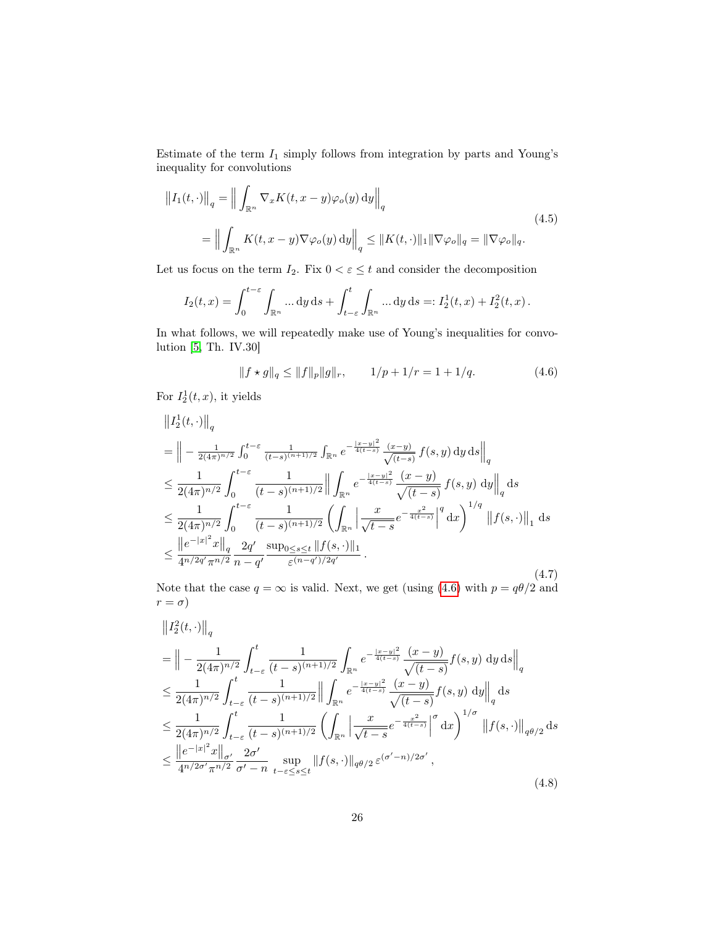Estimate of the term  $I_1$  simply follows from integration by parts and Young's inequality for convolutions

$$
\|I_1(t,\cdot)\|_q = \left\|\int_{\mathbb{R}^n} \nabla_x K(t, x - y)\varphi_o(y) \,dy\right\|_q
$$
\n
$$
= \left\|\int_{\mathbb{R}^n} K(t, x - y)\nabla\varphi_o(y) \,dy\right\|_q \le \|K(t, \cdot)\|_1 \|\nabla\varphi_o\|_q = \|\nabla\varphi_o\|_q.
$$
\n(4.5)

Let us focus on the term  $I_2$ . Fix  $0 < \varepsilon \leq t$  and consider the decomposition

$$
I_2(t,x) = \int_0^{t-\varepsilon} \int_{\mathbb{R}^n} \dots dy \, ds + \int_{t-\varepsilon}^t \int_{\mathbb{R}^n} \dots dy \, ds =: I_2^1(t,x) + I_2^2(t,x) .
$$

In what follows, we will repeatedly make use of Young's inequalities for convolution [\[5,](#page-36-3) Th. IV.30]

<span id="page-25-1"></span><span id="page-25-0"></span>
$$
||f \star g||_q \le ||f||_p ||g||_r, \qquad 1/p + 1/r = 1 + 1/q. \tag{4.6}
$$

For  $I_2^1(t, x)$ , it yields

<span id="page-25-2"></span>
$$
\begin{split}\n&\left\|I_{2}^{1}(t,\cdot)\right\|_{q} \\
&= \left\| -\frac{1}{2(4\pi)^{n/2}} \int_{0}^{t-\varepsilon} \frac{1}{(t-s)^{(n+1)/2}} \int_{\mathbb{R}^{n}} e^{-\frac{|x-y|^{2}}{4(t-s)}} \frac{(x-y)}{\sqrt{(t-s)}} f(s,y) \,dy \,ds \right\|_{q} \\
&\leq \frac{1}{2(4\pi)^{n/2}} \int_{0}^{t-\varepsilon} \frac{1}{(t-s)^{(n+1)/2}} \left\| \int_{\mathbb{R}^{n}} e^{-\frac{|x-y|^{2}}{4(t-s)}} \frac{(x-y)}{\sqrt{(t-s)}} f(s,y) \,dy \right\|_{q} ds \\
&\leq \frac{1}{2(4\pi)^{n/2}} \int_{0}^{t-\varepsilon} \frac{1}{(t-s)^{(n+1)/2}} \left( \int_{\mathbb{R}^{n}} \left| \frac{x}{\sqrt{t-s}} e^{-\frac{x^{2}}{4(t-s)}} \right|^{q} dx \right)^{1/q} \left\| f(s,\cdot) \right\|_{1} ds \\
&\leq \frac{\left\| e^{-|x|^{2}} x \right\|_{q}}{4^{n/2q'} \pi^{n/2}} \frac{2q'}{n-q'} \frac{\sup_{0 \leq s \leq t} \| f(s,\cdot) \|^{}_{1}}{\varepsilon^{(n-q')/2q'}} .\n\end{split} \tag{4.7}
$$

Note that the case  $q = \infty$  is valid. Next, we get (using [\(4.6\)](#page-25-0) with  $p = q\theta/2$  and  $r = \sigma$ )

<span id="page-25-3"></span>
$$
\begin{split}\n&\left\|I_{2}^{2}(t,\cdot)\right\|_{q} \\
&= \left\| -\frac{1}{2(4\pi)^{n/2}} \int_{t-\varepsilon}^{t} \frac{1}{(t-s)^{(n+1)/2}} \int_{\mathbb{R}^{n}} e^{-\frac{|x-y|^{2}}{4(t-s)}} \frac{(x-y)}{\sqrt{(t-s)}} f(s,y) \, \mathrm{d}y \, \mathrm{d}s \right\|_{q} \\
&\leq \frac{1}{2(4\pi)^{n/2}} \int_{t-\varepsilon}^{t} \frac{1}{(t-s)^{(n+1)/2}} \left\| \int_{\mathbb{R}^{n}} e^{-\frac{|x-y|^{2}}{4(t-s)}} \frac{(x-y)}{\sqrt{(t-s)}} f(s,y) \, \mathrm{d}y \right\|_{q} \, \mathrm{d}s \\
&\leq \frac{1}{2(4\pi)^{n/2}} \int_{t-\varepsilon}^{t} \frac{1}{(t-s)^{(n+1)/2}} \left( \int_{\mathbb{R}^{n}} \left| \frac{x}{\sqrt{t-s}} e^{-\frac{x^{2}}{4(t-s)}} \right|^{q} \mathrm{d}x \right)^{1/q} \left\| f(s,\cdot) \right\|_{q\theta/2} \, \mathrm{d}s \\
&\leq \frac{\left\| e^{-|x|^{2}} x \right\|_{\sigma'}}{4^{n/2\sigma'} \pi^{n/2}} \frac{2\sigma'}{\sigma'-n} \sup_{t-\varepsilon \leq s \leq t} \left\| f(s,\cdot) \right\|_{q\theta/2} \varepsilon^{(\sigma'-n)/2\sigma'},\n\end{split} \tag{4.8}
$$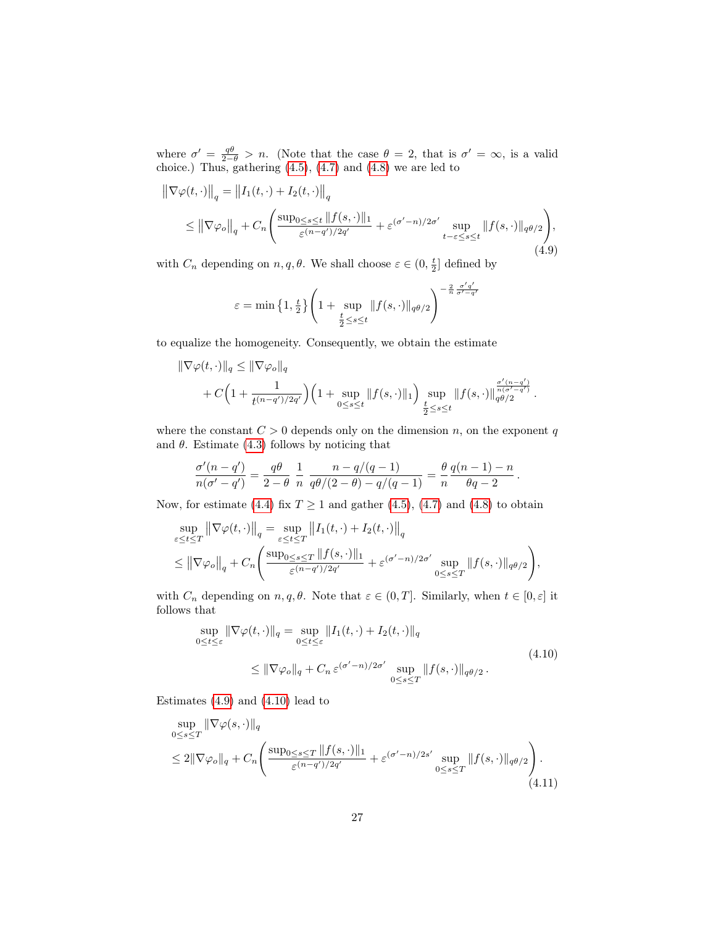where  $\sigma' = \frac{q\theta}{2-\theta} > n$ . (Note that the case  $\theta = 2$ , that is  $\sigma' = \infty$ , is a valid choice.) Thus, gathering  $(4.5)$ ,  $(4.7)$  and  $(4.8)$  we are led to

<span id="page-26-0"></span>
$$
\|\nabla \varphi(t, \cdot)\|_{q} = \|I_1(t, \cdot) + I_2(t, \cdot)\|_{q}
$$
  
\n
$$
\leq \|\nabla \varphi_o\|_{q} + C_n \left( \frac{\sup_{0 \leq s \leq t} \|f(s, \cdot)\|_{1}}{\varepsilon^{(n-q')/2q'}} + \varepsilon^{(\sigma'-n)/2\sigma'} \sup_{t-\varepsilon \leq s \leq t} \|f(s, \cdot)\|_{q\theta/2} \right),
$$
\n(4.9)

with  $C_n$  depending on  $n, q, \theta$ . We shall choose  $\varepsilon \in (0, \frac{t}{2}]$  defined by

$$
\varepsilon = \min\left\{1, \frac{t}{2}\right\} \left(1 + \sup_{\frac{t}{2} \le s \le t} \|f(s, \cdot)\|_{q\theta/2}\right)^{-\frac{2}{n}\frac{\sigma' q'}{\sigma' - q'}}.
$$

to equalize the homogeneity. Consequently, we obtain the estimate

$$
\|\nabla \varphi(t, \cdot)\|_{q} \leq \|\nabla \varphi_{o}\|_{q} + C\Big(1 + \frac{1}{t^{(n-q')/2q'}}\Big) \Big(1 + \sup_{0 \leq s \leq t} \|f(s, \cdot)\|_{1}\Big) \sup_{\substack{t \to t^{(n-q')-2} \\ 2 \leq s \leq t}} \|f(s, \cdot)\|_{q\theta/2}^{\frac{\sigma'(n-q')}{n(\sigma'-q')}}.
$$

where the constant  $C > 0$  depends only on the dimension  $n$ , on the exponent  $q$ and  $\theta$ . Estimate [\(4.3\)](#page-24-1) follows by noticing that

$$
\frac{\sigma'(n-q')}{n(\sigma'-q')} = \frac{q\theta}{2-\theta} \frac{1}{n} \frac{n-q/(q-1)}{q\theta/(2-\theta)-q/(q-1)} = \frac{\theta}{n} \frac{q(n-1)-n}{\theta q-2}.
$$

Now, for estimate [\(4.4\)](#page-24-2) fix  $T \ge 1$  and gather [\(4.5\)](#page-25-1), [\(4.7\)](#page-25-2) and [\(4.8\)](#page-25-3) to obtain

$$
\sup_{\varepsilon \le t \le T} \left\| \nabla \varphi(t, \cdot) \right\|_q = \sup_{\varepsilon \le t \le T} \left\| I_1(t, \cdot) + I_2(t, \cdot) \right\|_q
$$
  
\n
$$
\le \left\| \nabla \varphi_o \right\|_q + C_n \left( \frac{\sup_{0 \le s \le T} \left\| f(s, \cdot) \right\|_1}{\varepsilon^{(n-q')/2q'}} + \varepsilon^{(\sigma'-n)/2\sigma'} \sup_{0 \le s \le T} \left\| f(s, \cdot) \right\|_{q\theta/2} \right),
$$

with  $C_n$  depending on  $n, q, \theta$ . Note that  $\varepsilon \in (0, T]$ . Similarly, when  $t \in [0, \varepsilon]$  it follows that

<span id="page-26-1"></span>
$$
\sup_{0 \le t \le \varepsilon} \|\nabla \varphi(t, \cdot)\|_{q} = \sup_{0 \le t \le \varepsilon} \|I_1(t, \cdot) + I_2(t, \cdot)\|_{q}
$$
\n
$$
\le \|\nabla \varphi_o\|_{q} + C_n \varepsilon^{(\sigma'-n)/2\sigma'} \sup_{0 \le s \le T} \|f(s, \cdot)\|_{q\theta/2}.
$$
\n(4.10)

Estimates  $(4.9)$  and  $(4.10)$  lead to

$$
\sup_{0 \le s \le T} \|\nabla \varphi(s, \cdot)\|_{q} \n\le 2\|\nabla \varphi_o\|_{q} + C_n \left( \frac{\sup_{0 \le s \le T} \|f(s, \cdot)\|_{1}}{\varepsilon^{(n-q')/2q'}} + \varepsilon^{(\sigma'-n)/2s'} \sup_{0 \le s \le T} \|f(s, \cdot)\|_{q\theta/2} \right).
$$
\n(4.11)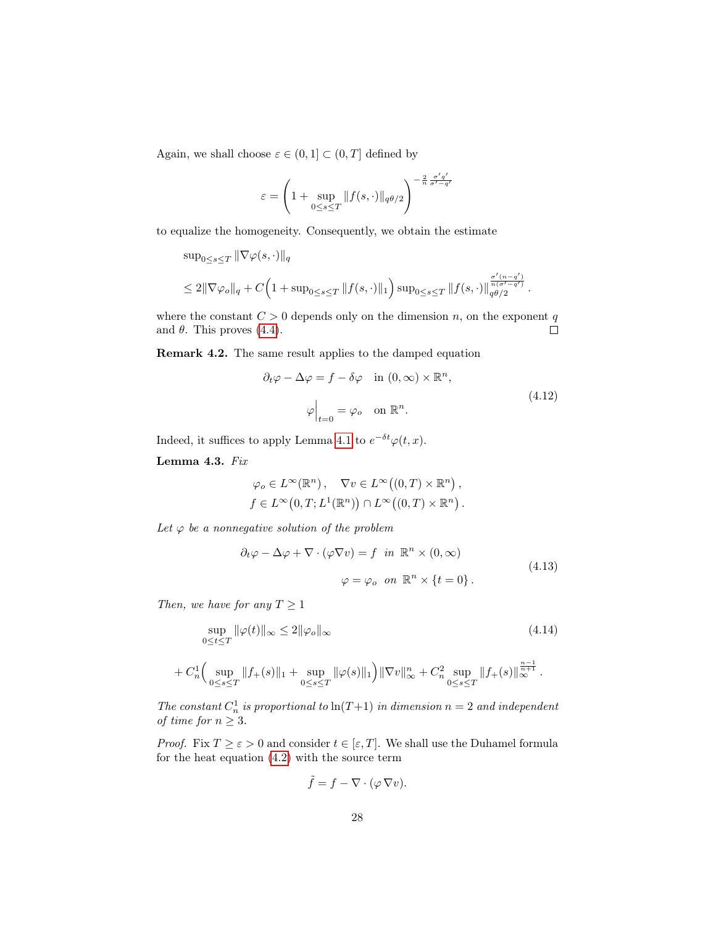Again, we shall choose  $\varepsilon \in (0,1] \subset (0,T]$  defined by

$$
\varepsilon = \left(1 + \sup_{0 \le s \le T} ||f(s, \cdot)||_{q\theta/2}\right)^{-\frac{2}{n}\frac{\sigma' q'}{\sigma' - q'}}
$$

to equalize the homogeneity. Consequently, we obtain the estimate

$$
\sup_{0 \le s \le T} \|\nabla \varphi(s, \cdot)\|_{q}
$$
  
\$\le 2 \|\nabla \varphi\_o\|\_q + C\left(1 + \sup\_{0 \le s \le T} \|f(s, \cdot)\|\_1\right) \sup\_{0 \le s \le T} \|f(s, \cdot)\|\_{q\theta/2}^{\frac{\sigma'(n-q')}{n(\sigma'-q')}}.

where the constant  $C > 0$  depends only on the dimension n, on the exponent q and  $\theta$ . This proves [\(4.4\)](#page-24-2).  $\Box$ 

Remark 4.2. The same result applies to the damped equation

$$
\partial_t \varphi - \Delta \varphi = f - \delta \varphi \quad \text{in } (0, \infty) \times \mathbb{R}^n,
$$
  

$$
\varphi \Big|_{t=0} = \varphi_o \quad \text{on } \mathbb{R}^n.
$$
 (4.12)

Indeed, it suffices to apply Lemma [4.1](#page-24-3) to  $e^{-\delta t}\varphi(t,x)$ .

<span id="page-27-0"></span>Lemma 4.3. Fix

$$
\varphi_o \in L^{\infty}(\mathbb{R}^n), \quad \nabla v \in L^{\infty}((0, T) \times \mathbb{R}^n),
$$
  

$$
f \in L^{\infty}(0, T; L^1(\mathbb{R}^n)) \cap L^{\infty}((0, T) \times \mathbb{R}^n).
$$

Let  $\varphi$  be a nonnegative solution of the problem

$$
\partial_t \varphi - \Delta \varphi + \nabla \cdot (\varphi \nabla v) = f \quad in \quad \mathbb{R}^n \times (0, \infty)
$$
  

$$
\varphi = \varphi_o \quad on \quad \mathbb{R}^n \times \{t = 0\}.
$$
 (4.13)

Then, we have for any  $T \geq 1$ 

$$
\sup_{0 \le t \le T} \|\varphi(t)\|_{\infty} \le 2\|\varphi_o\|_{\infty} \tag{4.14}
$$

$$
+ C_n^1 \Big( \sup_{0 \le s \le T} \|f_+(s)\|_1 + \sup_{0 \le s \le T} \|\varphi(s)\|_1 \Big) \|\nabla v\|_{\infty}^n + C_n^2 \sup_{0 \le s \le T} \|f_+(s)\|_{\infty}^{\frac{n-1}{n+1}}.
$$

The constant  $C_n^1$  is proportional to  $\ln(T+1)$  in dimension  $n=2$  and independent of time for  $n \geq 3$ .

*Proof.* Fix  $T \geq \varepsilon > 0$  and consider  $t \in [\varepsilon, T]$ . We shall use the Duhamel formula for the heat equation [\(4.2\)](#page-24-0) with the source term

$$
\tilde{f} = f - \nabla \cdot (\varphi \, \nabla v).
$$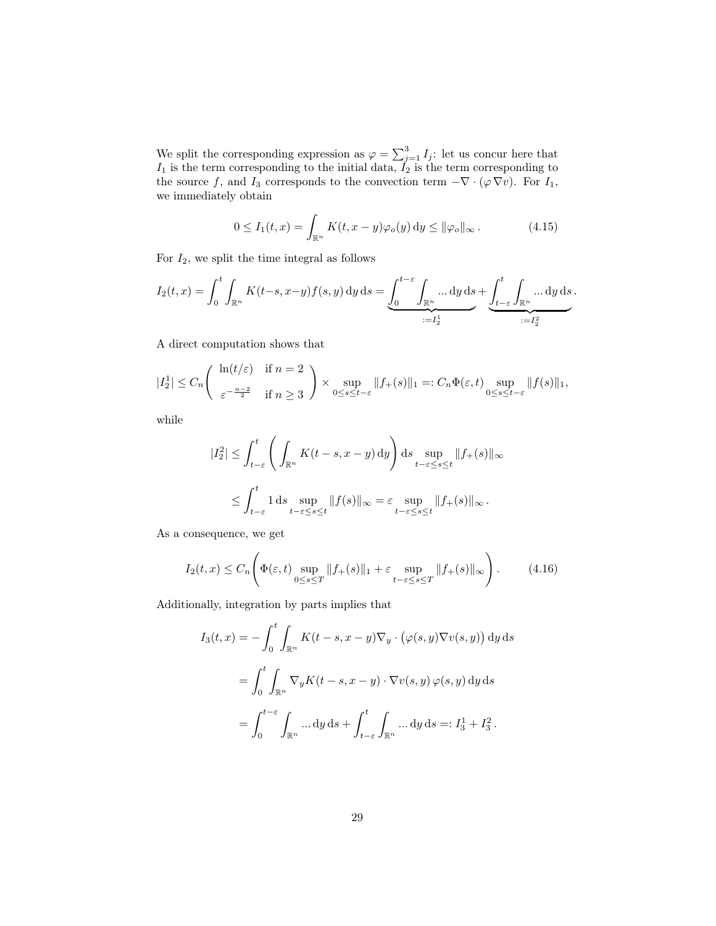We split the corresponding expression as  $\varphi = \sum_{j=1}^{3} I_j$ : let us concur here that  $I_1$  is the term corresponding to the initial data,  $I_2$  is the term corresponding to the source f, and I<sub>3</sub> corresponds to the convection term  $-\nabla \cdot (\varphi \nabla v)$ . For I<sub>1</sub>, we immediately obtain

<span id="page-28-0"></span>
$$
0 \le I_1(t, x) = \int_{\mathbb{R}^n} K(t, x - y) \varphi_o(y) \, dy \le ||\varphi_o||_{\infty} \, . \tag{4.15}
$$

For  $I_2$ , we split the time integral as follows

$$
I_2(t,x) = \int_0^t \int_{\mathbb{R}^n} K(t-s, x-y) f(s, y) dy ds = \underbrace{\int_0^{t-\varepsilon} \int_{\mathbb{R}^n} \dots dy ds}_{:=I_2^1} + \underbrace{\int_{t-\varepsilon}^t \int_{\mathbb{R}^n} \dots dy ds}_{:=I_2^2}.
$$

A direct computation shows that

$$
|I_2^1| \le C_n \left( \begin{array}{cc} \ln(t/\varepsilon) & \text{if } n=2\\ \varepsilon^{-\frac{n-2}{2}} & \text{if } n \ge 3 \end{array} \right) \times \sup_{0 \le s \le t-\varepsilon} \|f_+(s)\|_1 =: C_n \Phi(\varepsilon, t) \sup_{0 \le s \le t-\varepsilon} \|f(s)\|_1,
$$

while

$$
|I_2^2| \le \int_{t-\varepsilon}^t \left( \int_{\mathbb{R}^n} K(t-s, x - y) \, dy \right) ds \sup_{t-\varepsilon \le s \le t} ||f_+(s)||_{\infty}
$$
  

$$
\le \int_{t-\varepsilon}^t 1 \, ds \sup_{t-\varepsilon \le s \le t} ||f(s)||_{\infty} = \varepsilon \sup_{t-\varepsilon \le s \le t} ||f_+(s)||_{\infty}.
$$

As a consequence, we get

<span id="page-28-1"></span>
$$
I_2(t,x) \le C_n \left( \Phi(\varepsilon, t) \sup_{0 \le s \le T} \| f_+(s) \|_1 + \varepsilon \sup_{t - \varepsilon \le s \le T} \| f_+(s) \|_\infty \right). \tag{4.16}
$$

Additionally, integration by parts implies that

$$
I_3(t,x) = -\int_0^t \int_{\mathbb{R}^n} K(t-s, x-y) \nabla_y \cdot (\varphi(s, y) \nabla v(s, y)) \, dy \, ds
$$
  
= 
$$
\int_0^t \int_{\mathbb{R}^n} \nabla_y K(t-s, x-y) \cdot \nabla v(s, y) \, \varphi(s, y) \, dy \, ds
$$
  
= 
$$
\int_0^{t-\varepsilon} \int_{\mathbb{R}^n} ... \, dy \, ds + \int_{t-\varepsilon}^t \int_{\mathbb{R}^n} ... \, dy \, ds =: I_3^1 + I_3^2.
$$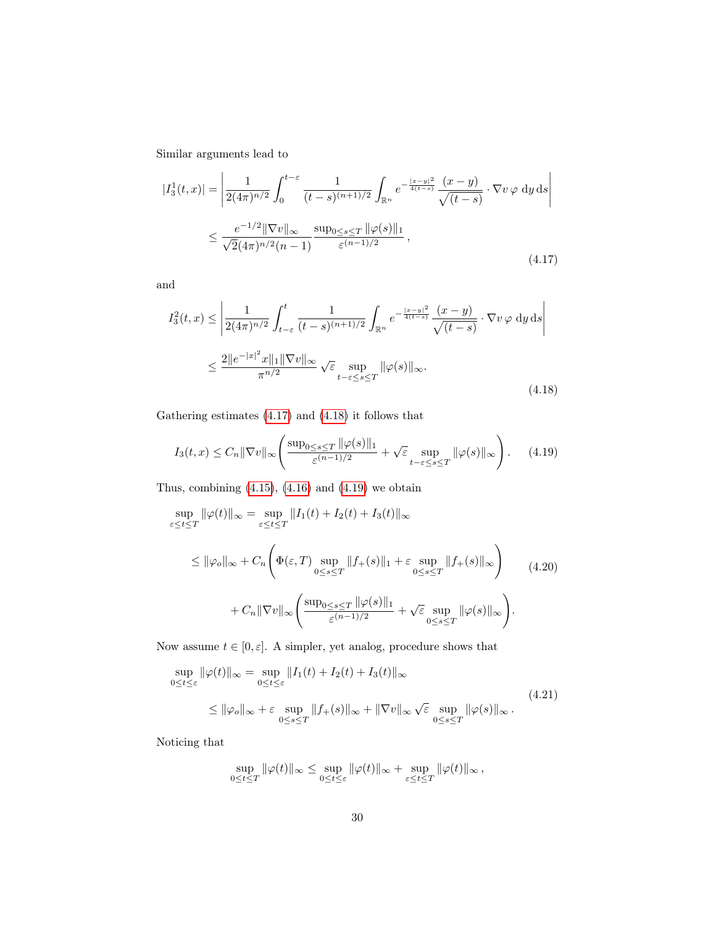Similar arguments lead to

$$
|I_3^1(t,x)| = \left| \frac{1}{2(4\pi)^{n/2}} \int_0^{t-\varepsilon} \frac{1}{(t-s)^{(n+1)/2}} \int_{\mathbb{R}^n} e^{-\frac{|x-y|^2}{4(t-s)}} \frac{(x-y)}{\sqrt{(t-s)}} \cdot \nabla v \, \varphi \, \mathrm{d}y \, \mathrm{d}s \right|
$$
  

$$
\leq \frac{e^{-1/2} \|\nabla v\|_{\infty}}{\sqrt{2}(4\pi)^{n/2} (n-1)} \frac{\sup_{0 \leq s \leq T} \|\varphi(s)\|_1}{\varepsilon^{(n-1)/2}}, \qquad (4.17)
$$

and

<span id="page-29-0"></span>
$$
I_3^2(t,x) \le \left| \frac{1}{2(4\pi)^{n/2}} \int_{t-\varepsilon}^t \frac{1}{(t-s)^{(n+1)/2}} \int_{\mathbb{R}^n} e^{-\frac{|x-y|^2}{4(t-s)}} \frac{(x-y)}{\sqrt{(t-s)}} \cdot \nabla v \varphi \, dy \, ds \right|
$$
  

$$
\le \frac{2||e^{-|x|^2}x||_1 \|\nabla v\|_{\infty}}{\pi^{n/2}} \sqrt{\varepsilon} \sup_{t-\varepsilon \le s \le T} ||\varphi(s)||_{\infty}.
$$
 (4.18)

Gathering estimates [\(4.17\)](#page-29-0) and [\(4.18\)](#page-29-1) it follows that

<span id="page-29-2"></span><span id="page-29-1"></span>
$$
I_3(t,x) \le C_n \|\nabla v\|_{\infty} \left( \frac{\sup_{0 \le s \le T} \|\varphi(s)\|_1}{\varepsilon^{(n-1)/2}} + \sqrt{\varepsilon} \sup_{t-\varepsilon \le s \le T} \|\varphi(s)\|_{\infty} \right). \tag{4.19}
$$

Thus, combining  $(4.15)$ ,  $(4.16)$  and  $(4.19)$  we obtain

<span id="page-29-3"></span>
$$
\sup_{\varepsilon \le t \le T} \|\varphi(t)\|_{\infty} = \sup_{\varepsilon \le t \le T} \|I_1(t) + I_2(t) + I_3(t)\|_{\infty}
$$
\n
$$
\le \|\varphi_o\|_{\infty} + C_n \left( \Phi(\varepsilon, T) \sup_{0 \le s \le T} \|f_+(s)\|_1 + \varepsilon \sup_{0 \le s \le T} \|f_+(s)\|_{\infty} \right) \tag{4.20}
$$
\n
$$
+ C_n \|\nabla v\|_{\infty} \left( \frac{\sup_{0 \le s \le T} \|\varphi(s)\|_1}{\varepsilon^{(n-1)/2}} + \sqrt{\varepsilon} \sup_{0 \le s \le T} \|\varphi(s)\|_{\infty} \right).
$$

Now assume  $t\in [0,\varepsilon].$  A simpler, yet analog, procedure shows that

$$
\sup_{0 \le t \le \varepsilon} \|\varphi(t)\|_{\infty} = \sup_{0 \le t \le \varepsilon} \|I_1(t) + I_2(t) + I_3(t)\|_{\infty}
$$
\n
$$
\le \|\varphi_o\|_{\infty} + \varepsilon \sup_{0 \le s \le T} \|f_+(s)\|_{\infty} + \|\nabla v\|_{\infty} \sqrt{\varepsilon} \sup_{0 \le s \le T} \|\varphi(s)\|_{\infty}.
$$
\n(4.21)

Noticing that

<span id="page-29-4"></span>
$$
\sup_{0\leq t\leq T}\|\varphi(t)\|_\infty\leq \sup_{0\leq t\leq \varepsilon}\|\varphi(t)\|_\infty+\sup_{\varepsilon\leq t\leq T}\|\varphi(t)\|_\infty\,,
$$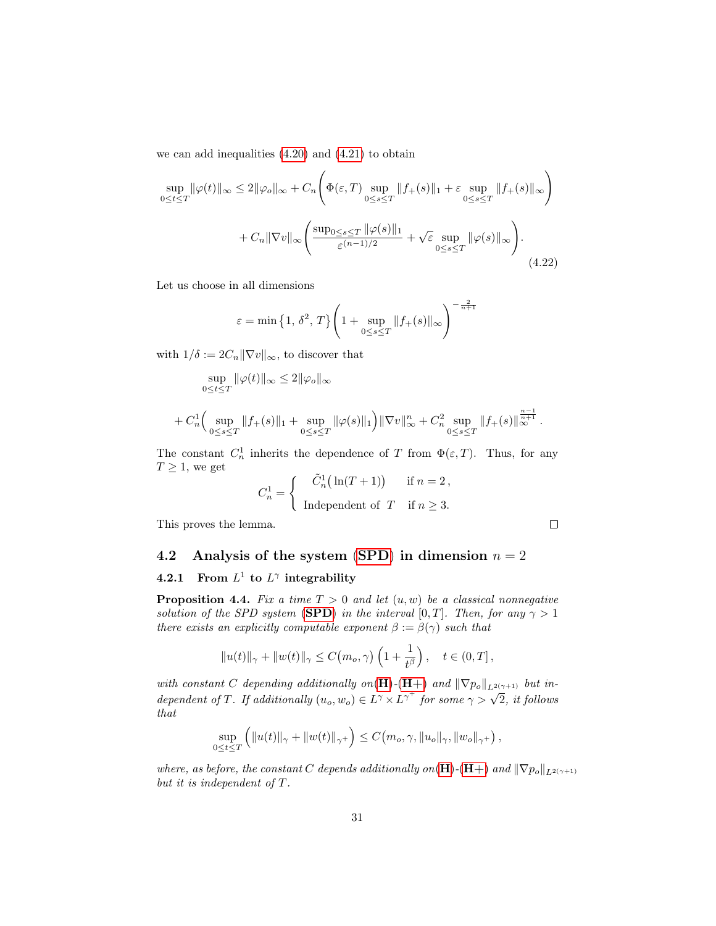we can add inequalities [\(4.20\)](#page-29-3) and [\(4.21\)](#page-29-4) to obtain

$$
\sup_{0 \le t \le T} \|\varphi(t)\|_{\infty} \le 2\|\varphi_o\|_{\infty} + C_n \Bigg( \Phi(\varepsilon, T) \sup_{0 \le s \le T} \|f_+(s)\|_1 + \varepsilon \sup_{0 \le s \le T} \|f_+(s)\|_{\infty} \Bigg) + C_n \|\nabla v\|_{\infty} \Bigg( \frac{\sup_{0 \le s \le T} \|\varphi(s)\|_1}{\varepsilon^{(n-1)/2}} + \sqrt{\varepsilon} \sup_{0 \le s \le T} \|\varphi(s)\|_{\infty} \Bigg).
$$
(4.22)

Let us choose in all dimensions

$$
\varepsilon = \min\left\{1, \, \delta^2, \, T\right\} \left(1 + \sup_{0 \le s \le T} \|f_+(s)\|_\infty\right)^{-\frac{2}{n+1}}
$$

with  $1/\delta := 2C_n \|\nabla v\|_{\infty}$ , to discover that

$$
\sup_{0\leq t\leq T} \|\varphi(t)\|_{\infty} \leq 2\|\varphi_o\|_{\infty}
$$

$$
+ C_n^1 \Big( \sup_{0 \le s \le T} \|f_+(s)\|_1 + \sup_{0 \le s \le T} \|\varphi(s)\|_1 \Big) \|\nabla v\|_{\infty}^n + C_n^2 \sup_{0 \le s \le T} \|f_+(s)\|_{\infty}^{\frac{n-1}{n+1}}.
$$

The constant  $C_n^1$  inherits the dependence of T from  $\Phi(\varepsilon,T)$ . Thus, for any  $T \geq 1$ , we get

$$
C_n^1 = \begin{cases} \tilde{C}_n^1(\ln(T+1)) & \text{if } n = 2, \\ \text{Independent of } T & \text{if } n \ge 3. \end{cases}
$$

 $\Box$ 

This proves the lemma.

4.2 Analysis of the system (SPD) in dimension 
$$
n = 2
$$

#### 4.2.1 From  $L^1$  to  $L^{\gamma}$  integrability

<span id="page-30-0"></span>**Proposition 4.4.** Fix a time  $T > 0$  and let  $(u, w)$  be a classical nonnegative solution of the [SPD](#page-2-0) system (SPD) in the interval [0, T]. Then, for any  $\gamma > 1$ there exists an explicitly computable exponent  $\beta := \beta(\gamma)$  such that

$$
||u(t)||_{\gamma} + ||w(t)||_{\gamma} \le C(m_o, \gamma) \left(1 + \frac{1}{t^{\beta}}\right), \quad t \in (0, T],
$$

with constant C depending additionally on([H](#page-5-0))-([H+](#page-23-2)) and  $\|\nabla p_o\|_{L^{2(\gamma+1)}}$  but inwith constant  $\bigcirc$  depending dialitionally  $(n_0, w_0) \in L^{\gamma} \times L^{\gamma^+}$  for some  $\gamma > \sqrt{2}$ , it follows dependent of T. If additionally  $(u_0, w_0) \in L^{\gamma} \times L^{\gamma^+}$  for some  $\gamma > \sqrt{2}$ , it follows that

$$
\sup_{0 \leq t \leq T} (||u(t)||_{\gamma} + ||w(t)||_{\gamma^+}) \leq C(m_o, \gamma, ||u_o||_{\gamma}, ||w_o||_{\gamma^+}),
$$

where, as before, the constant C depends additionally on([H](#page-5-0))-([H+](#page-23-2)) and  $\|\nabla p_o\|_{L^{2(\gamma+1)}}$ but it is independent of T.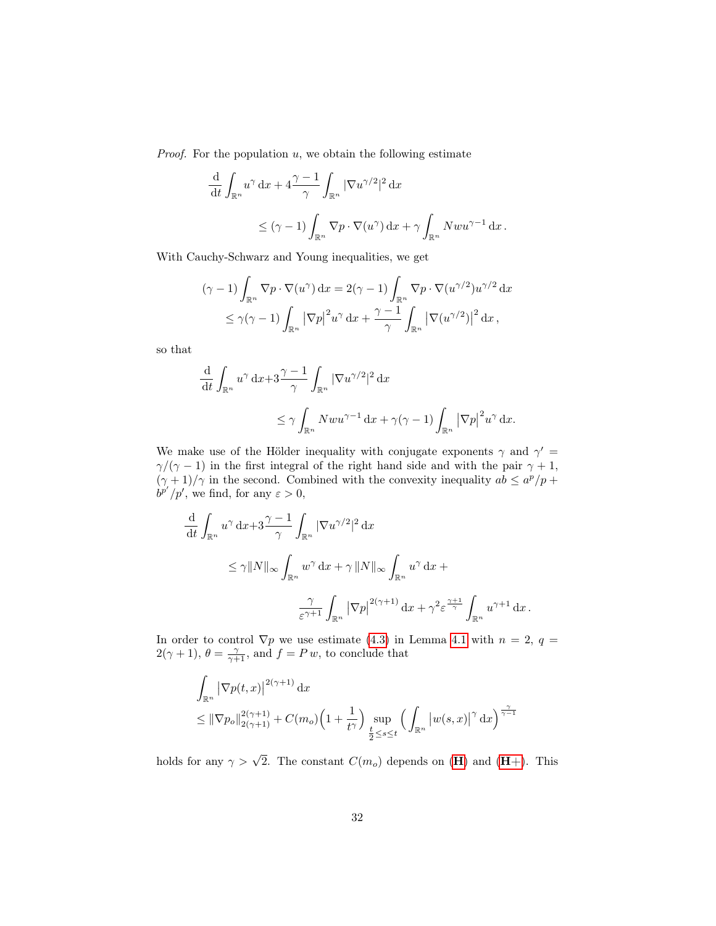*Proof.* For the population  $u$ , we obtain the following estimate

$$
\frac{\mathrm{d}}{\mathrm{d}t} \int_{\mathbb{R}^n} u^{\gamma} \, \mathrm{d}x + 4 \frac{\gamma - 1}{\gamma} \int_{\mathbb{R}^n} |\nabla u^{\gamma/2}|^2 \, \mathrm{d}x
$$
\n
$$
\leq (\gamma - 1) \int_{\mathbb{R}^n} \nabla p \cdot \nabla (u^{\gamma}) \, \mathrm{d}x + \gamma \int_{\mathbb{R}^n} N w u^{\gamma - 1} \, \mathrm{d}x.
$$

With Cauchy-Schwarz and Young inequalities, we get

$$
(\gamma - 1) \int_{\mathbb{R}^n} \nabla p \cdot \nabla(u^{\gamma}) dx = 2(\gamma - 1) \int_{\mathbb{R}^n} \nabla p \cdot \nabla(u^{\gamma/2}) u^{\gamma/2} dx
$$
  

$$
\leq \gamma(\gamma - 1) \int_{\mathbb{R}^n} |\nabla p|^2 u^{\gamma} dx + \frac{\gamma - 1}{\gamma} \int_{\mathbb{R}^n} |\nabla(u^{\gamma/2})|^2 dx,
$$

so that

$$
\frac{\mathrm{d}}{\mathrm{d}t} \int_{\mathbb{R}^n} u^{\gamma} \, \mathrm{d}x + 3 \frac{\gamma - 1}{\gamma} \int_{\mathbb{R}^n} |\nabla u^{\gamma/2}|^2 \, \mathrm{d}x
$$
\n
$$
\leq \gamma \int_{\mathbb{R}^n} N w u^{\gamma - 1} \, \mathrm{d}x + \gamma (\gamma - 1) \int_{\mathbb{R}^n} |\nabla p|^2 u^{\gamma} \, \mathrm{d}x.
$$

We make use of the Hölder inequality with conjugate exponents  $\gamma$  and  $\gamma' =$  $\gamma/(\gamma - 1)$  in the first integral of the right hand side and with the pair  $\gamma + 1$ ,  $(\gamma + 1)/\gamma$  in the second. Combined with the convexity inequality  $ab \le a^p/p + 1$  $\overline{b^{p'}}/p'$ , we find, for any  $\varepsilon > 0$ ,

$$
\frac{\mathrm{d}}{\mathrm{d}t} \int_{\mathbb{R}^n} u^{\gamma} \, \mathrm{d}x + 3 \frac{\gamma - 1}{\gamma} \int_{\mathbb{R}^n} |\nabla u^{\gamma/2}|^2 \, \mathrm{d}x
$$
\n
$$
\leq \gamma \|N\|_{\infty} \int_{\mathbb{R}^n} w^{\gamma} \, \mathrm{d}x + \gamma \|N\|_{\infty} \int_{\mathbb{R}^n} u^{\gamma} \, \mathrm{d}x +
$$
\n
$$
\frac{\gamma}{\varepsilon^{\gamma+1}} \int_{\mathbb{R}^n} |\nabla p|^{2(\gamma+1)} \, \mathrm{d}x + \gamma^2 \varepsilon^{\frac{\gamma+1}{\gamma}} \int_{\mathbb{R}^n} u^{\gamma+1} \, \mathrm{d}x.
$$

In order to control  $\nabla p$  we use estimate [\(4.3\)](#page-24-1) in Lemma [4.1](#page-24-3) with  $n = 2, q =$  $2(\gamma+1), \theta = \frac{\gamma}{\gamma+1}$ , and  $f = P w$ , to conclude that

$$
\int_{\mathbb{R}^n} \left| \nabla p(t, x) \right|^{2(\gamma + 1)} dx
$$
\n
$$
\leq \|\nabla p_o\|_{2(\gamma + 1)}^{2(\gamma + 1)} + C(m_o) \left( 1 + \frac{1}{t^{\gamma}} \right) \sup_{\substack{t \\ 2 \leq s \leq t}} \left( \int_{\mathbb{R}^n} \left| w(s, x) \right|^{\gamma} dx \right)^{\frac{\gamma}{\gamma - 1}}
$$

holds for any  $\gamma > \sqrt{2}$ . The constant  $C(m_o)$  depends on  $(\mathbf{H})$  $(\mathbf{H})$  $(\mathbf{H})$  and  $(\mathbf{H+})$  $(\mathbf{H+})$  $(\mathbf{H+})$ . This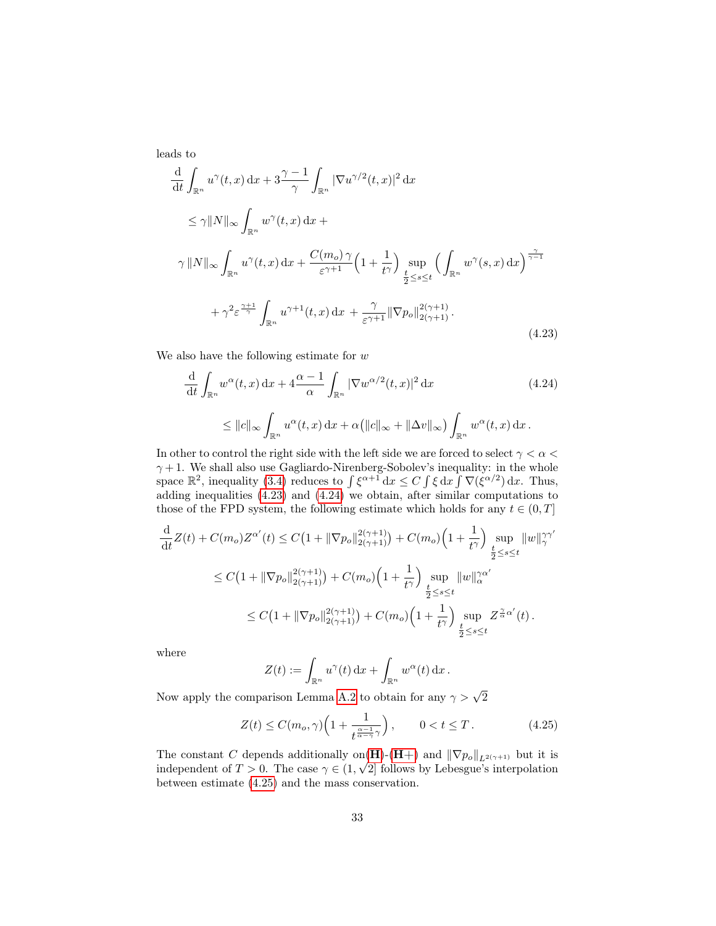leads to

$$
\frac{\mathrm{d}}{\mathrm{d}t} \int_{\mathbb{R}^n} u^{\gamma}(t,x) \, \mathrm{d}x + 3 \frac{\gamma - 1}{\gamma} \int_{\mathbb{R}^n} |\nabla u^{\gamma/2}(t,x)|^2 \, \mathrm{d}x
$$
\n
$$
\leq \gamma \|N\|_{\infty} \int_{\mathbb{R}^n} w^{\gamma}(t,x) \, \mathrm{d}x +
$$
\n
$$
\gamma \|N\|_{\infty} \int_{\mathbb{R}^n} u^{\gamma}(t,x) \, \mathrm{d}x + \frac{C(m_o) \gamma}{\varepsilon^{\gamma+1}} \left(1 + \frac{1}{t^{\gamma}}\right) \sup_{\frac{t}{2} \leq s \leq t} \left(\int_{\mathbb{R}^n} w^{\gamma}(s,x) \, \mathrm{d}x\right)^{\frac{\gamma}{\gamma-1}}
$$
\n
$$
+ \gamma^2 \varepsilon^{\frac{\gamma+1}{\gamma}} \int_{\mathbb{R}^n} u^{\gamma+1}(t,x) \, \mathrm{d}x + \frac{\gamma}{\varepsilon^{\gamma+1}} \|\nabla p_o\|_{2(\gamma+1)}^{2(\gamma+1)}.
$$
\n(4.23)

We also have the following estimate for  $w$ 

<span id="page-32-1"></span><span id="page-32-0"></span>
$$
\frac{d}{dt} \int_{\mathbb{R}^n} w^{\alpha}(t, x) dx + 4 \frac{\alpha - 1}{\alpha} \int_{\mathbb{R}^n} |\nabla w^{\alpha/2}(t, x)|^2 dx
$$
\n
$$
\leq ||c||_{\infty} \int_{\mathbb{R}^n} u^{\alpha}(t, x) dx + \alpha (||c||_{\infty} + ||\Delta v||_{\infty}) \int_{\mathbb{R}^n} w^{\alpha}(t, x) dx.
$$
\n(4.24)

In other to control the right side with the left side we are forced to select  $\gamma < \alpha <$  $\gamma + 1$ . We shall also use Gagliardo-Nirenberg-Sobolev's inequality: in the whole space  $\mathbb{R}^2$ , inequality [\(3.4\)](#page-9-1) reduces to  $\int \xi^{\alpha+1} dx \leq C \int \xi dx \int \nabla (\xi^{\alpha/2}) dx$ . Thus, adding inequalities [\(4.23\)](#page-32-0) and [\(4.24\)](#page-32-1) we obtain, after similar computations to those of the FPD system, the following estimate which holds for any  $t \in (0, T]$ 

$$
\frac{d}{dt}Z(t) + C(m_o)Z^{\alpha'}(t) \le C\left(1 + \|\nabla p_o\|_{2(\gamma+1)}^{2(\gamma+1)}\right) + C(m_o)\left(1 + \frac{1}{t^{\gamma}}\right) \sup_{\frac{t}{2} \le s \le t} \|w\|_{\gamma}^{\gamma'}\n\n\le C\left(1 + \|\nabla p_o\|_{2(\gamma+1)}^{2(\gamma+1)}\right) + C(m_o)\left(1 + \frac{1}{t^{\gamma}}\right) \sup_{\frac{t}{2} \le s \le t} \|w\|_{\alpha}^{\gamma\alpha'}\n\n\le C\left(1 + \|\nabla p_o\|_{2(\gamma+1)}^{2(\gamma+1)}\right) + C(m_o)\left(1 + \frac{1}{t^{\gamma}}\right) \sup_{\frac{t}{2} \le s \le t} Z^{\frac{\gamma}{\alpha}\alpha'}(t).
$$

where

$$
Z(t) := \int_{\mathbb{R}^n} u^{\gamma}(t) \,dx + \int_{\mathbb{R}^n} w^{\alpha}(t) \,dx.
$$

Now apply the comparison Lemma [A.2](#page-35-0) to obtain for any  $\gamma > \sqrt{2}$ 

<span id="page-32-2"></span>
$$
Z(t) \le C(m_o, \gamma) \left( 1 + \frac{1}{t^{\frac{\alpha - 1}{\alpha - \gamma}}} \right), \qquad 0 < t \le T. \tag{4.25}
$$

The constant C depends additionally on([H](#page-5-0))-([H+](#page-23-2)) and  $\|\nabla p_o\|_{L^{2(\gamma+1)}}$  but it is independent of  $T > 0$ . The case  $\gamma \in (1, \sqrt{2}]$  follows by Lebesgue's interpolation between estimate [\(4.25\)](#page-32-2) and the mass conservation.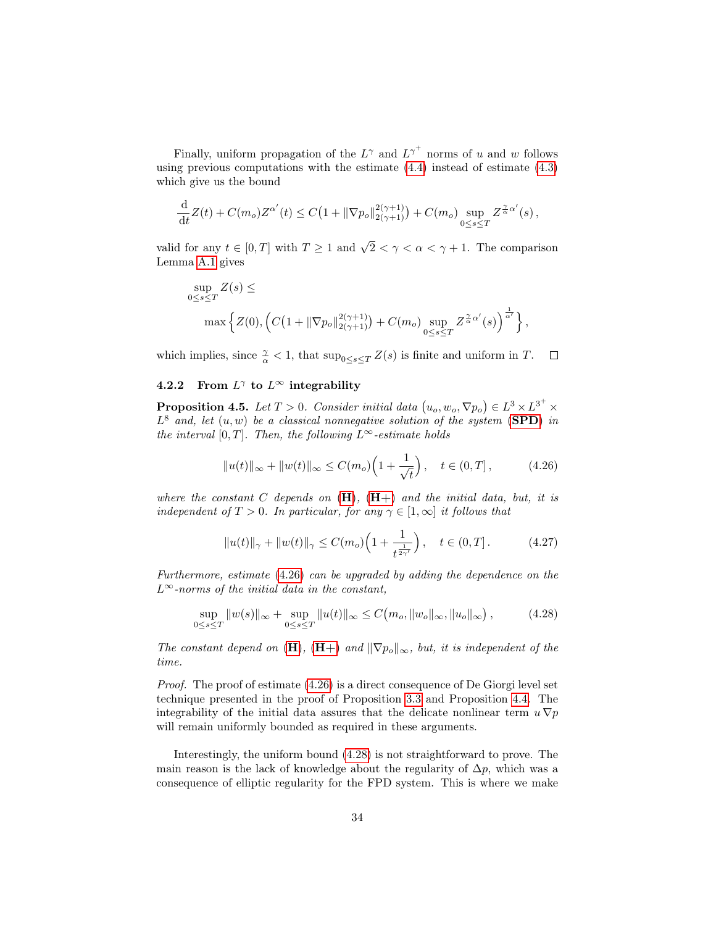Finally, uniform propagation of the  $L^{\gamma}$  and  $L^{\gamma^+}$  norms of u and w follows using previous computations with the estimate [\(4.4\)](#page-24-2) instead of estimate [\(4.3\)](#page-24-1) which give us the bound

$$
\frac{\mathrm{d}}{\mathrm{d}t}Z(t) + C(m_o)Z^{\alpha'}(t) \leq C\big(1 + \|\nabla p_o\|_{2(\gamma+1)}^{2(\gamma+1)}\big) + C(m_o)\sup_{0\leq s\leq T} Z^{\frac{\gamma}{\alpha}\alpha'}(s)\,,
$$

valid for any  $t \in [0, T]$  with  $T \geq 1$  and  $\sqrt{2} < \gamma < \alpha < \gamma + 1$ . The comparison Lemma [A.1](#page-34-0) gives

$$
\sup_{0\leq s\leq T} Z(s) \leq
$$
\n
$$
\max \left\{ Z(0), \left( C\left(1 + \|\nabla p_o\|_{2(\gamma+1)}^{2(\gamma+1)}\right) + C(m_o) \sup_{0\leq s\leq T} Z^{\frac{\gamma}{\alpha}\alpha'}(s) \right)^{\frac{1}{\alpha'}} \right\},
$$

which implies, since  $\frac{\gamma}{\alpha} < 1$ , that  $\sup_{0 \le s \le T} Z(s)$  is finite and uniform in T.  $\Box$ 

#### 4.2.2 From  $L^{\gamma}$  to  $L^{\infty}$  integrability

**Proposition 4.5.** Let  $T > 0$ . Consider initial data  $(u_o, w_o, \nabla p_o) \in L^3 \times L^{3^+} \times L^4$  $L^8$  and, let  $(u, w)$  be a classical nonnegative solution of the system ([SPD](#page-2-0)) in the interval [0, T]. Then, the following  $L^{\infty}$ -estimate holds

<span id="page-33-0"></span>
$$
||u(t)||_{\infty} + ||w(t)||_{\infty} \le C(m_o) \Big( 1 + \frac{1}{\sqrt{t}} \Big) \,, \quad t \in (0, T] \,, \tag{4.26}
$$

where the constant C depends on  $(H)$  $(H)$  $(H)$ ,  $(H+)$  $(H+)$  $(H+)$  and the initial data, but, it is independent of  $T > 0$ . In particular, for any  $\gamma \in [1, \infty]$  it follows that

$$
||u(t)||_{\gamma} + ||w(t)||_{\gamma} \le C(m_o) \left( 1 + \frac{1}{t^{\frac{1}{2\gamma'}}} \right), \quad t \in (0, T]. \tag{4.27}
$$

Furthermore, estimate [\(4.26\)](#page-33-0) can be upgraded by adding the dependence on the  $L^{\infty}$ -norms of the initial data in the constant,

<span id="page-33-1"></span>
$$
\sup_{0 \le s \le T} \|w(s)\|_{\infty} + \sup_{0 \le s \le T} \|u(t)\|_{\infty} \le C(m_o, \|w_o\|_{\infty}, \|u_o\|_{\infty}), \tag{4.28}
$$

The constant depend on  $(H)$  $(H)$  $(H)$ ,  $(H+)$  $(H+)$  $(H+)$  and  $\|\nabla p_o\|_{\infty}$ , but, it is independent of the time.

*Proof.* The proof of estimate  $(4.26)$  is a direct consequence of De Giorgi level set technique presented in the proof of Proposition [3.3](#page-15-4) and Proposition [4.4.](#page-30-0) The integrability of the initial data assures that the delicate nonlinear term  $u \nabla p$ will remain uniformly bounded as required in these arguments.

Interestingly, the uniform bound [\(4.28\)](#page-33-1) is not straightforward to prove. The main reason is the lack of knowledge about the regularity of  $\Delta p$ , which was a consequence of elliptic regularity for the FPD system. This is where we make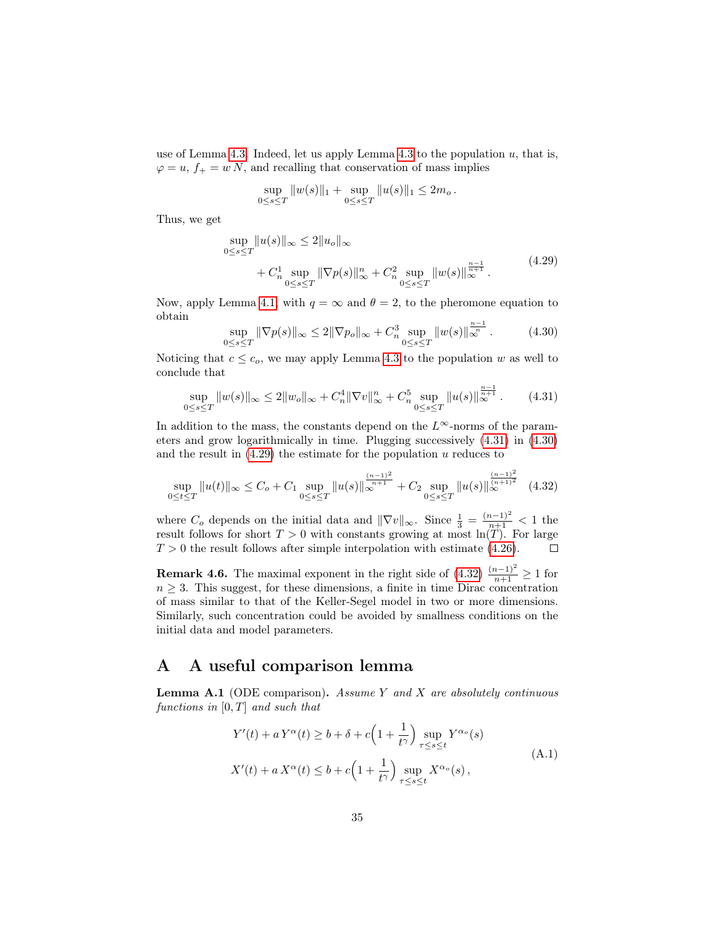use of Lemma [4.3.](#page-27-0) Indeed, let us apply Lemma [4.3](#page-27-0) to the population  $u$ , that is,  $\varphi = u, f_+ = w N$ , and recalling that conservation of mass implies

<span id="page-34-4"></span>
$$
\sup_{0\leq s\leq T} \|w(s)\|_1 + \sup_{0\leq s\leq T} \|u(s)\|_1 \leq 2m_o.
$$

Thus, we get

$$
\sup_{0 \le s \le T} \|u(s)\|_{\infty} \le 2\|u_o\|_{\infty} + C_n^1 \sup_{0 \le s \le T} \|\nabla p(s)\|_{\infty}^n + C_n^2 \sup_{0 \le s \le T} \|w(s)\|_{\infty}^{\frac{n-1}{n+1}}.
$$
\n(4.29)

Now, apply Lemma [4.1,](#page-24-3) with  $q = \infty$  and  $\theta = 2$ , to the pheromone equation to obtain

<span id="page-34-3"></span>
$$
\sup_{0 \le s \le T} \|\nabla p(s)\|_{\infty} \le 2\|\nabla p_o\|_{\infty} + C_n^3 \sup_{0 \le s \le T} \|w(s)\|_{\infty}^{\frac{n-1}{n}}.
$$
 (4.30)

Noticing that  $c \leq c_o$ , we may apply Lemma [4.3](#page-27-0) to the population w as well to conclude that

<span id="page-34-2"></span>
$$
\sup_{0 \le s \le T} \|w(s)\|_{\infty} \le 2\|w_o\|_{\infty} + C_n^4 \|\nabla v\|_{\infty}^n + C_n^5 \sup_{0 \le s \le T} \|u(s)\|_{\infty}^{\frac{n-1}{n+1}}.
$$
 (4.31)

In addition to the mass, the constants depend on the  $L^{\infty}$ -norms of the parameters and grow logarithmically in time. Plugging successively [\(4.31\)](#page-34-2) in [\(4.30\)](#page-34-3) and the result in  $(4.29)$  the estimate for the population u reduces to

<span id="page-34-5"></span>
$$
\sup_{0 \le t \le T} \|u(t)\|_{\infty} \le C_o + C_1 \sup_{0 \le s \le T} \|u(s)\|_{\infty}^{\frac{(n-1)^2}{n+1}} + C_2 \sup_{0 \le s \le T} \|u(s)\|_{\infty}^{\frac{(n-1)^2}{(n+1)^2}} \tag{4.32}
$$

where  $C_o$  depends on the initial data and  $\|\nabla v\|_{\infty}$ . Since  $\frac{1}{3} = \frac{(n-1)^2}{n+1} < 1$  the result follows for short  $T > 0$  with constants growing at most  $\ln(T)$ . For large  $T > 0$  the result follows after simple interpolation with estimate [\(4.26\)](#page-33-0).  $\Box$ 

<span id="page-34-1"></span>**Remark 4.6.** The maximal exponent in the right side of  $(4.32) \frac{(n-1)^2}{n+1} \ge 1$  $(4.32) \frac{(n-1)^2}{n+1} \ge 1$  for  $n \geq 3$ . This suggest, for these dimensions, a finite in time Dirac concentration of mass similar to that of the Keller-Segel model in two or more dimensions. Similarly, such concentration could be avoided by smallness conditions on the initial data and model parameters.

#### A A useful comparison lemma

<span id="page-34-0"></span>**Lemma A.1** (ODE comparison). Assume Y and X are absolutely continuous functions in  $[0, T]$  and such that

<span id="page-34-6"></span>
$$
Y'(t) + aY^{\alpha}(t) \ge b + \delta + c\left(1 + \frac{1}{t^{\gamma}}\right) \sup_{\tau \le s \le t} Y^{\alpha_o}(s)
$$
  

$$
X'(t) + aX^{\alpha}(t) \le b + c\left(1 + \frac{1}{t^{\gamma}}\right) \sup_{\tau \le s \le t} X^{\alpha_o}(s),
$$
 (A.1)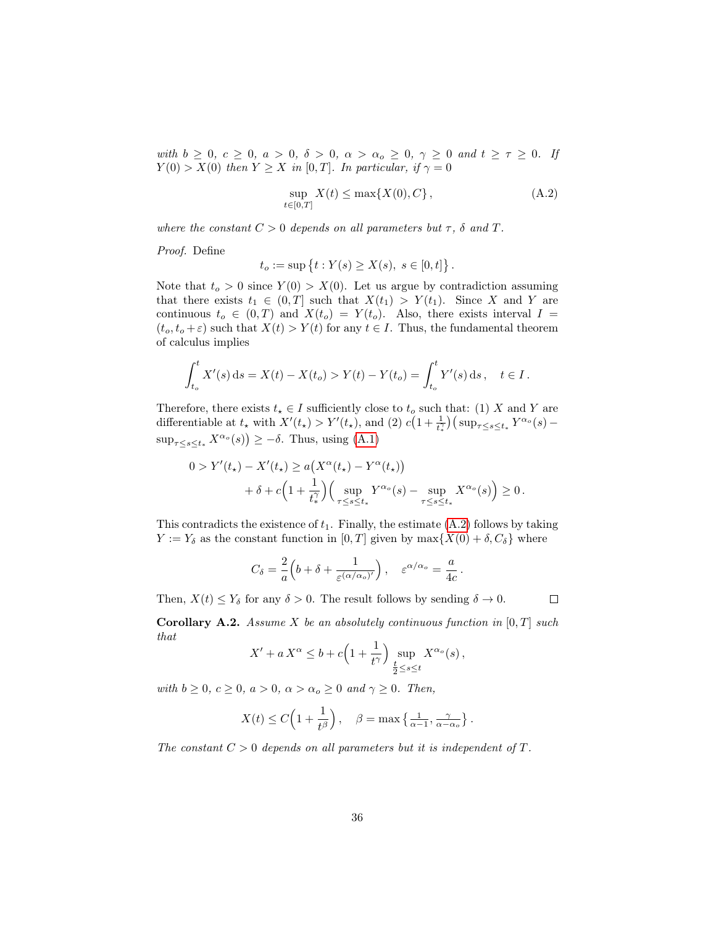with  $b \geq 0$ ,  $c \geq 0$ ,  $a > 0$ ,  $\delta > 0$ ,  $\alpha > \alpha_o \geq 0$ ,  $\gamma \geq 0$  and  $t \geq \tau \geq 0$ . If  $Y(0) > X(0)$  then  $Y \geq X$  in [0, T]. In particular, if  $\gamma = 0$ 

<span id="page-35-1"></span>
$$
\sup_{t \in [0,T]} X(t) \le \max\{X(0), C\},\tag{A.2}
$$

.

where the constant  $C > 0$  depends on all parameters but  $\tau$ ,  $\delta$  and  $T$ .

Proof. Define

$$
t_o := \sup \{ t : Y(s) \ge X(s), \ s \in [0, t] \}
$$

Note that  $t_o > 0$  since  $Y(0) > X(0)$ . Let us argue by contradiction assuming that there exists  $t_1 \in (0,T]$  such that  $X(t_1) > Y(t_1)$ . Since X and Y are continuous  $t_o \in (0,T)$  and  $X(t_o) = Y(t_o)$ . Also, there exists interval  $I =$  $(t_o, t_o + \varepsilon)$  such that  $X(t) > Y(t)$  for any  $t \in I$ . Thus, the fundamental theorem of calculus implies

$$
\int_{t_o}^t X'(s) ds = X(t) - X(t_o) > Y(t) - Y(t_o) = \int_{t_o}^t Y'(s) ds, \quad t \in I.
$$

Therefore, there exists  $t_* \in I$  sufficiently close to  $t_o$  such that: (1) X and Y are differentiable at  $t_*$  with  $X'(t_*) > Y'(t_*)$ , and (2)  $c(1+\frac{1}{t_*^2})(\sup_{\tau \le s \le t_*} Y^{\alpha_o}(s) \sup_{\tau \leq s \leq t_*} X^{\alpha_o}(s) \geq -\delta$ . Thus, using [\(A.1\)](#page-34-6)

$$
0 > Y'(t_{\star}) - X'(t_{\star}) \ge a(X^{\alpha}(t_{\star}) - Y^{\alpha}(t_{\star}))
$$
  
+  $\delta + c\left(1 + \frac{1}{t_{\star}^{\gamma}}\right)\left(\sup_{\tau \le s \le t_{\star}} Y^{\alpha_{\circ}}(s) - \sup_{\tau \le s \le t_{\star}} X^{\alpha_{\circ}}(s)\right) \ge 0.$ 

This contradicts the existence of  $t_1$ . Finally, the estimate  $(A.2)$  follows by taking  $Y := Y_{\delta}$  as the constant function in [0, T] given by max $\{X(0) + \delta, C_{\delta}\}\$  where

$$
C_{\delta} = \frac{2}{a} \Big( b + \delta + \frac{1}{\varepsilon^{(\alpha/\alpha_o)'}} \Big) \, , \quad \varepsilon^{\alpha/\alpha_o} = \frac{a}{4c} \, .
$$

Then,  $X(t) \leq Y_{\delta}$  for any  $\delta > 0$ . The result follows by sending  $\delta \to 0$ .

 $\Box$ 

<span id="page-35-0"></span>**Corollary A.2.** Assume X be an absolutely continuous function in  $[0, T]$  such that

$$
X' + a X^{\alpha} \le b + c \left( 1 + \frac{1}{t^{\gamma}} \right) \sup_{\frac{t}{2} \le s \le t} X^{\alpha_o}(s) ,
$$

with  $b \geq 0$ ,  $c \geq 0$ ,  $a > 0$ ,  $\alpha > \alpha_o \geq 0$  and  $\gamma \geq 0$ . Then,

$$
X(t) \le C\left(1 + \frac{1}{t^{\beta}}\right), \quad \beta = \max\left\{\frac{1}{\alpha - 1}, \frac{\gamma}{\alpha - \alpha_o}\right\}.
$$

The constant  $C > 0$  depends on all parameters but it is independent of T.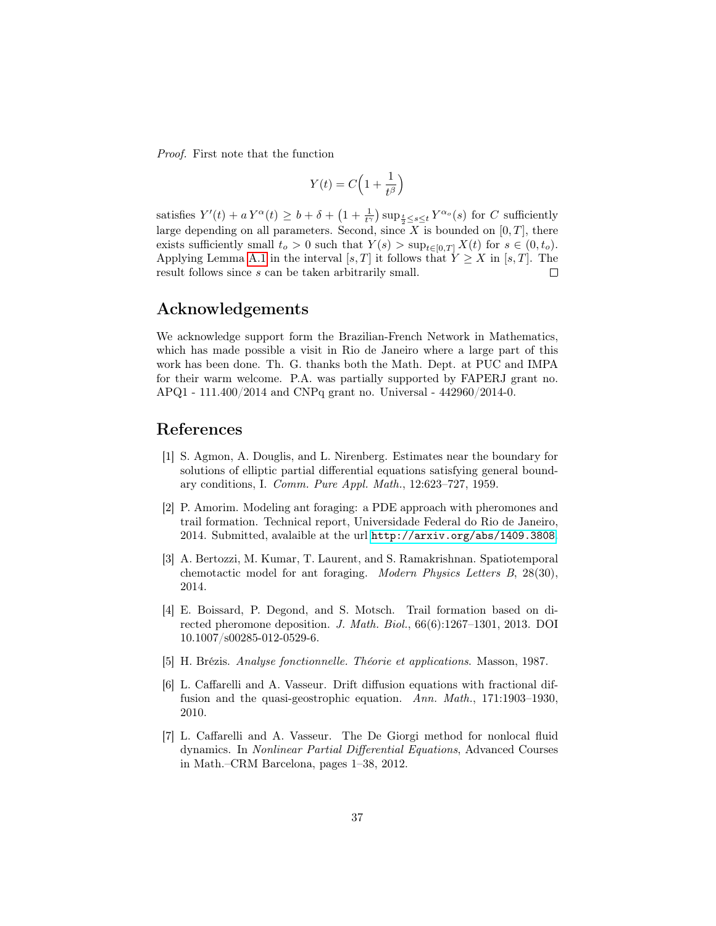Proof. First note that the function

$$
Y(t)=C\Big(1+\frac{1}{t^\beta}\Big)
$$

satisfies  $Y'(t) + aY^{\alpha}(t) \geq b + \delta + \left(1 + \frac{1}{t^{\gamma}}\right) \sup_{\frac{t}{2} \leq s \leq t} Y^{\alpha_{o}}(s)$  for C sufficiently large depending on all parameters. Second, since  $X$  is bounded on  $[0, T]$ , there exists sufficiently small  $t_o > 0$  such that  $Y(s) > \sup_{t \in [0,T]} X(t)$  for  $s \in (0, t_o)$ . Applying Lemma [A.1](#page-34-0) in the interval [s, T] it follows that  $Y \geq X$  in [s, T]. The result follows since s can be taken arbitrarily small.  $\Box$ 

## Acknowledgements

We acknowledge support form the Brazilian-French Network in Mathematics, which has made possible a visit in Rio de Janeiro where a large part of this work has been done. Th. G. thanks both the Math. Dept. at PUC and IMPA for their warm welcome. P.A. was partially supported by FAPERJ grant no. APQ1 - 111.400/2014 and CNPq grant no. Universal - 442960/2014-0.

### References

- <span id="page-36-6"></span>[1] S. Agmon, A. Douglis, and L. Nirenberg. Estimates near the boundary for solutions of elliptic partial differential equations satisfying general boundary conditions, I. Comm. Pure Appl. Math., 12:623–727, 1959.
- <span id="page-36-0"></span>[2] P. Amorim. Modeling ant foraging: a PDE approach with pheromones and trail formation. Technical report, Universidade Federal do Rio de Janeiro, 2014. Submitted, avalaible at the url [http://arxiv.org/abs/1409.3808](http://arxiv.org/abs/1409.3808 ).
- <span id="page-36-1"></span>[3] A. Bertozzi, M. Kumar, T. Laurent, and S. Ramakrishnan. Spatiotemporal chemotactic model for ant foraging. Modern Physics Letters B, 28(30), 2014.
- <span id="page-36-2"></span>[4] E. Boissard, P. Degond, and S. Motsch. Trail formation based on directed pheromone deposition. J. Math. Biol., 66(6):1267–1301, 2013. DOI 10.1007/s00285-012-0529-6.
- <span id="page-36-3"></span>[5] H. Brézis. Analyse fonctionnelle. Théorie et applications. Masson, 1987.
- <span id="page-36-4"></span>[6] L. Caffarelli and A. Vasseur. Drift diffusion equations with fractional diffusion and the quasi-geostrophic equation. Ann. Math., 171:1903-1930, 2010.
- <span id="page-36-5"></span>[7] L. Caffarelli and A. Vasseur. The De Giorgi method for nonlocal fluid dynamics. In Nonlinear Partial Differential Equations, Advanced Courses in Math.–CRM Barcelona, pages 1–38, 2012.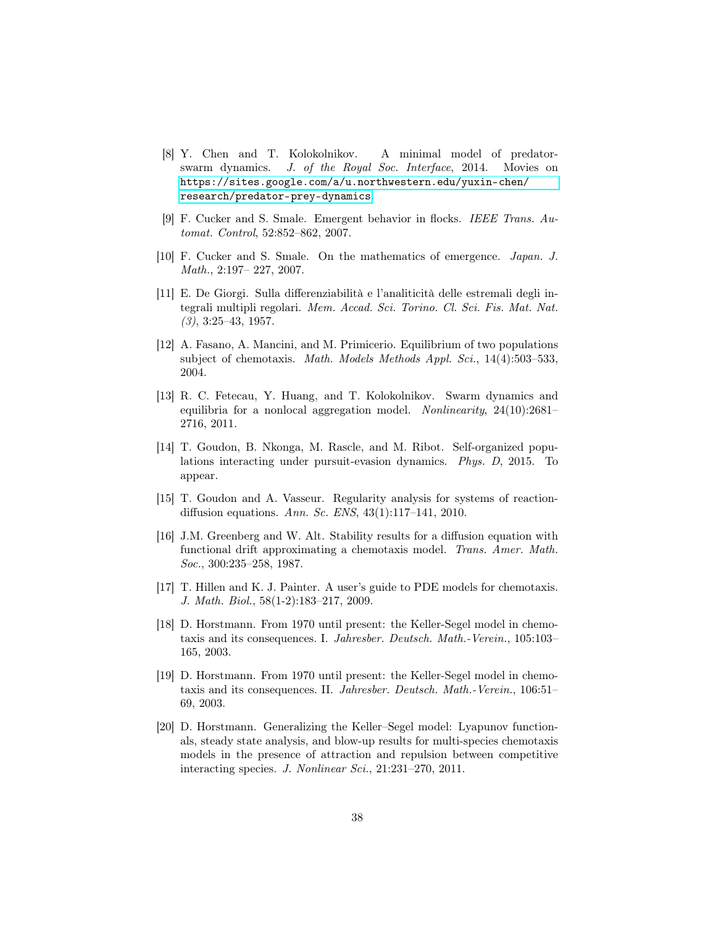- <span id="page-37-6"></span>[8] Y. Chen and T. Kolokolnikov. A minimal model of predatorswarm dynamics. J. of the Royal Soc. Interface, 2014. Movies on [https://sites.google.com/a/u.northwestern.edu/yuxin-chen/](https://sites.google.com/a/u.northwestern.edu/yuxin-chen/research/predator-prey-dynamics) [research/predator-prey-dynamics](https://sites.google.com/a/u.northwestern.edu/yuxin-chen/research/predator-prey-dynamics).
- <span id="page-37-0"></span>[9] F. Cucker and S. Smale. Emergent behavior in flocks. IEEE Trans. Automat. Control, 52:852–862, 2007.
- <span id="page-37-1"></span>[10] F. Cucker and S. Smale. On the mathematics of emergence. Japan. J. Math., 2:197– 227, 2007.
- <span id="page-37-11"></span>[11] E. De Giorgi. Sulla differenziabilità e l'analiticità delle estremali degli integrali multipli regolari. Mem. Accad. Sci. Torino. Cl. Sci. Fis. Mat. Nat. (3), 3:25–43, 1957.
- <span id="page-37-7"></span>[12] A. Fasano, A. Mancini, and M. Primicerio. Equilibrium of two populations subject of chemotaxis. Math. Models Methods Appl. Sci., 14(4):503-533, 2004.
- <span id="page-37-8"></span>[13] R. C. Fetecau, Y. Huang, and T. Kolokolnikov. Swarm dynamics and equilibria for a nonlocal aggregation model. Nonlinearity, 24(10):2681– 2716, 2011.
- <span id="page-37-9"></span>[14] T. Goudon, B. Nkonga, M. Rascle, and M. Ribot. Self-organized populations interacting under pursuit-evasion dynamics. Phys. D, 2015. To appear.
- <span id="page-37-12"></span>[15] T. Goudon and A. Vasseur. Regularity analysis for systems of reactiondiffusion equations. Ann. Sc. ENS, 43(1):117–141, 2010.
- <span id="page-37-2"></span>[16] J.M. Greenberg and W. Alt. Stability results for a diffusion equation with functional drift approximating a chemotaxis model. Trans. Amer. Math. Soc., 300:235–258, 1987.
- <span id="page-37-3"></span>[17] T. Hillen and K. J. Painter. A user's guide to PDE models for chemotaxis. J. Math. Biol., 58(1-2):183–217, 2009.
- <span id="page-37-4"></span>[18] D. Horstmann. From 1970 until present: the Keller-Segel model in chemotaxis and its consequences. I. Jahresber. Deutsch. Math.-Verein., 105:103– 165, 2003.
- <span id="page-37-5"></span>[19] D. Horstmann. From 1970 until present: the Keller-Segel model in chemotaxis and its consequences. II. Jahresber. Deutsch. Math.-Verein., 106:51– 69, 2003.
- <span id="page-37-10"></span>[20] D. Horstmann. Generalizing the Keller–Segel model: Lyapunov functionals, steady state analysis, and blow-up results for multi-species chemotaxis models in the presence of attraction and repulsion between competitive interacting species. J. Nonlinear Sci., 21:231–270, 2011.